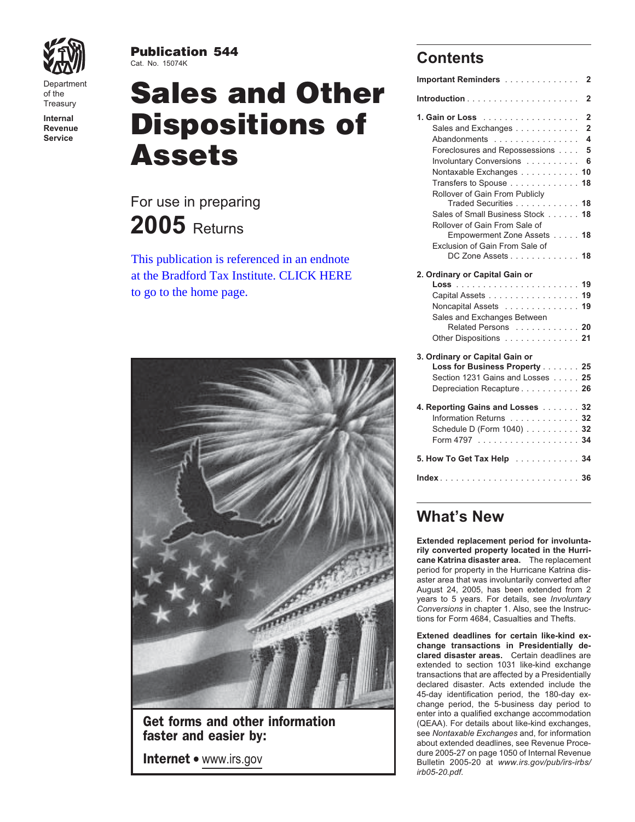

**Publication 544**<br>Cat. No. 15074K

# Department **Sales and Other Important Reminders .................** 2 **Internal 1. Gain or Loss** .................. **2 Revenue Dispositions of** Sales and Exchanges ............ **<sup>2</sup> Service** Abandonments ................ **4 Assets**

# For use in preparing **2005** Returns

This publication is referenced in an endnote [at the Bradford Tax Institute. CLICK HERE](http://www.bradfordtaxinstitute.com/)  to go to the home page.



**faster and easier by: Exchanges** and, for information **faster and easier by:** about extended deadlines, see Revenue Proce-

## **Contents**

| Important Reminders                       | 2              |
|-------------------------------------------|----------------|
|                                           | 2              |
| 1. Gain or Loss                           | 2              |
| Sales and Exchanges                       | $\overline{2}$ |
| Abandonments                              | 4              |
| Foreclosures and Repossessions            | 5              |
| Involuntary Conversions                   | 6              |
| Nontaxable Exchanges                      | 10             |
| Transfers to Spouse                       | 18             |
| Rollover of Gain From Publicly            |                |
| Traded Securities 18                      |                |
| Sales of Small Business Stock 18          |                |
| Rollover of Gain From Sale of             |                |
| Empowerment Zone Assets 18                |                |
| Exclusion of Gain From Sale of            |                |
| DC Zone Assets 18                         |                |
| 2. Ordinary or Capital Gain or            |                |
|                                           |                |
| Capital Assets 19                         |                |
| Noncapital Assets 19                      |                |
| Sales and Exchanges Between               |                |
| Related Persons 20                        |                |
| Other Dispositions 21                     |                |
|                                           |                |
| 3. Ordinary or Capital Gain or            |                |
| Loss for Business Property 25             |                |
| Section 1231 Gains and Losses 25          |                |
| Depreciation Recapture 26                 |                |
| 4. Reporting Gains and Losses 32          |                |
| Information Returns                       | 32             |
| Schedule D (Form 1040) 32                 |                |
|                                           |                |
|                                           |                |
| 5. How To Get Tax Help 34                 |                |
| $Index \ldots$ .<br>. 36<br>1.1.1.1.1.1.1 |                |

# **What's New**

**Extended replacement period for involuntarily converted property located in the Hurricane Katrina disaster area.** The replacement period for property in the Hurricane Katrina disaster area that was involuntarily converted after August 24, 2005, has been extended from 2 years to 5 years. For details, see *Involuntary Conversions* in chapter 1. Also, see the Instructions for Form 4684, Casualties and Thefts.

**Extened deadlines for certain like-kind exchange transactions in Presidentially declared disaster areas.** Certain deadlines are extended to section 1031 like-kind exchange transactions that are affected by a Presidentially declared disaster. Acts extended include the 45-day identification period, the 180-day exchange period, the 5-business day period to enter into a qualified exchange accommodation<br>
Get forms and other information (QEAA). For details about like-kind exchanges, dure 2005-27 on page 1050 of Internal Revenue<br>Bulletin 2005-20 at www.irs.gov/pub/irs-irbs/<br>Bulletin 2005-20 at www.irs.gov/pub/irs-irbs/ *irb05-20.pdf*.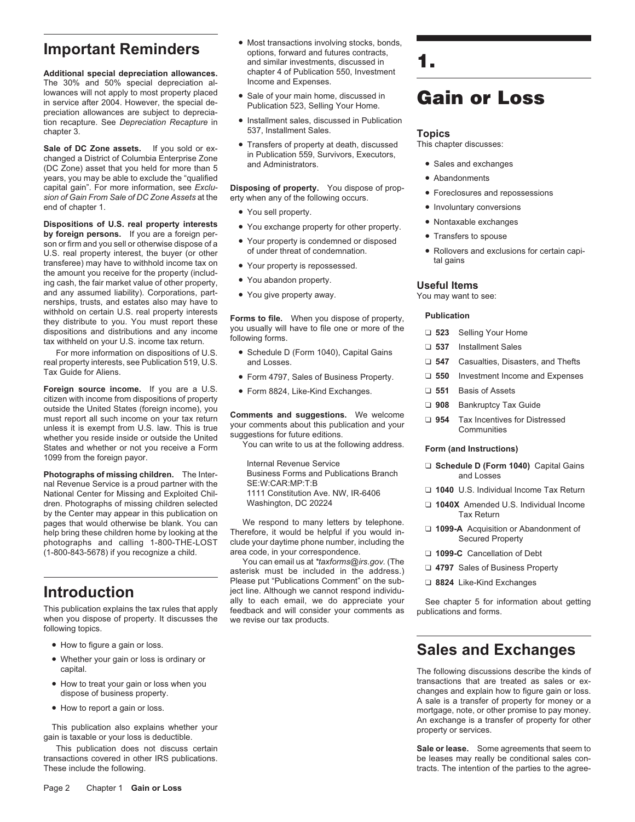**Additional special depreciation allowances.** chapter 4 of Publication<br>The 30% and 50% special depreciation al-<br>speciality income and Expenses. The 30% and 50% special depreciation allowances will not apply to most property placed lowances will not apply to most property placed<br>in service after 2004. However, the special de-<br>Publication 523, Selling Your Home preciation allowances are subject to depreciation recapture. See *Depreciation Recapture* in • Installment sales, discussed in Publication chapter 3. **Topics**<br>Calc af **DC** Zans apparts the second as  $\frac{1}{2}$  **The C** Transfers of property at death. discussed This chapter discusses:

Sale of DC Zone assets. If you sold or ex-<br>
changed a District of Columbia Enterprise Zone<br>
(DC Zone) asset that you held for more than 5<br>
(DC Zone) asset that you held for more than 5<br>
and Administrators.<br>
and Administrat years, you may be able to exclude the "qualified **• Abandonments**<br>capital gain". For more information, see *Exclu*- **Disposing of property.** You dispose of propcapital gain". For more information, see Exclu-<br>
sion of Gain From Sale of DC Zone Assets at the erty when any of the following occurs. end of chapter 1. • **•** Involuntary conversions<br>• Involuntary conversions • Involuntary conversions<br>• Nontaxable exchanges • **Involuntary converty interests** • **Interests** • **Interests** • **Interests** • **Inspection** • **Inst** 

**Dispositions of U.S. real property interests**<br> **e** You exchange property for other property.<br> **e Sourier Source And Act of the COVID-SOLUT COVID-SOLUT COVID-SOLUT COVID-SOLUT COVID-SOLUT COVID-SOLUT COVID-SOLUT COVID-SOLU** U.S. real property interest, the buyer (or other of under threat of condemnation. • Rollovers and exclusions for certain capitransferee) may have to withhold income tax on<br>the amount you receive for the property (includ-<br>ing cash, the fair market value of other property,<br>and any assumed liability). Corporations, part <br>vou give property away. Wou nerships, trusts, and estates also may have to withhold on certain U.S. real property interests<br>they distribute to you. You must report these **Forms to file.** When you dispose of property, **Publication**<br>dispositions and distributions and any income you usually will hav

For more information on dispositions of U.S. ● Schedule D (Form 1040), Capital Gains <br>
real property interests, see Publication 519, U.S. and Losses. □ 547 Casualties, Disasters, and Thefts Tax Guide for Aliens. • **•** Form 4797, Sales of Business Property. □ 550 Investment Income and Expenses

**Foreign source income.** If you are a U.S. • Form 8824, Like-Kind Exchanges. □ 551 Basis of Assets citizen with income from dispositions of property Citizen with income from dispositions of property<br>
outside the United States (foreign income), you<br>
must report all such income on your tax raturn **Comments and suggestions.** We welcome must report all such income on your tax return<br>unless it is exempt from U.S. law. This is true of the United<br>whether you reside inside or outside the United suggestions for future editions.<br>States and whether or not you re

**Photographs of missing children.** The Inter-<br>
SE: W: CAR: MP: T: R<br>
SE: W: CAR: MP: T: R<br>
SE: W: CAR: MP: T: R nal Revenue Service is a proud partner with the SE:W:CAR:MP:T:B<br>National Center for Missing and Exploited Chil- 1111 Constitution Ave. NW, IR-6406 dren. Photographs of missing children selected Washington, DC 20224 ❏ **1040X** Amended U.S. Individual Income by the Center may appear in this publication on<br>pages that would otherwise be blank. You can We respond to many letters by telephone. help bring these children home by looking at the Therefore, it would be helpful if you would in-<br>help bring these children home by looking at the Therefore, it would be helpful if you would in-<br>photographs and calling 1-80 (1-800-843-5678) if you recognize a child. area code, in your correspondence. ❏ **1099-C** Cancellation of Debt

following topics.

- 
- 
- 
- 

transactions covered in other IRS publications. be leases may really be conditional sales con-These include the following. These include the following. The intention of the parties to the agree-

- **Important Reminders** . Most transactions involving stocks, bonds, **Important Reminders** and similar investments, discussed in chapter 4 of Publication 550. Investment
	- Publication 523, Selling Your Home.
	-
	-

- 
- 
- 
- 
- 
- 

- 
- 
- 

<del>OLIVICANINII II.D</del><br>1111 Constitution Ave. NW, IR-6406 <br>Washington, DC 20224 <br>
∴ 1**040X** Amended U.S. Individual Income

Tou can email us at *taxforms@irs.gov.* (The ⊿**4797** Sales of Business Property asterisk must be included in the address.) □ 4797 Sales of Business Property Please put "Publications Comment" on the sub-  $□$  8824 Like-Kind Exchanges ject line. Although we cannot respond individu-Introduction<br>ally to each email, we do appreciate your<br>This publication explains the tax rules that apply<br>when you dispose of property. It discusses the we revise our tax products.

## **Gain or Loss**

- 
- 
- 
- 
- 
- 
- 

- 
- 
- 
- 
- 
- 
- 

- 1099 from the foreign payor.<br>Internal Revenue Service <br>**Photographs of missing children**. The Inter-<br>Business Forms and Publications Branch<br>and Losses
	-
	-
	-
	-
	-
	-

# • How to figure a gain or loss. **Sales and Exchanges** • Whether your gain or loss is ordinary or

capital. The following discussions describe the kinds of ■ How to treat your gain or loss when you<br>dispose of business property.<br>■ How to report a gain or loss.<br>■ How to report a gain or loss.<br>■ How to report a gain or loss.<br>■ How to report a gain or loss.<br>■ How to report a gai This publication also explains whether your property for the property for other property for other property or services.<br>gain is taxable or your loss is deductible.

This publication does not discuss certain **Sale or lease.** Some agreements that seem to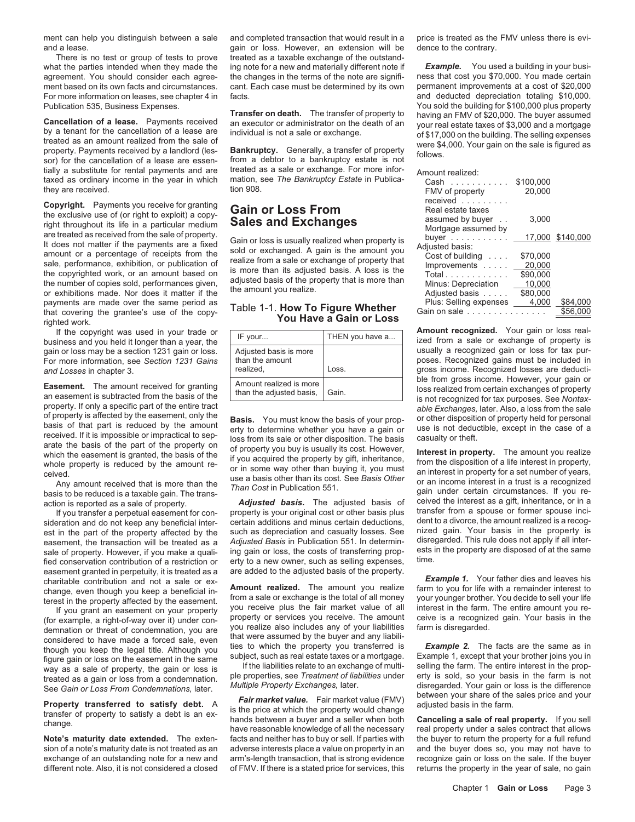agreement. You should consider each agree- the changes in the terms of the note are signifi-

tially a substitute for rental payments and are treated as a sale or exchange. For more infor-<br>taxed as ordinary income in the year in which mation, see *The Bankruptcy Estate* in Publica-<br>Cash taxed as ordinary income in the year in which mation, see *The Bankruptcy Estate* in Publica-<br>they are received.<br> they are received. The second of the second tion 908. The second of property they are received. The second of  $20,000$ 

payments are made over the same period as that covering the grantee's use of the copythat covering the grantee's use of the copy- Table 1-1. **How To Figure Whether** Gain on sale ............... \$56,000 **You Have a Gain or Loss** righted work.

For more information, see Section 1231 Gains

sale of property. However, if you make a quali- ing gain or loss, the costs of transferring prop-<br>find concernation contribution of a restriction or a fit the a new owner, such as selling expenses time. fied conservation contribution of a restriction or erty to a new owner, such as selling expenses, easement granted in perpetuity, it is treated as a are added to the adjusted basis of the property. easement granted in perpetuity, it is treated as a Example 1. Your father dies and leaves his charitable contribution and not a sale or ex-<br>change even though you keen a beneficial in. **Amount realized**. The amount you realize farm to you for life with a remainder interest

change, even though you keep a beneficial in-<br>the external on the property affected by the easement.<br>forest in the property affected by the easement. from a sale or exchange is the total of all money<br>of the same form of th

ment can help you distinguish between a sale and completed transaction that would result in a price is treated as the FMV unless there is eviand a lease. gain or loss. However, an extension will be dence to the contrary. There is no test or group of tests to prove treated as a taxable exchange of the outstandwhat the parties intended when they made the ing note for a new and materially different note if **Example.** You used a building in your busi-<br>agreement. You should consider each agree- the changes in the terms of the note ment based on its own facts and circumstances. cant. Each case must be determined by its own permanent improvements at a cost of \$20,000

| IF your                                                | THEN you have a |
|--------------------------------------------------------|-----------------|
| Adjusted basis is more<br>than the amount<br>realized. | Loss.           |
| Amount realized is more<br>than the adjusted basis,    | Gain.           |

property. If only a specific part of the entire tract able Exchanges, later. Also, a loss from the sale of property is affected by the easement, only the **Basis**. You must know the basis of your prop-<br>
received. If it is i

**Property transferred to satisfy debt.** A<br>
transferved to satisfy debt. A<br>
transfer of property to satisfy a debt is an ex-<br>
transfer of property to satisfy a debt is an ex-<br>
hands between a buyer and a seller when both **C** Note's maturity date extended. The exten- facts and neither has to buy or sell. If parties with the buyer to return the property for a full refund sion of a note's maturity date is not treated as an adverse interests place a value on property in an and the buyer does so, you may not have to exchange of an outstanding note for a new and arm's-length transaction, that is strong evidence recognize gain or loss on the sale. If the buyer different note. Also, it is not considered a closed of FMV. If there is a stated price for services, this returns the property in the year of sale, no gain

For more information on leases, see chapter 4 in facts.<br>
Publication 535, Business Expenses.<br>
Publication 535, Business Expenses. Publication 535, Business Expenses.<br> **Cancellation of a lease.** Payments received an executor or administrator on the death of an Cancellation of a lease. Payments received an executor or administrator on the death of an y

| taxed as ordinary income in the year in which<br>they are received.                                                                                                                                                                                                                                                                                        | mation, see The Bankruptcy Estate in Publica-<br>tion 908.                                                                                                                                                                                                                            | Cash<br>FMV of property                                                                                                                               | \$100,000<br>20,000                                  |                      |
|------------------------------------------------------------------------------------------------------------------------------------------------------------------------------------------------------------------------------------------------------------------------------------------------------------------------------------------------------------|---------------------------------------------------------------------------------------------------------------------------------------------------------------------------------------------------------------------------------------------------------------------------------------|-------------------------------------------------------------------------------------------------------------------------------------------------------|------------------------------------------------------|----------------------|
| <b>Copyright.</b> Payments you receive for granting<br>the exclusive use of (or right to exploit) a copy-<br>right throughout its life in a particular medium                                                                                                                                                                                              | <b>Gain or Loss From</b><br><b>Sales and Exchanges</b>                                                                                                                                                                                                                                | received<br>Real estate taxes<br>assumed by buyer<br>Mortgage assumed by                                                                              | 3.000                                                |                      |
| are treated as received from the sale of property.<br>It does not matter if the payments are a fixed<br>amount or a percentage of receipts from the<br>sale, performance, exhibition, or publication of<br>the copyrighted work, or an amount based on<br>the number of copies sold, performances given,<br>or exhibitions made. Nor does it matter if the | Gain or loss is usually realized when property is<br>sold or exchanged. A gain is the amount you<br>realize from a sale or exchange of property that<br>is more than its adjusted basis. A loss is the<br>adjusted basis of the property that is more than<br>the amount you realize. | buyer $\ldots$ $\ldots$ $\ldots$<br>Adiusted basis:<br>Cost of building $\ldots$ .<br>Improvements<br>Total.<br>Minus: Depreciation<br>Adjusted basis | \$70,000<br>20.000<br>\$90,000<br>10,000<br>\$80,000 | 17,000 \$140,000     |
| payments are made over the same period as<br>that covering the grantee's use of the copy-                                                                                                                                                                                                                                                                  | Table 1-1. How To Figure Whether                                                                                                                                                                                                                                                      | Plus: Selling expenses<br>Gain on sale                                                                                                                | 4.000                                                | \$84,000<br>\$56,000 |

business and you held it longer than a year, the **IF your...** IF THEN you have a... ized from a sale or exchange of property is cain or loss for tax pur-<br>and or loss may be a section 1231 gain or loss. Adjusted basis is mo gain or loss may be a section 1231 gain or loss. Adjusted basis is more and the usually a recognized gain or loss for tax pur-<br>For more information, see Section 1231 Gains than the amount and Losses in chapter 3.<br> **and Losses in chapter 3.**<br> **Ansumbracized is more.** Loss.<br> **Loss.**<br> **Loss.**<br> **Loss.**<br> **Loss.**<br> **De from gross income. However, your gain or** Easement. The amount received for granting Amount realized is more be from gross income. However, your gain or<br>an easement is subtracted from the basis of the than the adjusted basis, Gain. In the cognized for tax purposes

basis to be reduced is a taxable gain. The trans-<br>action is reported as a sale of property.<br>If you transfer a perpetual easement for con-<br>If you transfer a perpetual easement for con-<br>property is your original cost or othe If you transfer a perpetual easement for con-<br>eration and do not keep any beneficial inter- certain additions and minus certain deductions, dent to a divorce, the amount realized is a recogsideration and do not keep any beneficial inter- certain additions and minus certain deductions, dent to a divorce, the amount realized is a recog-<br>est in the part of the property affected by the such as depreciation and c est in the part of the property affected by the such as depreciation and casualty losses. See nized gain. Your basis in the property is essement the transaction will be treated as a Adjusted Basis in Publication 551. In de easement, the transaction will be treated as a Adjusted Basis in Publication 551. In determin-<br>sale of property, However, if you make a quali- ing gain or loss, the costs of transferring prop- ests in the property are disp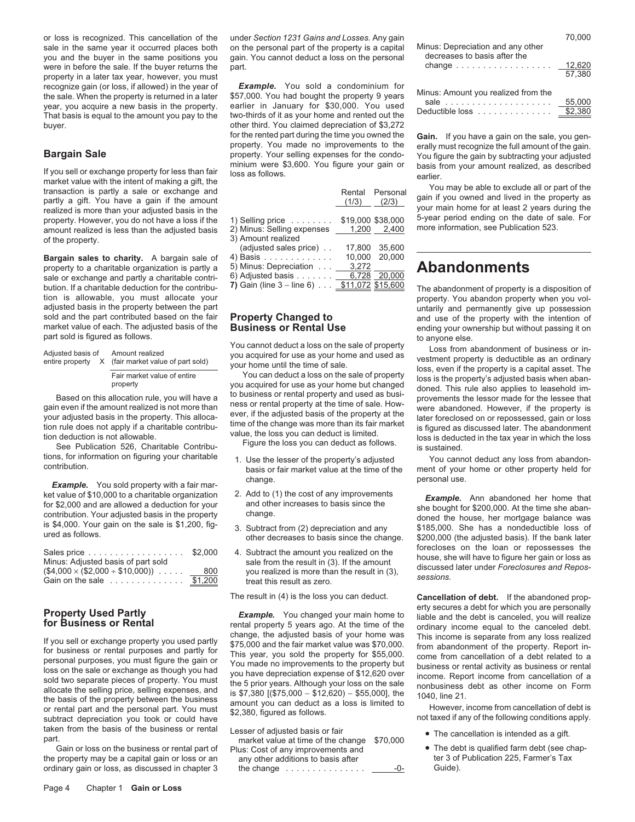or loss is recognized. This cancellation of the under *Section 1231 Gains and Losses*. Any gain sale in the same vear it occurred places both on the personal part of the property is a capital. Mi sale in the same year it occurred places both on the personal part of the property is a capital you and the buyer in the same positions you gain. You cannot deduct a loss on the personal were in before the sale. If the buyer returns the part. property in a later tax year, however, you must<br>recognize gain (or loss, if allowed) in the year of **Example.** You sold a condominium for recognize gain (or loss, if allowed) in the year of **Example.** You sold a condominium for the sale. When the property is returned in a later \$57,000. You had bought the property 9 years the sale. When the property is returned in a later \$57,000. You had bought the property 9 years Minus: Amount you realized from the sale. When the property is returned in a later \$57,000. You had bought the property 9 year

**Bargain Sale**<br>
From the property for less than fair<br>
If you sell or exchange property for less than fair<br>
If you sell or exchange property for less than fair<br>
If you sell or exchange property for less than fair<br>
If you se property. However, you do not have a loss if the 1) Selling price  $\ldots \ldots$ , \$19,000 \$38,000 5-year period ending on the date of samount realized is less than the adjusted basis 2) Minus: Selling expenses  $\frac{1,200}{2,400}$ of the property.

**Bargain sales to charity.** A bargain sale of  $\frac{4}{5}$  property to a charitable organization is partly a property to a charitable organization is partly a<br>sale or exchange and partly a charitable contribution in the contribution of the contribution. If a charitable deduction for the contribution of Gain (line 3 – line 6)  $\ld$ tion is allowable, you must allocate your<br>
adjusted basis in the property between the part<br>
adjusted basis in the property between the part<br>
adjusted basis in the property between the part adjusted basis in the property between the part<br>sold and the part contributed based on the fair **Property Changed to untarily and use of the property with the intention of** 

| Adjusted basis of | Amount realized<br>entire property X (fair market value of part sold) |
|-------------------|-----------------------------------------------------------------------|
|                   | Fair market value of entire<br>property                               |

change.<br>**Example.** You sold property with a fair mar-<br>In Add to (1) the cost of any improvements and the solar of fail of the cost of any improvements ket value of \$10,000 to a charitable organization 2. Add to (1) the cost of any improvements *Example.* Ann abandoned her home that for \$2,000 and are allowed a deduction for your and other increases to basis since the she

| Sales price $\ldots \ldots \ldots \ldots \ldots$ \$2,000<br>Minus: Adiusted basis of part sold<br>$($4,000 \times ($2,000 \div $10,000)) \cdot \cdot \cdot \cdot \cdot \underline{800}$ | 4. Subtract the amount you realized on the<br>sale from the result in (3). If the amount<br>you realized is more than the result in (3). | forecloses on the loan or repossesses the<br>house, she will have to figure her gain or loss as<br>discussed later under Foreclosures and Repos-<br>sessions. |
|-----------------------------------------------------------------------------------------------------------------------------------------------------------------------------------------|------------------------------------------------------------------------------------------------------------------------------------------|---------------------------------------------------------------------------------------------------------------------------------------------------------------|
| Gain on the sale $\ldots \ldots \ldots \ldots$ \$1,200                                                                                                                                  | treat this result as zero.                                                                                                               |                                                                                                                                                               |

taken from the basis of the business or rental Lesser of adjusted basis or fair **•** The cancellation is intended as a gift.<br>
part. **parted basis or fair** efter change \$70,000 **•** The debt is qualified farm debt (see chap-<br>

the property may be a capital gain or loss or an any other additions to basis after ter 3 of the change of Publication 205, Farmer's Taxa of Publication 205, Farmer's Taxa of Puide, Publication 205, Farmer's Taxa of Puide,

buyer.<br> **buyer.** Our contract the state of the rented part during the time you owned the for the rented part during the time you owned the **Gain.** If you have a gain on the sale, you gen-<br>property. You made no improvements to the erally must recognize the full amount of the gain.

|                          | Rental | Personal<br>$(1/3)$ $(2/3)$ |
|--------------------------|--------|-----------------------------|
| Selling price            |        | \$19,000 \$38,000           |
| Minus: Selling expenses  |        | 1,200 2,400                 |
| Amount realized          |        |                             |
| (adjusted sales price).  | 17.800 | 35.600                      |
| Basis                    | 10,000 | 20.000                      |
| Minus: Depreciation      | 3,272  |                             |
| Adjusted basis           |        | 6.728 20.000                |
| Gain (line $3 -$ line 6) |        | \$11,072 \$15,600           |

- 
- 
- 
- 

**Property Used Partly Example.** You changed your main home to<br> **for Business or Rental**<br> **for Business or Rental**<br>
If you sell or exchange property you used partly<br>
If you sell or exchange property you used partly<br>
If you

Gain or loss on the business or rental part of Plus: Cost of any improvements and **•** The debt is qualified farm debt (see chap-<br>• property may be a capital gain or loss or an any other additions to basis after **the act of** ordinary gain or loss, as discussed in chapter  $3$  the change  $\dots \dots \dots \dots \dots$ 

| nus: Depreciation and any other<br>decreases to basis after the | 70.000           |
|-----------------------------------------------------------------|------------------|
| change                                                          | 12.620<br>57.380 |
| nuou Amerikalinen vaalinaal fram the                            |                  |

| Minus: Amount you realized from the            |         |
|------------------------------------------------|---------|
|                                                | 55,000  |
| Deductible loss $\ldots$ , $\ldots$ , $\ldots$ | \$2,380 |

and use of the property with the intention of market value of each. The adjusted basis of the **Business or Rental Use** ending your ownership but without passing it on part sold is figured as follows.

National State of property and state of property and used as for a set of property of the sale of property our acquired for use as your home and used as who and denote a set.<br>
Adjusted basis of Amount realized<br>
entire prop

tions, for information on figuring your charitable tions, for information on figuring your charitable the lesser of the property's adjusted You cannot deduct any loss from abandon-<br>contribution. basis or fair market value

for \$2,000 and are allowed a deduction for your<br>
contribution. Your adjusted basis in the property<br>
is \$4,000. Your gain on the sale is \$1,200, fig-<br>
is \$4,000. Your gain on the sale is \$1,200, fig-<br>
is a nondeductible los

The result in (4) is the loss you can deduct. **Cancellation of debt.** If the abandoned prop-

- 
-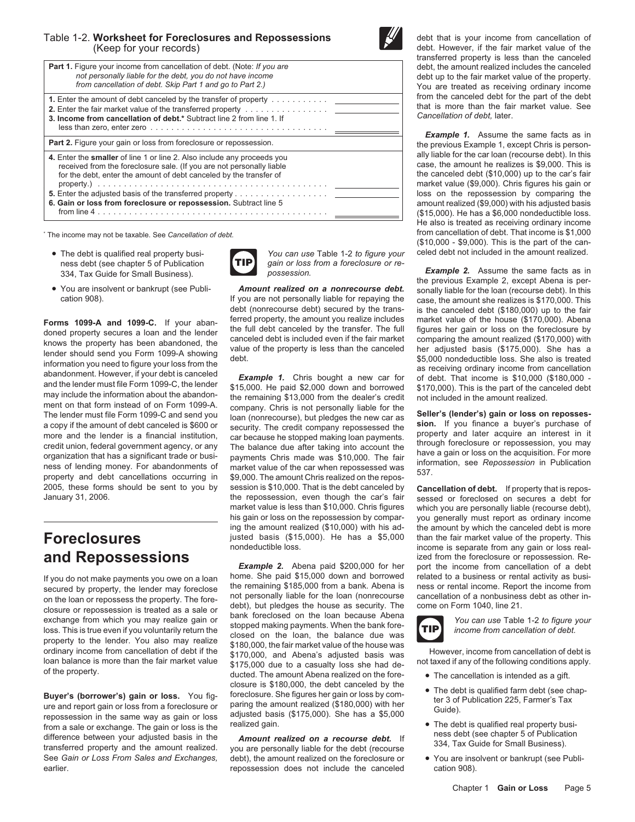### Table 1-2. Worksheet for Foreclosures and Repossessions **the final team of the U.S.** debt that is your income from cancellation of (Keep for your records) in the fair market value of the fair market value of the



|                                                                                                                                                                                                                                                                                             | udistribution property is less trially the calledged                                                                                                                                                                                                                                                                  |  |  |                                                                                                                                                      |
|---------------------------------------------------------------------------------------------------------------------------------------------------------------------------------------------------------------------------------------------------------------------------------------------|-----------------------------------------------------------------------------------------------------------------------------------------------------------------------------------------------------------------------------------------------------------------------------------------------------------------------|--|--|------------------------------------------------------------------------------------------------------------------------------------------------------|
| <b>Part 1.</b> Figure your income from cancellation of debt. (Note: If you are<br>not personally liable for the debt, you do not have income<br>from cancellation of debt. Skip Part 1 and go to Part 2.)                                                                                   |                                                                                                                                                                                                                                                                                                                       |  |  | debt, the amount realized includes the canceled<br>debt up to the fair market value of the property.<br>You are treated as receiving ordinary income |
| <b>1.</b> Enter the amount of debt canceled by the transfer of property<br>3. Income from cancellation of debt,* Subtract line 2 from line 1. If<br>$less than zero, enter zero \dots \dots \dots \dots \dots \dots \dots \dots \dots \dots \dots \dots \dots \dots$                        | from the canceled debt for the part of the debt<br>that is more than the fair market value. See<br>Cancellation of debt. later.<br><b>Example 1.</b> Assume the same facts as in                                                                                                                                      |  |  |                                                                                                                                                      |
| Part 2. Figure your gain or loss from foreclosure or repossession.                                                                                                                                                                                                                          | the previous Example 1, except Chris is person-                                                                                                                                                                                                                                                                       |  |  |                                                                                                                                                      |
| 4. Enter the smaller of line 1 or line 2. Also include any proceeds you<br>received from the foreclosure sale. (If you are not personally liable<br>for the debt, enter the amount of debt canceled by the transfer of<br>6. Gain or loss from foreclosure or repossession. Subtract line 5 | ally liable for the car loan (recourse debt). In this<br>case, the amount he realizes is \$9,000. This is<br>the canceled debt (\$10,000) up to the car's fair<br>market value (\$9,000). Chris figures his gain or<br>loss on the repossession by comparing the<br>amount realized (\$9,000) with his adjusted basis |  |  |                                                                                                                                                      |
|                                                                                                                                                                                                                                                                                             | (\$15,000). He has a \$6,000 nondeductible loss.<br>t to satura to ano dal di suo del contrato del molto del transita del transita                                                                                                                                                                                    |  |  |                                                                                                                                                      |

- The debt is qualified real property busi-<br>ness debt (see chapter 5 of Publication **TIP** gain or loss from a foreclosure or reness debt (see chapter 5 of Publication **FILE)** gain or loss from a figure or *gain or loss possession.*
- 

2005, these forms should be sent to you by session is \$10,000. That is the debt canceled by **Cancellation of debt.** If property that is repos-

**Exercise Solution** Closure is \$180,000, the debt canceled by the<br>
ure and report gain or loss from a foreclosure or<br>
ter 3 of Publication 225, Farmer's Tax<br>
repossession in the same way as gain or loss is the<br>
difference



ment on that form instead of on Form 1099-A company. Chris is not personally liable for the<br>The lender must file Form 1099-C and send you loan (nonrecourse), but pledges the new car as **Seller's (lender's) gain or loss on** more and the lender is a financial institution,<br>
car because he stopped making loan payments.<br>
credit union, federal government agency, or any<br>
organization that has a significant trade or busi-<br>
organization that has a si the repossession, even though the car's fair sessed or foreclosed on secures a debt for<br>market value is less than \$10,000. Chris figures which you are personally liable (recourse debt). market value is less than \$10,000. Chris figures which you are personally liable (recourse debt),<br>his gain or loss on the repossession by compar- vou generally must report as ordinary income his gain or loss on the repossession by compar-<br>ing the amount realized (\$10,000) with his ad-<br>the amount by which the canceled debt is more **Foreclosures** justed basis (\$15,000). He has a \$5,000 nondeductible loss.

**Example 2.** Abena paid \$200,000 for her port the income from cancellation of a debt home. She paid \$15,000 down and borrowed related to a business or rental activity as busih you do not make payments you owe on a loan and the come. She paid \$15,000 down and borrowed related to a business or rental activity as busi-<br>Secured by property, the lender may foreclose. The remaining \$185,000 from a b secured by property, the lender may foreclose the remaining \$185,000 from a bank. Abena is ness or rental income. Report the income from<br>on the loan or repossess the property. The fore, not personally liable for the loan ( on the loan or repossess the property. The fore-<br>closure or repossession is treated as a sale or debt), but pledges the house as security. The come on Form 1040, line 21.<br>exchange from which you may realize gain or bank fo ordinary income from cancellation of debt if the \$170,000, the fair market value of the house was<br>loan balance is more than the fair market value \$170,000, and Abena's adjusted basis was<br>of the property. ducted. The amount

See *Gain or Loss From Sales and Exchanges,* debt), the amount realized on the foreclosure or • You are insolvent or bankrupt (see Publiearlier. The canceled cation 908). The canceled cation 908).

transferred property is less than the canceled debt, the amount realized includes the canceled debt up to the fair market value of the property.<br>You are treated as receiving ordinary income<br>from the canceled debt for the part of the debt

**Example 1.** Assume the same facts as in the previous Example 1, except Chris is personally liable for the car loan (recourse debt). In this case, the amount he realizes is \$9,000. This is the canceled debt  $(\$10,000)$  up to the car's fair market value (\$9,000). Chris figures his gain or loss on the repossession by comparing the **6. Gain or loss from foreclosure or repossession.** Subtract line 5 amount realized (\$9,000) with his adjusted basis  $$15,000$ ). He has a \$6,000 nondeductible loss. He also is treated as receiving ordinary income<br>from cancellation of debt. That income is \$1,000 \* The income may not be taxable. See *Cancellation of debt.* from cancellation of debt. That income is \$1,000 (\$10,000 - \$9,000). This is the part of the can-

**Example 2.** Assume the same facts as in  $\frac{1}{2}$  possession. **Example 2.** Assume the same facts as in the previous Example 2, except Abena is per-• You are insolvent or bankrupt (see Publi-<br>If you are not personally liable for repaying the case the amount she realizes is \$170,000. This case, the amount she realizes is \$170,000. This debt (nonrecourse debt) secured by the trans-<br>ferred property, the amount you realize includes market value of the house (\$170,000). Abena **Forms 1099-A and 1099-C.** If your abandom-<br>doned property secures a loan and the lender<br>the full debt canceled by the transfer. The full figures her gain or loss on the foreclosure by<br>knows the property has been abandone

the amount by which the canceled debt is more than the fair market value of the property. This income is separate from any gain or loss real**and Repossessions**<br>**Example 2.** Abena paid \$200,000 for her port the income from cancellation of a debt



- 
- 
- 
-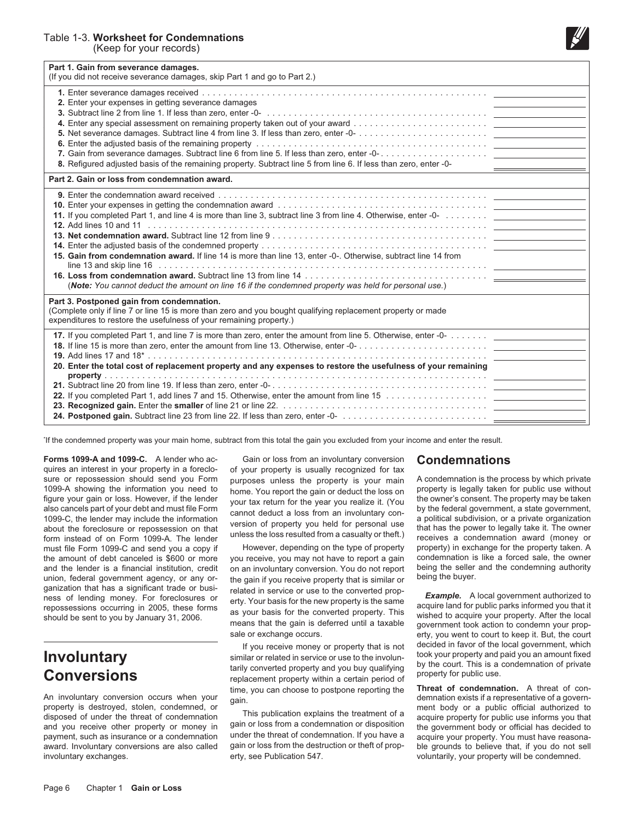(Keep for your records)



| Part 1. Gain from severance damages.<br>(If you did not receive severance damages, skip Part 1 and go to Part 2.)                                                                                                                                                                                                                                                                     |
|---------------------------------------------------------------------------------------------------------------------------------------------------------------------------------------------------------------------------------------------------------------------------------------------------------------------------------------------------------------------------------------|
| 2. Enter your expenses in getting severance damages<br>8. Refigured adjusted basis of the remaining property. Subtract line 5 from line 6. If less than zero, enter -0-                                                                                                                                                                                                               |
| Part 2. Gain or loss from condemnation award.                                                                                                                                                                                                                                                                                                                                         |
| 11. If you completed Part 1, and line 4 is more than line 3, subtract line 3 from line 4. Otherwise, enter -0-<br>15. Gain from condemnation award. If line 14 is more than line 13, enter -0-. Otherwise, subtract line 14 from<br>(Note: You cannot deduct the amount on line 16 if the condemned property was held for personal use.)<br>Part 3. Postponed gain from condemnation. |
| (Complete only if line 7 or line 15 is more than zero and you bought qualifying replacement property or made<br>expenditures to restore the usefulness of your remaining property.)                                                                                                                                                                                                   |
| 17. If you completed Part 1, and line 7 is more than zero, enter the amount from line 5. Otherwise, enter -0-<br>20. Enter the total cost of replacement property and any expenses to restore the usefulness of your remaining                                                                                                                                                        |

If the condemned property was your main home, subtract from this total the gain you excluded from your income and enter the result.

quires an interest in your property in a foreclo- of your property is usually recognized for tax<br>sure or repossession should send you Form purposes unless the property is your main sure or repossession should send you Form purposes unless the property is your main A condemnation is the process by which private<br>1099-A showing the information you need to home You report the gain or deduct the loss on p 1099-A showing the information you need to<br>figure your gain or loss. However, if the lender<br>also cancels part of your debt and must file Form<br>also cancels part of your debt and must file Form<br>1099-C, the lender may include must file Form 1099-C and send you a copy if However, depending on the type of property property) in exchange for the property taken. A the amount of debt canceled is \$600 or more you receive, you may not have to report a gain condemnation is like a forced sale, the owner<br>and the lender is a financial institution, credit on an involuntary conversion. You d and the lender is a financial institution, credit on an involuntary conversion. You do not report being the seller union, federal government agency, or any or-<br>the gain if you receive property that is similar or being the union, federal government agency, or any or- the gain if you receive property that is similar or<br>ganization that has a significant trade or busi-<br>related in service or use to the converted prop-

involuntary exchanges. errestigation 547. erty, see Publication 547. The voluntarily, your property will be condemned.

**Forms 1099-A and 1099-C.** A lender who ac-<br>
Gain or loss from an involuntary conversion<br>
Gondemnations<br>
Given by Sain or loss from an involuntary conversion<br>
Condemnations

ganization that has a significant trade or busi-<br>ness of lending money. For foreclosures or enty. Your basis for the new property is the same<br>repossessions occurring in 2005, these forms as your basis for the converted pro

**This is a condemnation of private in Service or use to the involuntary** and paid you an amount fixed similar or related in service or use to the involun-<br>
tarily converted property and you buy qualifying by the court. Thi **CONVETSIONS**<br>
Figure 2011 Can choose to postpone reporting the **Threat of condemnation.** A threat of con-<br>
Figure 2011 Can choose to postpone reporting the **Threat of condemnation.** A threat of con-

and you receive other property or money in gain or loss from a condemnation or disposition<br>payment, such as insurance or a condemnation under the threat of condemnation. If you have a acquire your property. You must have r award. Involuntary conversions are also called gain or loss from the destruction or theft of prop- ble grounds to believe that, if you do not sell

sale or exchange occurs. external erty, you went to court to keep it. But, the court If you receive money or property that is not decided in favor of the local government, which<br>ilar or related in service or use to the involup- took your property and paid you an amount fixed

An involuntary conversion occurs when your<br>property is destroyed, stolen, condemnation or disposed of under the threat of condemnation. A threat of con-<br>property is destroyed, stolen, condemnation or disposed of under the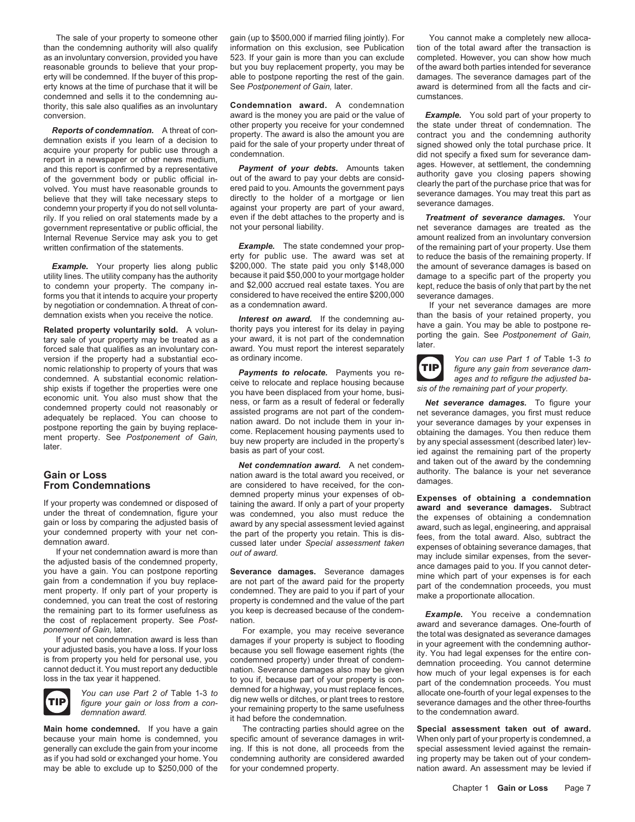than the condemning authority will also qualify information on this exclusion, see Publication tion of the total award after the transaction is as an involuntary conversion, provided you have 523. If your gain is more than you can exclude completed. However, you can show how much reasonable grounds to believe that your prop- but you buy replacement property, you may be of the award both parties intended for severance erty will be condemned. If the buyer of this prop- able to postpone reporting the rest of the gain. damages. The severance damages part of the erty knows at the time of purchase that it will be See *Postponement of Gain,* later. award is determined from all the facts and circondemned and sells it to the condemning au- cumstances. thority, this sale also qualifies as an involuntary **Condemnation award.** A condemnation

**Reports of condemnation.** A threat of con-<br>demnation exists if you learn of a decision to<br>acquire your property of a decision to property. The award is also the amount you are contract you and the condemning authority<br>acq government representative or public official, the not your personal liability.<br>
Internal Revenue Service may ask you to get and your personal liability.<br>
Internal Revenue Service may ask you to get Internal Revenue Service may ask you to get **and all an involunt realized from an involunt** written confirmation of the statements.

version if the property had a substantial eco- as ordinary income. *You can use Part 1 of* Table 1-3 *to* nomic relationship to property of yours that was<br>condemned. A substantial economic relation-<br>ceive to relocate and replace housing because<br>and to refigure the adjusted ba-



The sale of your property to someone other gain (up to \$500,000 if married filing jointly). For You cannot make a completely new alloca-

conversion. award is the money you are paid or the value of *Example.* You sold part of your property to<br>other property you receive for your condemned the state under threat of condemnation. The

rily. If you relied on oral statements made by a even if the debt attaches to the property and is *Treatment of severance damages.* Your

**Example.** The state condemned your prop- of the remaining part of your property. Use them<br>erty for public use. The award was set at to reduce the basis of the remaining property. If erty for public use. The award was set at to reduce the basis of the remaining property. If<br>\$200,000. The state paid you only \$148,000 the amount of severance damages is based on **Example.** Your property lies along public \$200,000. The state paid you only \$148,000 the amount of severance damages is based on illustration. The utility company has the authority because it paid \$50,000 to your mortgage utility lines. The utility company has the authority because it paid \$50,000 to your mortgage holder damage to a specific part of the property you to condemn your property. The company in- and \$2,000 accrued real estate ta to condemn your property. The company in- and \$2,000 accrued real estate taxes. You are<br>forms you that it intends to acquire your property considered to have received the entire \$200,000 forms you that it intends to acquire your property considered to have received the entire \$200,000 severance damages.<br>by negotiation or condemnation. A threat of con- as a condemnation award. If your net sever

demnation exists when you receive the notice.<br> **Related property voluntarily sold.** A volun-<br>
therest on award. If the condemning au-<br> **Related property voluntarily sold.** A volun-<br>
the condemnation bave a gain. You may be

Exists if together the properties were one<br>
signification in the property. See Postponement of Gain,<br>
the remaining part of your property.<br>
To figure you have been displaced from your home, busi-<br>
economic unit. You also m

**Gain or Loss**<br>**Gain or Loss**<br>**From Condemnations** and taken out of the award by the condemning<br>**From Condemnations** are considered to have received, for the con-

it had before the condemnation.

**Main home condemned.** If you have a gain The contracting parties should agree on the **Special assessment taken out of award.** because your main home is condemned, you specific amount of severance damages in writ- When only part of your property is condemned, a generally can exclude the gain from your income ing. If this is not done, all proceeds from the special assessment levied against the remainas if you had sold or exchanged your home. You condemning authority are considered awarded ing property may be taken out of your condemmay be able to exclude up to \$250,000 of the for your condemned property. The mation award. An assessment may be levied if

by negotiation or condemnation. A threat of con- as a condemnation award. The same state of your net severance damages are more



If your property was condemned or disposed of taining wour expenses of ob-<br>
under the threat of condemnation, figure your was condemned, you also must reduce the<br>
gain or loss by comparing the adjusted basis of award by an

the remaining part to its former usefulness as you keep is decreased because of the condemnation<br>the cost of replacement of Gain, later.<br>If your net condemnation award is less than<br>If your net condemnation award is less th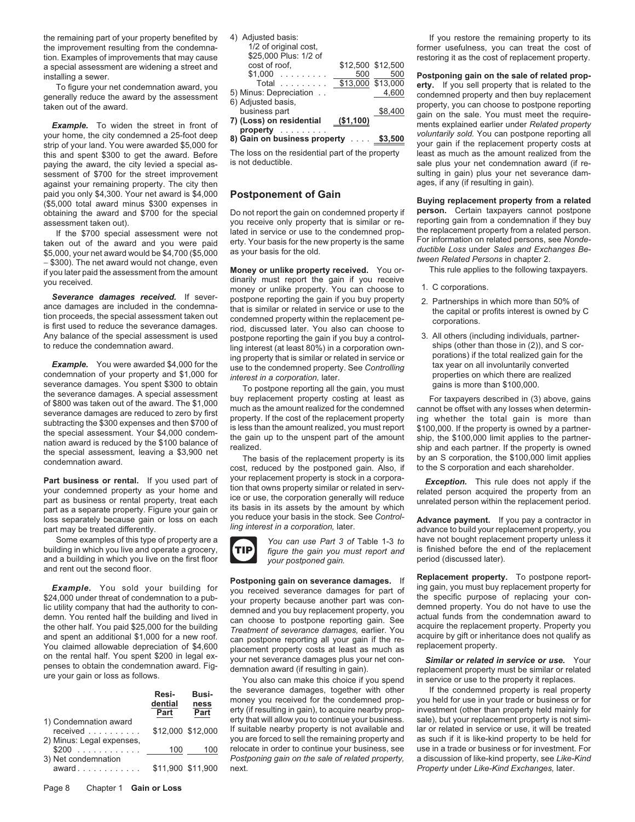the improvement resulting from the condemna-<br>  $1/2$  of original cost,<br>  $25,000$  Plus:  $1/2$  of the cost of replacement property.<br>
The improvements that may cause  $25,000$  Plus:  $1/2$  of the cost of replacement property. tion. Examples of improvements that may cause  $\frac{$25,000 \text{ Plus}: 1/2 \text{ of}}{25,500 \text{ so}}$  restoring it as the cost of replacement property. a special assessment are widening a street and cost of root, \$12,500 \$12,500 \$12,500 \$12,500 and special specia

this and spent \$300 to get the award. Before The loss on the residential part of the property least as much as the amount realized from the property paying the award the city levied a special as is not deductible. paying the award, the city levied a special as- is not deductible.<br>
sessment of \$700 for the street improvement<br>
sessment of \$700 for the street improvement sessment of \$700 for the street improvement sulting in gain) plus your net sulting in gain) plus your net sever<br>against your remaining property. The city then several substitution of the several sulting in gain). against your remaining property. The city then paid you only \$4,300. Your net award is \$4,000 **Postponement of Gain**<br>(\$5,000 total award minus \$300 expenses in<br>obtaining the award and \$700 for the special Do not report the gain on condemned property if **person.** Certai obtaining the award and \$700 for the special Do not report the gain on condemned property if **person.** Certain taxpayers cannot postpone obtaining the award and \$700 for the special Do not report the gain on condemned prop

\$5,000, your net award would be \$4,700 (\$5,000 as your basis for the old.<br>
-\$300). The net award would not change, even the amount if you later paid the assessment from the amount if you later paid the assessment from the

severance damages. You spent \$300 to obtain<br>the severance damages. A special assessment to postpone reporting all the gain, you must<br>of \$800 to state nout of the avard. The \$1,000 the severance damages are reduced to zero

building in which you live and operate a grocery, **inclusing the gain you must report and** is finished before the end a building in which you live on the first floor and a building in which you live on the first floor *your postponed gain.* and rent out the second floor.

and spent an additional \$1,000 for a new roof.<br>
You claimed allowable depreciation of \$4,600<br>
on the rental half. You spent \$200 in legal ex-<br>
penses to obtain the condemnation award. Fig-<br>
your net severance damages plus

|                                     | Resi-<br>dential<br>Part | Busi-<br>ness<br>Part |
|-------------------------------------|--------------------------|-----------------------|
| 1) Condemnation award<br>received   | \$12,000 \$12,000        |                       |
| 2) Minus: Legal expenses,<br>$$200$ | 100                      | 10 <sup>c</sup>       |
| 3) Net condemnation<br>award        | \$11,900 \$11,900        |                       |

assessment taken out). you receive only property that is similar or re-<br>If the \$700 special assessment were not lated in service or use to the condemned prop-<br>taken out of the award and you were paid erty. Your basis for t taken out of the award and you were paid erty. Your basis for the new property is the same For information on related persons, see *Nonde-*<br>\$5,000 your net award would be \$4,700 (\$5,000) as your basis for the old. *ductibl* 

Severance damages received. If sever-<br>ance damages are included in the condemna-<br>that is similar or related in service or use to the<br>tion proceeds, the special assessment taken out<br>is first used to reduce the severance dam Any balance of the special assessment is used<br>to reduce the condemnation award.<br>In the mass of the special assessment is used<br>to reduce the condemnation award.<br>In the set (at least 80%) in a corporation own-<br>ships (other t

**Part business or rental.** If you used part of your replacement property is stock in a corpora-<br>your condemned property as your home and tion that owns property similar or related in serv-<br>part as business or rental proper



**Example.** You sold your building for<br>\$24,000 under threat of condemnation to a pub-<br>lic utility company that had the authority to condemnation to a pub-<br>demned and you buy replacement property, you demned property. You do

the severance damages, together with other If the condemned property is real property<br>money you received for the condemned prop-<br>erty (if resulting in gain), to acquire nearby prop-<br>investment (other than property held mai erty that will allow you to continue your business. sale), but your replacement property is not simi-<br>If suitable nearby property is not available and lar or related in service or use, it will be treated If suitable nearby property is not available and lar or related in service or use, it will be treated you are forced to sell the remaining property and as such if it is like-kind property to be held for you are forced to sell the remaining property and as such if it is like-kind property to be held for<br>relocate in order to continue your business, see use in a trade or business or for investment. For relocate in order to continue your business, see use in a trade or business or for investment. For<br>Postponing gain on the sale of related property, a discussion of like-kind property, see Like-Kind  $Postponing gain on the sale of related property,$ award ............ \$11,900 \$11,900 next. *Property* under *Like-Kind Exchanges,* later.

the remaining part of your property benefited by (a) Adjusted basis:<br>
the improvement resulting from the condemna-<br>
(a) of original cost,<br>
(a) original cost,<br>
(a) one of the remaining property to its 4) Adjusted basis:<br>
(a

\$1,000 . . . . . . . . . 500 500 **Postponing gain on the sale of related prop-** installing a sewer. To figure your net condemnation award, you Total ......... \$13,000 \$13,000 **erty.** If you sell property that is related to the For the award by the assessment<br>
taken out of the award by the assessment<br>
taken out of the award.<br>
Example. To widen the street in front of<br>
your home, the city condemned a 25-foot deep<br>
strip of your land. You were award

- 
- 
- 

Some examples of this type of property are a<br>Iding in which you live and operate a grocery, **TIP** figure the gain you must report and is finished before the end of the replacement

**Postponing gain on severance damages.** If **Replacement property.** To postpone report-<br>VOLL Received severance damages for part of ing gain, you must buy replacement property for

Page 8 Chapter 1 **Gain or Loss**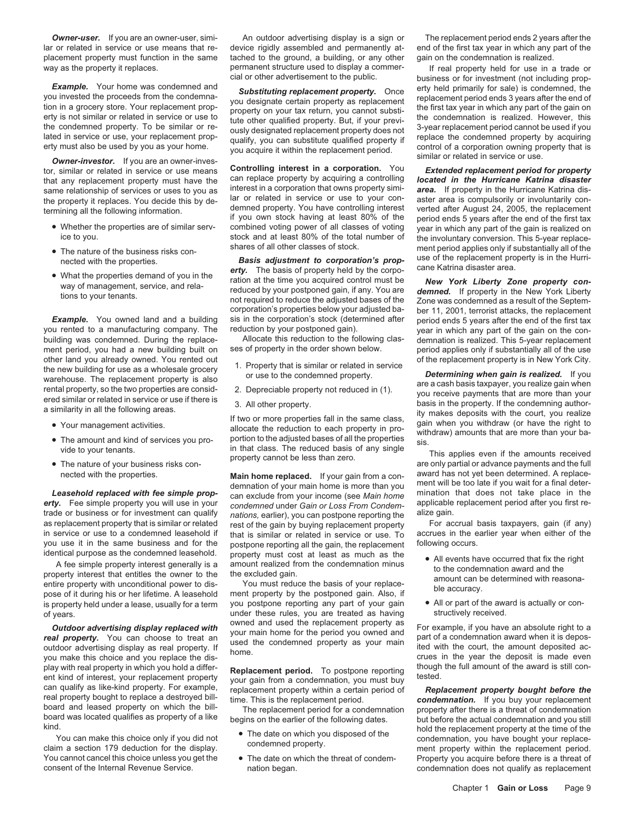lar or related in service or use means that re- device rigidly assembled and permanently at- end of the first tax year in which any part of the placement property must function in the same tached to the ground, a building, or any other gain on the condemnation is realized.

- 
- 
- 

- 
- 
- 

identical purpose as the condemned leasehold. property must cost at least as much as the <br>
A fee simple property interest generally is a amount realized from the condemnation minus<br>
property interest that entitles the owne pose of it during his or her lifetime. A leasehold ment property by the postponed gain. Also, if<br>is property held under a lease, usually for a term you postpone reporting any part of your gain • All or part of the award is

play with real property in which you hold a differ-<br>ent kind of interest, your replacement property<br>can qualify as like-kind property. For example,<br>real property bought to replacement property<br>end a certain period, you mus

way as the property it replaces. permanent structure used to display a commer-<br>cial or other advertisement to the public. business or for investment (not including prop-

tor, similar or related in service or use means **Controlling interest in a corporation.** You *Extended replacement period for property* that any replacement property must have the can replace property by acquiring a controlling *located in the Hurricane Katrina disaster* same relationship of services or uses to you as interest in a corporation that owns property simi-<br>the property it replaces. You decide this by de-<br>lar or related in service or use to your con-<br>aster area is compulsorily o the property it replaces. You decide this by de-<br>termining all the following information.<br>atter area is compulsorily or involuntarily con-<br>if you own stock having at least 80% of the propert period ends 5 years after the e ice to you.<br>stock and at least 80% of the total number of the involuntary conversion. This 5-year replace-<br>shares of all other classes of stock.

exacted with the properties.<br> **Basis adjustment to corporation's prop-** use of the replacement property is in the Hurri-<br> **Exacted with the properties demand of you in the**<br>
What the properties demand of you in the<br>
way of corporation's properties below your adjusted ba-<br>sis in the corporation's stock (determined after period ends 5 years after the end of the first tax

building was condemned. During the replace-<br>The Allocate this reduction to the following demnation is realized. This reduction to the following clas-<br>period applies only if substantially all of the use ment period, you had a new building built on ses of property in the order shown below. period applies only if substantially all of the use

- 
- 
- 

**Example replaced with tee simple prop-**<br> **erty.** Fee simple property you will use in your condemned under Gain or Loss From Condem-<br> **erty.** Fee simple property you will use in your condemned under Gain or Loss From Conde trade or business or for investment can qualify nations, earlier), you can postpone reporting the alize gain.<br>And the gain of that is similar or related rest of the gain by buying replacement property For accrual basis tax rest of the gain by buying replacement property For accrual basis taxpayers, gain (if any) rest of the gain by buying replacement property For accrual basis taxpayers, gain (if any) in service or use to a condemned leasehold if that is similar or related in service or use. To accrues in the e<br>you use it in the same business and for the postpone reporting all the gain, the replacement following occurs. you use it in the same business and for the postpone reporting all the gain, the replacement identical purpose as the condemned leasehold. property must cost at least as much as the

of years.<br>
of years.<br>
of years are treated as having structure of the second vertex received.<br>
of and used the replacement property as

- 
- 

**Owner-user.** If you are an owner-user, simi-<br>An outdoor advertising display is a sign or The replacement period solvens after the

business or for investment (not including prop-**Example.** Your home was condemned and<br>you invested the proceeds from the condemna-<br>tion in a grocery store. Your replacement property on your tax return, you cannot substituting<br>erly is not similar or related in service o

• The nature of the business risks con-<br>- ment period applies only if substantially all of the express of all other classes of stock.<br> **Basis adjustment to corporation's prop-** use of the replacement property is in the Hur

*Example.* You owned land and a building sis in the corporation's stock (determined after period ends 5 years after the end of the first tax you rented to a manufacturing company. The reduction by your postponed gain). uction by your postponed gain). wear in which any part of the gain on the con-<br>Allocate this reduction to the following clas- demnation is realized. This 5-year replacement

of the replacement property is in New York City.<br>
Warehouse. The replacement property is also<br>
warehouse. The replacement property is also<br>
ered similar or related in service<br>
ered similar or related in service or use to t

• The amount and kind of services you pro-<br>
vide to your tenants.<br>
This applies even if the amounts received<br>
This applies even if the amounts received<br>
This applies even if the amounts received<br>
This applies even if the a -nected with the properties. Main home replaced. If your gain from a con-<br>demnation of your main home is more than you ment will be too late if you wait for a final deter-<br>Leasehold replaced with fee simple prop-<br>Leasehold

- 
- 

**Outdoor advertising display replaced with** wour main home for the period you owned and several **property.** You can choose to treat an vour main home for the period you owned and property. You can choose to treat an outdoo

You cannot cancel this choice unless you get the • The date on which the threat of condem-<br>condemnation does not qualify as replacement<br>condemnation does not qualify as replacement nation began. The Internal Revenue Service of the Internal Revenue Service Service Service Service Service Ser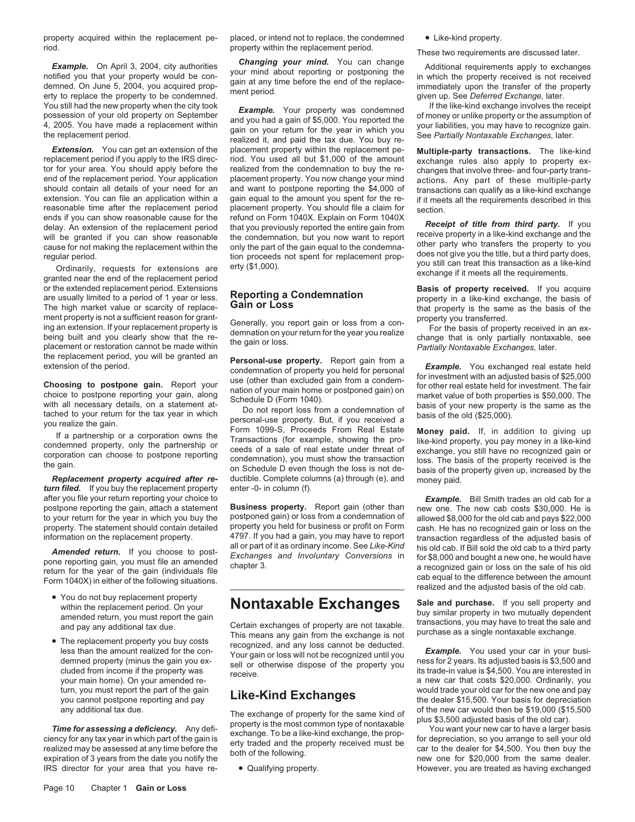property acquired within the replacement pe- placed, or intend not to replace, the condemned • Like-kind property. riod. property within the replacement period. These two requirements are discussed later.<br>Fxample De April 3, 2004, city authorities **Changing your mind.** You can change additional requirements are the evaborary

**Example.** On April 3, 2004, city authorities **Changing your mind.** You can change Additional requirements apply to exchanges your mind about reporting or postponing the notified you that your property would be condemned.

**Extension.** You can get an extension of the placement property within the replacement pe- **Multiple-party transactions.** The like-kind replacement period if you apply to the IRS direc- riod. You used all but \$1,000 of the replacement period if you apply to the IRS direc- riod. You used all but \$1,000 of the amount exchange rules also apply to property ex-<br>tor for your area. You should apply before the realized from the condemnation to buy t tor for your area. You should apply before the realized from the condemnation to buy the re-<br>end of the replacement period. Your application placement property. You now change your mind actions. Any part of these multipleend of the replacement period. Your application placement property. You now change your mind actions. Any part of these multiple-party<br>should contain all details of your need for an and want to postpone reporting the \$4,00 extension. You can file an application within a gain equal to the amount you spent for the re- if it meets all the requirements described in this reasonable time after the replacement period placement property. You should reasonable time after the replacement period placement property. You should file a claim for section.<br>ends if you can show reasonable cause for the refund on Form 1040X. Explain on Form 1040X

or the extended replacement period. Extensions **Basis of property received.** If you acquire or acquire and usually limited to a neriod of 1 year or less **Reporting a Condemnation Basis of property received.** If you acqui are usually limited to a period of 1 year or less. **Reporting a Condemnation** property in a like-kind exchange, the basis of The high market value or scarcity of replace-**Gain or Loss** that property is the same as the basis of the ment property is the same as the basis of the ment property is that property is the same as the basis of the ment pr ment property is not a sufficient reason for grant-<br>ing an extension. If your replacement property is<br>being built and you clearly show that the re-<br>placement or restoration cannot be made within<br>placement or restoration ca

*turn filed.* If you buy the replacement property after you file your return reporting your choice to **Example.** Bill Smith trades an old cab for a **Example.** Bill Smith trades an old cab for a **contrary of the case of a contrary of the case** of the is postpone reporting

- 
- 

You still had the new property when the city took<br>possession of your old property on September<br>4, 2005. You have made a replacement within<br>the replacement period. The replacement period.<br>the replacement period. The replace

the replacement period, you will be granted an<br>extension of the period.<br> **Choosing to postpone gain**. Report you was (other than excluded gain from a<br>
condemnation of property. Report gain from a<br>
choosing to postpone repo **Replacement property acquired after re-** ductible. Complete columns (a) through (e), and money paid.<br> **rn filed.** If you buy the replacement property enter -0- in column (f).

postpone reporting the gain, attach a statement **Business property.** Report gain (other than new one. The new cab costs \$30,000. He is<br>to your return for the year in which you buy the postponed gain) or loss from a condemn postponed gain) or loss from a condemnation of allowed \$8,000 for the old cab and pays \$22,000 property you held for business or profit on Form cash He has no recognized gain or loss on the

• You do not buy replacement property<br>
within the replacement period. On your<br>
amended return, you must report the gain<br>
and pay any additional tax due.<br>
This means any gain from the exchange is not<br>
This means any gain fr

any additional tax due.<br>
Time for assessing a deficiency. Any defi-<br>
Time for assessing a deficiency. Any defi-<br>
ciency for any tax year in which part of the gain is<br>
realized may be assessed at any time before the<br>
exchan

ends if you can show reasonable cause for the<br>
delay. An extension of the replacement period<br>
will be granted if you can show reasonable<br>
will be granted if you can show reasonable<br>
the condemnation, but you now want to re

property. The statement should contain detailed property you held for business or profit on Form cash. He has no recognized gain or loss on the information on the replacement property.<br> **Amended return.** If you choose to p

turn, you must report the part of the gain<br>you cannot postpone reporting and pay<br>any additional tax due.<br>The surplexes of generation for the serve limit of the new car would then be \$19,000 (\$15,500<br>of the new car would th

IRS director for your area that you have re- • Qualifying property. However, you are treated as having exchanged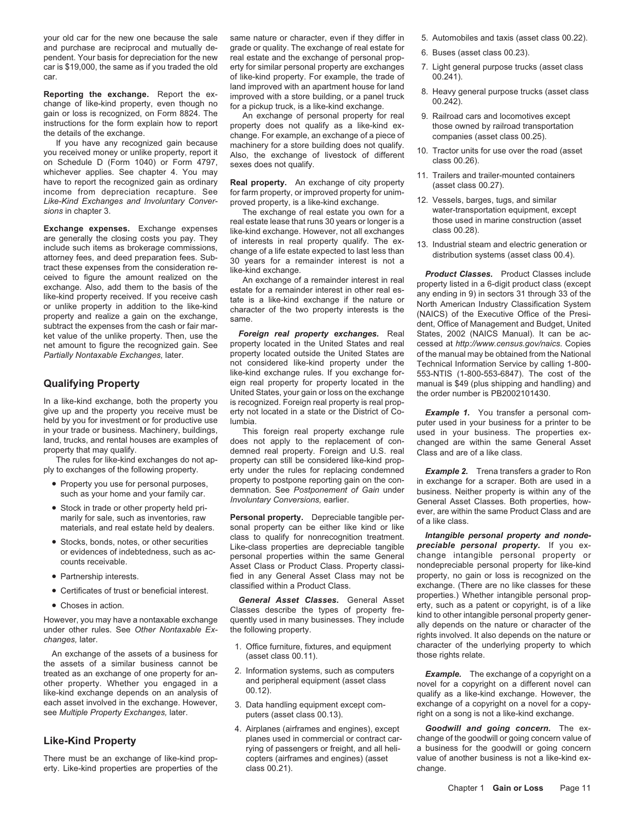michever applies. See chapter 4. You may<br>have to report the recognized gain as ordinary **Real property.** An exchange of city property (asset class 00.27).<br>income from depreciation recapture. See for farm property, or impro *Like-Kind Exchanges and Involuntary Conver-* proved property, is a like-kind exchange. 12. Vessels, barges, tugs, and similar

Exchange expenses. Exchange expenses are generally the closing costs you pay. They of interests in real property and lexchange. However, not all exchange class 00.28).<br>
include such items as brokerage commissions, change o

In a like-kind exchange, both the property you is recognized. Foreign real property is real prop-<br>give up and the property you receive must be erty not located in a state or the District of Cogive up and the property you receive must be erty not located in a state or the District of Co-<br>held by you for investment or for productive use lumbia. held by you for investment or for productive use lumbia.<br>in your trade or business. Machinery, buildings, This foreign real property exchange rule used in your business. The properties ex-

- 
- 
- 
- 
- 
- 

An exchange of the assets of a business for  $($ asset class 00.11). the assets of a similar business cannot be treated as an exchange of one property for an-<br>
other property. Whether you engaged in a and peripheral equipment (asset class novel for a copyright on a different novel can<br>
like-kind exchange depends on an analysis of  $0$ each asset involved in the exchange. However, 3. Data handling equipment except com-<br>see Multiple Property Exchanges, later.<br>putters (asset class 00.13) exchange of a song is not a like-kind exchange.

erty. Like-kind properties are properties of the class 00.21). change.

your old car for the new one because the sale same nature or character, even if they differ in 5. Automobiles and taxis (asset class 00.22). and purchase are reciprocal and mutually de-<br>
pendent. Your basis for depreciation for the new real estate and the exchange of personal prop-<br>
6. Buses (asset class 00.23). car is \$19,000, the same as if you traded the old erty for similar personal property are exchanges 7. Light general purpose trucks (asset class car. **carecally** carecare of like-kind property. For example, the trade of  $0.241$ .

**Reporting the exchange.** Report the ex-<br>
change of like-kind property, even though no for a pictoreal with a store building, or a panel truck<br>
gain or loss is recognized, on Form 8824. The Annexchange of like-kind exchang

ket value of the unlike property. Then, use the **Foreign real property exchanges.** Real States, 2002 (NAICS Manual). It can be ac-<br>net amount to figure the recognized gain. See property located in the United States and rea net amount to figure the recognized gain. See property located in the United States and real cessed at *http://www.census.gov/naics*. Copies *Partially Nontaxable Exchanges, later.* property located outside the United States are of the manual may be obtained from the National net considered like-kind property under the Technical Information Service by calling 1 not considered like-kind property under the like-kind exchange rules. If you exchange forlike-kind exchange rules. If you exchange for-<br>
eign real property for property located in the manual is \$49 (plus shipping and handling) and **Qualifying Property** eign real property for property located in the manual is \$49 (plus shipping and handling) and<br>United States, your gain or loss on the exchange the order number is PB2002101430. United States, your gain or loss on the exchange

in your trade or business. Machinery, buildings, This foreign real property exchange rule used in your business. The properties ex-<br>land, trucks, and rental houses are examples of does not apply to the replacement of con-<br> The rules for like-kind exchanges do not ap- property can still be considered like-kind propply to exchanges of the following property. erty under the rules for replacing condemned **Example 2.** Trena transfers a grader to Ron<br>Property to postpone reporting gain on the con-inexchange for a scraper. Both are used i Property you use for personal purposes, property to postpone reporting gain on the con- in exchange for a scraper. Both are used in a • Property to postpone reporting gain on the con-<br>• Property you use for personal purpos

materials, and real estate held by dealers. sonal property can be either like kind or like<br>Class to qualify for nonrecognition treatment. • Stocks, bonds, notes, or other securities class to qualify for nonrecognition treatment. **Intangible personal property and nonde-**<br>or evidences of indebtedness, such as ac-<br>counts receivable. Asset Class or Product Class

- 
- 
- 
- 
- 
- 
- 
- 
- 
- 
- 
- The exchange of real estate you own for a water-transportation equipment, except<br>Lestate lease that runs 30 years or longer is a whose used in marine construction (asset
	-

such as your home and your family car. demnation. See *Postponement of Gain* under business. Neither property is within any of the • Stock in trade or other property held pri-<br>
Mivoluntary Conversions, earlier.<br>
The Microsofter School of a like classes. Both properties, how-<br>
ever, are within the same Product Class and are<br>
of a like class.<br>
of a like

• Partnership interests. fied in any General Asset Class may not be property, no gain or loss is recognized on the class if class if class if class if class if class if class if class if class if class if class if class if • Certificates of trust or beneficial interest.<br>
• Choses in action.<br>
• Choses in action.<br>
• Choses in action.<br>
• Choses in action.<br>
• Choses in action.<br>
• Choses in action.<br>
• Classes describe the types of property fre-<br> 1. Office furniture, fixtures, and equipment character of the underlying property to which (asset class 00 11)

puters (asset class 00.13). *Property exchange. right on a song is not a like-kind exchange.* 

4. Airplanes (airframes and engines), except *Goodwill and going concern.* The ex-Like-Kind Property **planes used in commercial or contract car-** change of the goodwill or going concern value of regong concern value of regong concern value of regong concern value of regong concern call the strength, and a business for the goodwill or going concern There must be an exchange of like-kind prop- copters (airframes and engines) (asset value of another business is not a like-kind ex-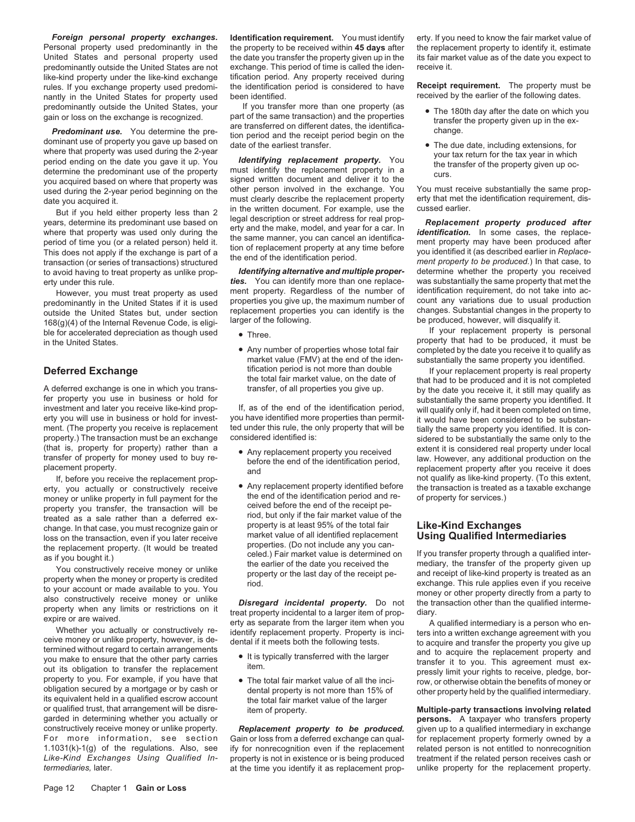Personal property used predominantly in the the property to be received within **45 days** after the replacement property to identify it, estimate United States and personal property used the date you expect to predominantly outside the United States are not exchange. This period of time is called the iden- receive it. like-kind property under the like-kind exchange tification period. Any property received during rules. If you exchange property used predomi- the identification period is considered to have **Receipt requirement.** The property must be nantly in the United States for property used been identified.<br>redominantly outside the United States, your for the property dates.

predominantly outside the United States, your fivou transfer more than one property (as<br>gain or loss on the exchange is recognized. part of the same transaction) and the properties<br>**Predominant use.** You determine the pre-

to avoid having to treat property as unlike prop- *Identifying alternative and multiple proper-* determine whether the property you received

predominantly in the United States if it is used properties you give up, the maximum number of count any variations due to usual production<br>outside the United States but, under section replacement properties you can identi ble for accelerated depreciation as though used <br>
in the United States.<br>
in the United States.<br>
in the United States.

A deferred exchange is one in which you trans-<br>
fer property you use in business or hold for<br>
fer property you identified. It fer property you use in business or hold for<br>investment and later you receive like-kind prop-<br>If, as of the end of the identification period, will qualify only if had it heen completed on time investment and later you receive like-kind prop-<br>
erty you will use in business or hold for invest-<br>
you have heen considered to be substanment. (The property you receive is replacement ted under this rule, the only property that will be tially the same property you identified. It is con-<br>property.) The transaction must be an exchange considered identified is property.) The transaction must be an exchange considered identified is: sidered to be substantially the same only to the

money or unlike property in full payment for the the the end of the identification period and re-<br>- or operty you transfer, the transaction will be a served before the end of the receipt peproperty you transfer, the transaction will be received before the end of the receipt pe-<br>treated as a sale rather than a deferred ex-<br>change in that case you must recognize gain or<br>property is at least 95% of the total fa change. In that case, you must recognize gain or property is at least 95% of the total fair **Like-Kind Exchanges**

loss on the transaction, even if you later receive<br>as in properties. (Do not include any you can-<br>as if you bought it.)<br>as if you bought it, would be treated the replacement properties. (Do not include any you can-<br>as if y or qualified trust, that arrangement will be disre-<br>garded in determining whether you actually or **interest in the original of property**<br>**persons.** A taxpayer who transfers property constructively receive money or unlike property.

*Foreign personal property exchanges.* **Identification requirement.** You must identify erty. If you need to know the fair market value of the date you transfer the property given up in the its fair market value as of the date you expect to

used during the 2-year period beginning on the other person involved in the exchange. You You must receive substantially the same prop-<br>date you acquired it.<br>But if you held either property less than 2 in the written docum

erty under this rule. *ties.* You can identify more than one replace- was substantially the same property that met the However, you must treat property as used ment property. Regardless of the number of identification requirement, do not take into ac-<br>dominantly in the United States if it is used properties you give up, the maximum number

market value (FMV) at the end of the iden-<br>tification period is not more than double<br>the our replacement property is real propert

- 
- 

- 
- 

ify for nonrecognition even if the replacement at the time you identify it as replacement prop- unlike property for the replacement property.

- 
- 

I ince.<br>• Any number of properties whose total fair completed by the date you receive it to qualify as Any number of properties whose total fair completed by the date you receive it to qualify as market value (FMV) at the end of the iden-<br>market value (FMV) at the end of the iden-substantially the same property you identifi

**Deferred Exchange** tification period is not more than double If your replacement property is real property is real property is real property the total fair market value, on the date of that had to be produced and it is no the total fair market value, on the date of that had to be produced and it is not completed<br>transfer, of all properties you give up.<br>by the date you receive it, it still may qualify as you have identified more properties than permit-<br>ted under this rule, the only property that will be tially the same property you identified. It is con-(that is, property for property) rather than a extent it is considered real property under local • Any replacement property you received transfer of property for money used to buy re- law. However, any additional production on the before the end of the identification period, placement property. replacement property after you receive it does and If, before you receive the replacement prop-<br>If is extent in the qualify as like-kind property. (To this extent,<br>If you actually or constructively receive on Any replacement property identified before the transaction is t erty, you actually or constructively receive • Any replacement property identified before the transaction is treated as a taxable exchange<br>money or unlike property in full payment for the the end of the identification peri

**gersons.** A taxpayer who transfers property<br>Replacement property to be produced. given up to a qualified intermediary in exchange For more information, see section Gain or loss from a deferred exchange can qual- for replacement property formerly owned by a<br>1.1031(k)-1(g) of the regulations. Also, see ify for nonrecognition even if the replacement rel *Like-Kind Exchanges Using Qualified In-* property is not in existence or is being produced treatment if the related person receives cash or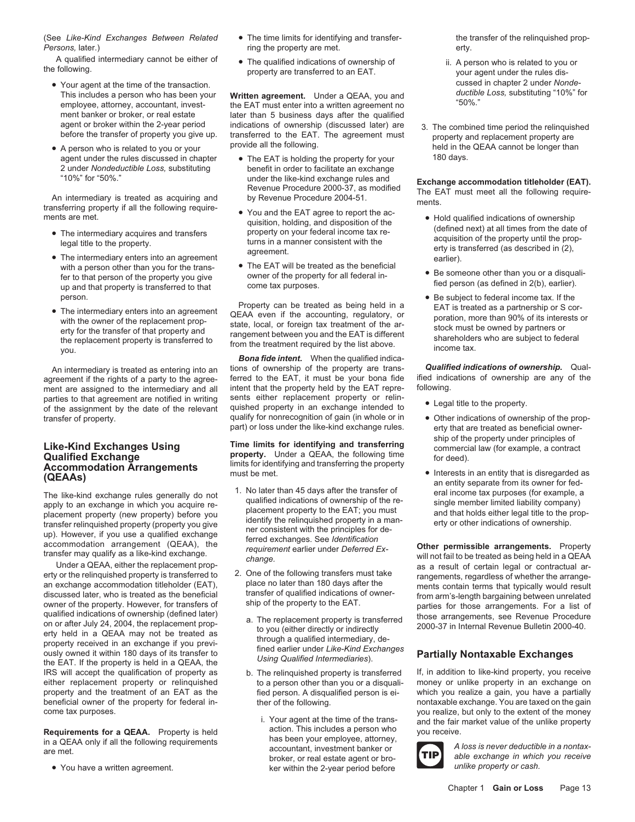(See *Like-Kind Exchanges Between Related* • The time limits for identifying and transfer- the transfer of the relinquished prop-*Persons,* later.) *Persons, later. Persons, later. erty.* **<b>***Persons, later. erty.* 

A qualified intermediary cannot be either of • The qualified indications of ownership of ii. A person who is related to you or property are transferred to an EAT. vour agent under the rules dis-<br>your agent under the rules

- Your agent at the time of the transaction.<br>This includes a person who has been your **Written agreement** Under a OEAA you and *ductible Loss*, substituting "10%" for
- A person who is related to you or your provide all the rollowing.<br>agent under the rules discussed in chapter The EAT is holding the property for your 180 days.

- 
- with a person other than you for the trans-<br>fer to that person of the property you give owner of the property for all federal in-<br>up and that property is transferred to that come tax purposes.<br>tied person (as defined in 2(
- 

agreement if the rights of a party to the agree- ferred to the EAT, it must be your bona fide if individent me<br>ment are assigned to the intermediary and all intent that the property held by the EAT repre- following. ment are assigned to the intermediary and all intent that the property held by the EAT repre-<br>parties to that agreement are notified in writing. Sents either replacement property or relinparties to that agreement are notified in writing sents either replacement property or relin-<br>of the assignment by the date of the relevant quished property in an exchange intended to **•** Legal title to the property.

# **Qualified Exchange**<br> **Accommodation Arrangements**<br> **Accommodation Arrangements**<br> **Accommodation Arrangements**<br> **Accommodation Arrangements**<br> **Accommodation Arrangements**<br> **Accommodation Arrangements**<br> **Accommodation Arran**

erty or the relinquished property is transferred to 2. One of the following transfers must take rangements, regardless of whether the arrange-<br>an exchange accommodation titleholder (EAT), place no later than 180 days after discussed later, who is treated as the beneficial transfer of qualified indications of owner-<br>owner of the property. However, for transfers of ship of the property to the EAT.<br>parties for those arrangements. For a list of owner of the property. However, for transfers of<br>
qualified indications of ownership (defined later)<br>
on or after July 24, 2004, the replacement prop-<br>
erty held in a QEAA may not be treated as<br>
property received in an exc IRS will accept the qualification of property as b. The relinquished property is transferred If, in addition to like-kind property, you receive either replacement property or relinquished to a person other than you or a di either replacement property or relinquished property and the treatment of an EAT as the which you realize a gain, you have a partially beneficial owner of the property for federal in-<br>beneficial owner of the property for federal in-<br>ther of the following.

- 
- 

This includes a person who has been your **Written agreement.** Under a QEAA, you and *ductibl*<br>"50%" employee, attorney, accountant, invest-<br>for the EAT must enter into a written agreement no employee, attorney, accountant, invest-<br>ment banker or broker, or real estate and alter than 5 business days after the qualified ment banker or broker, or real estate later than 5 business days after the qualified agent or broker within the 2-year period indications of ownership (discussed later) are

- 2 under *Nondeductible Loss,* substituting benefit in order to facilitate an exchange
- "10%" for "50%."<br>
An intermediary is treated as acquiring and<br>
transferring property if all the following require-<br>
The EAT must meet all the following require-<br>
transferring property if all the following require-<br>
The E
	-

*Bona fide intent.* When the qualified indica-An intermediary is treated as entering into an tions of ownership of the property are trans- **Qualified indications of ownership.** Qual-<br>The property of the property to the advector of the EAT, it must be your bona fide if transfer of property. <br>part) or loss under the like-kind exchange rules. <br>part) or loss under the like-kind exchange rules. <br>erty that are treated as beneficial owner-

Like-Kind Exchanges Using<br> **Qualified Exchange Time limits for identifying and transferring**<br> **Qualified Exchange COLOGY EXALLECTES COLOGY COLOGY EXALLECTES COLOGY COLOGY COLOGY COLOGY COLOGY COLOGY** 

- The like-kind exchange rules generally do not<br>
apply to an exchange in which you acquire re-<br>
placement property (new property) before you<br>
transfer relinquished property (new property) before you<br>
transfer relinquished pr
	- -
		-
- come tax purposes.<br>
Requirements for a QEAA. Property is held<br>
in a QEAA only if all the following requirements<br>
are met.<br>
are met.<br>
are met. • You have a written agreement. **under the act of the very set of the contract of the contract of the visited before** by the *nonerty or cash.*

- 
- agent or broker within the 2-year period indications of ownership (discussed later) are 3. The combined time period the relinquished<br>before the transfer of property you give up. transferred to the EAT. The agreement must<br>

- legal title to the property.<br>
 The intermediary enters into an agreement<br>
 The EAT will be treated as the beneficial<br>
earlier).<br>
 The EAT will be treated as the beneficial<br>
 The EAT will be treated as the beneficial<br>
	-
- The intermediary enters into an agreement CEAA even if the accounting, regulatory, or with the owner of the replacement prop-<br>
 The intermediary enters into an agreement CEAA even if the accounting, regulatory, or state

- 
- erty that are treated as beneficial ownership of the property under principles of
- 

Under a QEAA, either the replacement prop-<br>enty or the relinquished property is transferred to and the following transfers must take<br>enty or the relinquished property is transferred to 2. One of the following transfers mus place no later than 180 days after the ments contain terms that typically would result<br>transfer of qualified indications of owner-<br>from arm's length bargaining between unrelated

beneficial owner of the property for federal in-<br>
ther of the following. Nontaxable exchange. You are taxed on the gain<br>
you realize, but only to the extent of the money



broker, or real estate agent or bro-<br> **Able exchange in which you receive**<br> **able exchange in which you receive**<br> **able exchange in which you receive**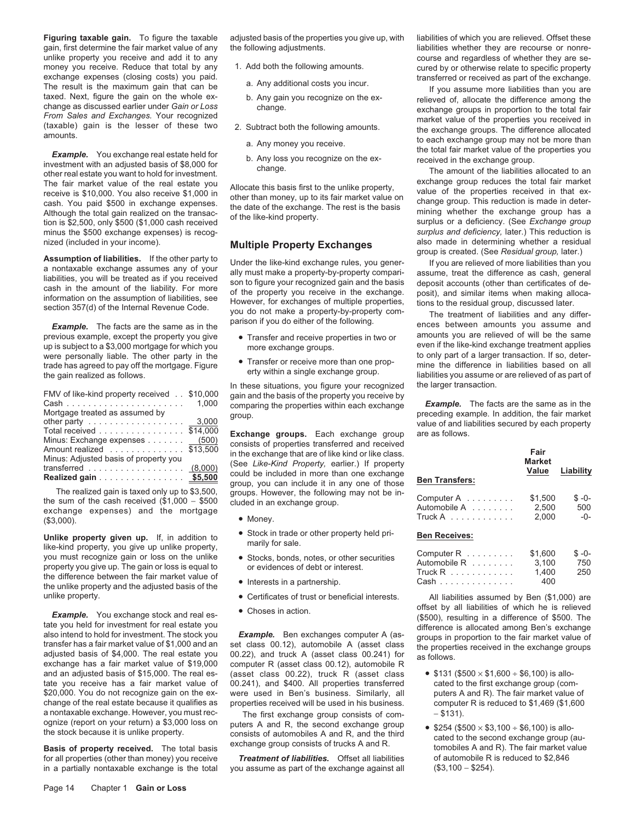unlike property you receive and add it to any and the following amounts.<br>
money you receive. Reduce that total by any 1. Add both the following amounts. 
cured by or otherwise relate to specific property money you receive. Reduce that total by any 1. Add both the following amounts. The cured by or otherwise relate to specific property<br>exchange expenses (closing costs) you paid.

The fair market value of the real estate you<br>receive is \$10,000. You also receive \$1,000 in<br>cash. You paid \$500 in exchange expenses.<br>Although the total gain realized on the transaction is \$2,500, only \$500 (\$1,000 cash re minus the \$500 exchange expenses) is recog-<br>nized (included in your income). *surplus and deficiency,* later.) This reduction is

up is subject to a \$3,000 mortgage for which you were personally liable. The other party in the trade has agreed to pay off the mortgage. Figure<br>the gain realized as follows.<br>frequence in erry within a single exchange group.

| FMV of like-kind property received . \$10,000                 | 1.000 |
|---------------------------------------------------------------|-------|
| Mortgage treated as assumed by                                |       |
| other party $\ldots \ldots \ldots \ldots \ldots \ldots$ 3,000 |       |
| Total received \$14,000                                       |       |
| Minus: Exchange expenses (500)                                |       |
| Amount realized \$13,500                                      |       |
| Minus: Adjusted basis of property you                         |       |
| transferred $\ldots \ldots \ldots \ldots \ldots$ (8,000)      |       |
| Realized gain \$5,500                                         |       |

**Unlike property given up.** If, in addition to<br>
ilke-kind property, you give up unlike property,<br>
you must recognize gain or loss on the unlike<br>
property you give up. The gain or loss is equal to<br>
the difference between th

**Example.** You exchange stock and real es-<br>tate you held for investment for real estate you<br>also intend to hold for investment. The stock you<br>also intend to hold for investment. The stock you<br>tansfer has a fair market valu and an adjusted basis of \$15,000. The real es- (asset class 00.22), truck R (asset class • \$131 (\$500 × \$1,600 ÷ \$6,100) is allotate you receive has a fair market value of 00.241), and \$400. All properties transferred cated to the first exchange group (com- \$20,000. You do not recognize gain on the ex- were used in Ben's business. Similarly, all puters A and R). The fair market value of change of the real estate because it qualifies as properties received will be used in his business. computer R is reduced to \$1,469 (\$1,600 a nontaxable exchange. However, you must rec-<br>a nontaxable exchange. However, you

Figuring taxable gain. To figure the taxable adjusted basis of the properties you give up, with liabilities of which you are relieved. Offset these gain, first determine the fair market value of any the following adjustments. The state of any the following adjustments.

- -
	-
- -
	-

**Assumption of liabilities.** If the other party to<br>a nontaxable exchange assumes any of your<br>liabilities, you will be treated as if you received as if you received as if you received son to figure your make a property-by-p

- 
- 

In these situations, you figure your recognized the larger transaction.<br>gain and the basis of the property you receive by<br>comparing the properties within each exchange **Example.** The facts are the same as in the

**Exchange groups.** Each exchange group are as follows.<br>consists of properties transferred and received Minus: Exchange expenses ....... (500) consists of properties transferred and received Amount realized .............. \$13,500 **Fair** in the exchange that are of like kind or like class. Minus: Adjusted basis of property you **Market** (See *Like-Kind Property,* earlier.) If property transferred .................. (8,000) **Value Liability** could be included in more than one exchange **Realized gain** ................ **\$5,500 Ben Transfers:** group, you can include it in any one of those

- 
- 
- 
- 
- 
- 

a nontaxable exchange. However, you must rec-<br>ognize (report on your return) a \$3,000 loss on puters A and R, the second exchange group a sor a ce ognize (report on your return) a \$3,000 loss on puters A and R, the second exchange group <br>the stock because it is unlike property. consists of automobiles A and R, and the third cated to the second exchange group (au-<br>Bas

for all properties (other than money) you receive *Treatment of liabilities.* Offset all liabilities of automobile R is reduced to \$2,846<br>in a partially nontaxable exchange is the total you assume as part of the exchange in a partially nontaxable exchange is the total you assume as part of the exchange against all

Example. You exchange real estate held for the result is the maximum gain that can be developed to a change.<br>
The result is the maximum gain that can be well as the maximum gain that can be well as detailed as detailed on

nized (included in your income). **Multiple Property Exchanges** also made in determining whether a residual group, later.)

previous example, except the property you give <br>up is subject to a \$3,000 mortgage for which you more exchange groups. even if the like-kind exchange treatment applies • Transfer or receive more than one prop-<br>• Transfer or receive more than one prop-<br>mine the difference in liabilities based on all liabilities you assume or are relieved of as part of

group.<br>group. preceding example. In addition, the fair market<br>value of and liabilities secured by each property

| Minus: Adjusted basis of property you<br>transferred $\ldots \ldots \ldots \ldots \ldots$ (8,000)<br>Realized gain <u>\$5,500</u>        | consists of properties transferred and received<br>in the exchange that are of like kind or like class.<br>(See Like-Kind Property, earlier.) If property<br>could be included in more than one exchange | <b>Ben Transfers:</b>      | Fair<br><b>Market</b><br>Value | Liability        |
|------------------------------------------------------------------------------------------------------------------------------------------|----------------------------------------------------------------------------------------------------------------------------------------------------------------------------------------------------------|----------------------------|--------------------------------|------------------|
| The realized gain is taxed only up to \$3,500.<br>the sum of the cash received $(\$1,000 - \$500$<br>exchange expenses) and the mortgage | group, you can include it in any one of those<br>groups. However, the following may not be in-<br>cluded in an exchange group.                                                                           | Computer A<br>Automobile A | \$1,500<br>2.500               | $S - O -$<br>500 |
| (\$3,000).                                                                                                                               | • Money.                                                                                                                                                                                                 | $True kA$                  | 2.000                          | -0-              |
| Unlike property given up. If, in addition to<br>like-kind property, you give up unlike property,                                         | • Stock in trade or other property held pri-<br>marily for sale.                                                                                                                                         | <b>Ben Receives:</b>       |                                |                  |
| vou must recognize gain or loss on the unlike                                                                                            | e Cteske honde notes or other conviting                                                                                                                                                                  | Computer $R$               | \$1,600                        | $S - O -$        |

| Computer $R$                       | \$1,600 | $S - O -$ |
|------------------------------------|---------|-----------|
| Automobile R                       | 3.100   | 750       |
| Truck $R$                          | 1.400   | 250       |
| $Cash \ldots \ldots \ldots \ldots$ | 400     |           |

unlike property. **• Certificates of trust or beneficial interests.** All liabilities assumed by Ben (\$1,000) are

- 
-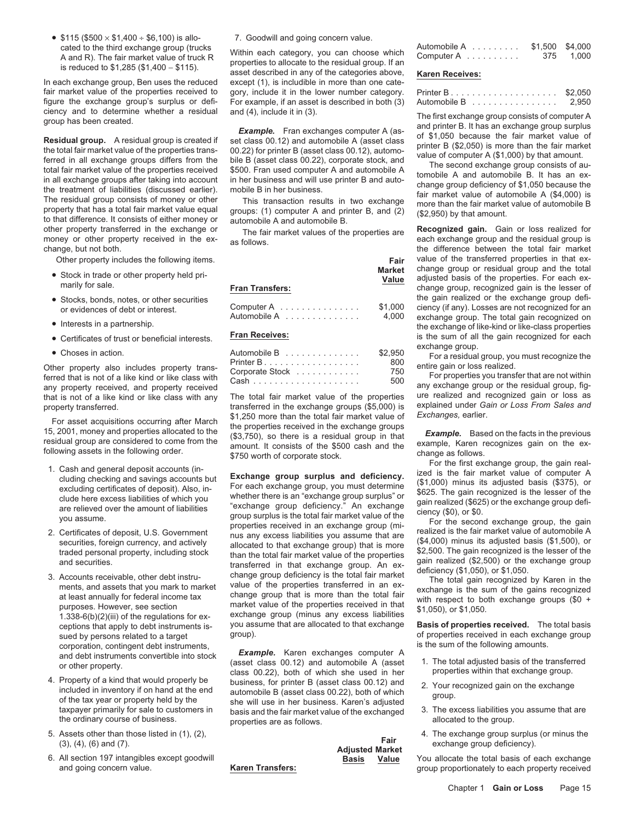•  $$115 ($500 \times $1,400 \div $6,100)$  is allo- 7. Goodwill and going concern value.

In each exchange group, Ben uses the reduced except (1), is includible in more than one catefair market value of the properties received to gory, include it in the lower number category.<br>
figure the exchange group's surplus or defi- For example, if an asset is described in both (3)

ciency and to determine whether a residual and (4), include it in (3).<br> **Example.** Fran exchanges computer A (as-<br> **Residual group**. A residual group is created if<br> **Example.** Fran exchanges computer A (as-<br> **Residual grou** 

- 
- 
- 
- 
- 

For properties you transfer that are not within<br>any property received, and property received any property received<br>that is not of a like kind or like class with any<br>the total fair market value of the properties ure realize

- 
- 
- corporation, contingent debt instruments,<br>and debt instruments convertible into stock **Example.** Karen exchanges computer A
- 
- 
- 

cated to the third exchange group (trucks Within each category, you can choose which Automobile A ......... \$1,500 \$4,000<br>A and R). The fair market value of truck R properties to allocate to the residual group. If an asset For example, if an asset is described in both (3)

| <b>Fran Transfers:</b>     | <b>Market</b><br>Value |
|----------------------------|------------------------|
| Computer A<br>Automobile A | \$1,000<br>4,000       |

| • Choses in action.                                  | Automobile B                          | \$2.950    | exchange group.<br>For a residual group, you must recognize the                                  |
|------------------------------------------------------|---------------------------------------|------------|--------------------------------------------------------------------------------------------------|
| Other property also includes property trans-         | <b>Printer B</b> .<br>Corporate Stock | 800<br>750 | entire gain or loss realized.                                                                    |
| ferred that is not of a like kind or like class with | Cash                                  | 500        | For properties you transfer that are not within<br>any oxobongo group or the regidual group fig. |

property transferred. transferred in the exchange groups (\$5,000) is explained under *Gain or Loss From Sales and*<br>51.250 more than the total fair market value of *Exchanges*, earlier. \$1,250 more than the total fair market value of

For a set acquisitions occurring after March (S3,750), on the exchange group and exchange group in that exchange group in the exchange group in the exchange group in the exchange group in the exchange and the exchange and ceptions that apply to debt instruments is- you assume that are allocated to that exchange **Basis of properties received.** The total basis

and debt instruments convertible into stock **Example.** Karen exchanges computer A<br>or other property (asset class 00.12) and automobile A (asset Frame that would property and the transferred class the transferred class 00.12) and automobile A (asset 1. The total adjusted basis of the transferred class 00.22), both of which she used in her properties within that exc 4. Property of a kind that would properly be business, for printer B (asset class 00.12) and included in inventory if on hand at the end automobile B (asset class 00.22), both of which of the tax year or property held by t the ordinary course of business. example or properties are as follows. The properties are as follows.

| utomobile A ........ |  |  |  |  | \$1,500 \$4,000 |           |
|----------------------|--|--|--|--|-----------------|-----------|
| omputer $A$          |  |  |  |  |                 | 375 1.000 |

|              |   |  |  |  |  |  |  |  | \$2,050 |
|--------------|---|--|--|--|--|--|--|--|---------|
| Automobile B | . |  |  |  |  |  |  |  | 2.950   |

other property transferred in the exchange or<br>money or other property received in the ex-<br>change, but not both.<br>change, but not both.<br>change, but not both.<br>change, but not both. the difference between the total fair market Other property includes the following items.<br> **Fair** value of the transferred properties in that ex-<br> **Fair** value of the transferred properties in that ex-<br> **Market** change group or residual group and the total **Market** change group or residual group and the total<br>- Market change group or residual group and the total<br>change group, recognized gain is the lesser of<br>change group, recognized gain is the lesser of • Stocks, bonds, notes, or other securities the gain realized or the exchange group defi-<br>or evidences of debt or interest. Computer A . . . . . . . . . . . . . . \$1,000 ciency (if any). Losses are not recognized for an ciency (if any). Losses are not recognized for an Automobile A .............. 4,000 exchange group. The total gain recognized on<br>the exchange of like-kind or like-class properties<br>is the sum of all the gain recognized for each<br>is the sum of all the gain recognized for eac • Certificates of trust or beneficial interests. **Fran Receives:** is the sum of all the gain recognized for each exchange group.

that is not of a like kind or like class with any The total fair market value of the properties ure realized and recognized gain or loss as<br>transferred in the exchange groups (\$5.000) is explained under Gain or Loss From S

sued by persons related to a target group).<br>
sued by persons related to a target group<br>
corporation contingent debt instruments.<br>  $\blacksquare$ 

- 
- 
- 
- 5. Assets other than those listed in (1), (2), **6. Assets other than those listed in (1), (2),** 4. The exchange group surplus (or minus the **Fair** exchange group deficiency).<br>**Adjusted Market** exchange group deficiency).

6. All section 197 intangibles except goodwill **Basis Value** You allocate the total basis of each exchange group proportionately to each property received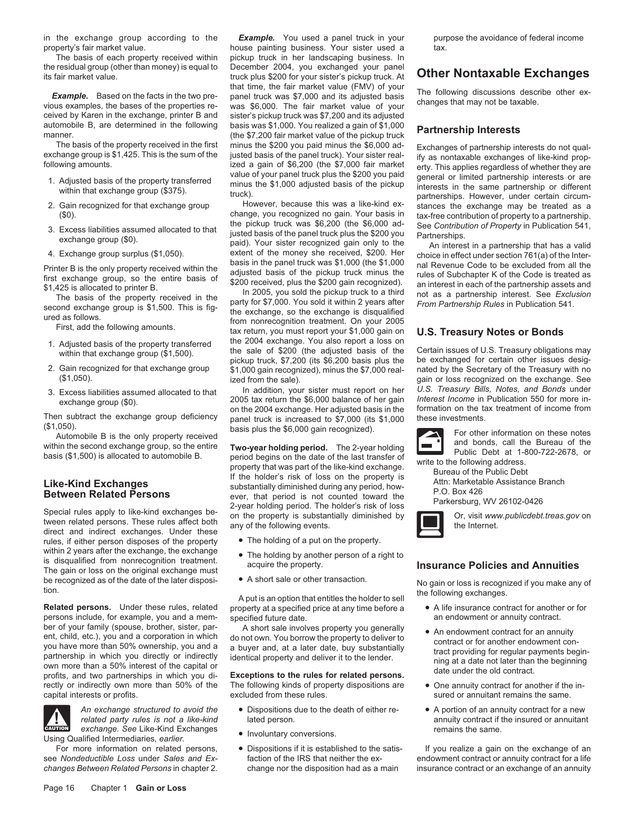in the exchange group according to the *Example.* You used a panel truck in your purpose the avoidance of federal income property's fair market value. house painting business. Your sister used a tax.

the residual group (other than money) is equal to December 2004, you exchanged your panel its fair market value.<br>its fair market value. **Exchanges** truck plus \$200 for your sister's pickup truck. At **Other Nontaxable Exchanges** 

ceived by Karen in the exchange, printer B and sister's pickup truck was \$7,200 and its adjusted automobile B, are determined in the following basis was \$1,000. You realized a gain of \$1,000

- 
- 
- 
- 

- 
- 
- 

Then subtract the exchange group deficiency panel truck is increased to \$7,000 (its \$1,000 (\$1,000 these investments).

rules, if either person disposes of the property • The holding of a put on the property. within 2 years after the exchange, the exchange<br>
is disqualified from nonrecognition treatment.<br>
The gain or loss on the original exchange must<br>
be recognized as of the date of the later disposi-<br>
A short sale or other tra

**Related persons.** Under these rules, related property at a specified price at any time before a • A life insurance contract for another persons include, for example, you and a mem-<br>
specified future date. an endowment or persons include, for example, you and a mem-<br>ber of your family (spouse, brother, sister, par-<br>A short sale involved and the proof of the par-<br>A short sale involved and the parber of your family (spouse, brother, sister, parches about sale involves property you generally<br>ent, child, etc.), you and a corporation in which<br>you have more than 50% ownership, you and a<br>partnership in which you directl rectly or indirectly own more than 50% of the The following kinds of property dispositions are • One annuity contract for another if the in-<br>capital interests or profits. excluded from these rules. sured or annuitant remai



**exchange.** See Like-Kind Exchanges **a** Involuntary conversions. **CAUTION Exchange. CAUTION CAUTION CAUTION** Using Qualified Intermediaries, earlier.

The basis of each property received within pickup truck in her landscaping business. In that time, the fair market value (FMV) of your<br>**Example.** Based on the facts in the two pre-<br>vious examples, the bases of the properties re-<br>was \$6,000. The fair market value of your<br>changes that may not be taxable. automobile B, are determined in the following basis was \$1,000. You realized a gain of \$1,000 **Partnership Interests**<br>manner. (the \$7,200 fair market value of the pickup truck<br>The basis of the property received in the firs

(\$0). Change, you recognized no gain. Your basis in<br>3. Excess liabilities assumed allocated to that interprick was \$6,200 (the \$6,000 ad See Contribution of Property to a partnership.<br>8. Excess liabilities assumed allocate

4. Exchange group surplus (\$1,050).<br>
Printer B is the only property received within the pass in the panel truck was \$1,000 (the \$1,000) comes in the panel truck was \$1,000 (the \$1,000) comes in the particle saiss of the p

(\$1,050).<br>
Automobile B is the only property received<br>
within the second exchange group, so the entire<br>
basis plus the \$6,000 gain recognized).<br>
within the second exchange group, so the entire<br>
basis (\$1,500) is allocated **Between Related Persons**<br>Special rules apply to like-kind exchanges be-<br>seen holding period. The holder's risk of loss<br>tween related persons. These rules affect both any of the following events.<br>direct and indirect exchan

- 
- 
- 

- *An exchange structured to avoid the* Dispositions due to the death of either re-<br>
related party rules is not a like-kind lated person.<br>
annuity contract if the insured or annuitan
	-
	-

The basis of the property received in the first minus the \$200 you paid minus the \$6,000 ad-<br>exchange group is \$1,425. This is the sum of the justed basis of the panel truck). Your sister real-<br>following amounts.<br>1. Adjust 2. Gain recognized for that exchange group However, because this was a like-kind ex-<br>
(\$0). Cain recognized no gain. Your basis in tax-free contribution of property to a partnership.

2. Gain recognized for that exchange group pickup truck, \$7,200 (its \$6,200 basis plus the be exchanged for certain other issues desig-<br>\$1,000 gain recognized), minus the \$7,000 real- nated by the Secretary of the Treasury (ized from the sale). gain or loss recognized on the exchange. See<br>In addition. your sister must report on her U.S. Treasury Bills, Notes, and Bonds under In addition, your sister must report on her *U.S. Treasury Bills, Notes, and Bonds* under 3. Excess liabilities assumed allocated to that exchange group (\$0). 2005 tax return the \$6,000 balance of her gain *Interest Income* in Publication 550 for more in-<br>on the 2004 exchange group deficiency on the 2004 exchange. Her adjusted basis in the tax treatment of i





be recognized as of the date of the later disposi-<br>tion.<br>**Related persons.** Under these rules, related property at a specified price at any time before a<br>**Related persons.** Under these rules, related property at a specifie

- 
- 
- sured or annuitant remains the same.
- *related person. relation rules is a like-kindren annuity contract if the insured or annuitant*

For more information on related persons, <br>see Nondeductible Loss under Sales and Ex-<br>faction of the IRS that neither the ex-<br>endowment contract or annuity contract for a life endowment contract or annuity contract for a life *changes Between Related Persons* in chapter 2. change nor the disposition had as a main insurance contract or an exchange of an annuity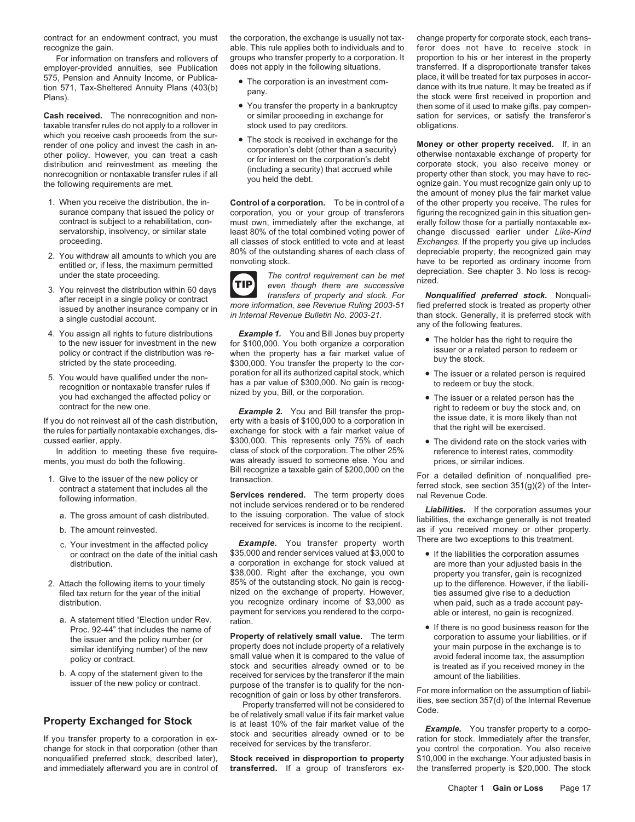employer-provided annuities, see Publication does not apply in the following situations. The transferred. If a disproportionate transfer takes<br>575 Pension and Annuity Income, or Publica-<br>575 Pension and Annuity Income, or

taxable transfer rules do not apply to a rollover in stock used to pay creditors. The soligations. Which you receive cash proceeds from the sur-<br>
render of one policy and invest the cash in an-<br>
other policy. However, you can treat a cash<br>
distribution and reinvestment as meeting the<br>
nonrecognition or nontaxable transf

- 
- 
- 
- 
- 5. You would have qualified under the non-<br>
recognition or nontaxable transfer rules if<br>
you had exchanged the affected policy or<br>
you had exchanged the affected policy or<br>
you had exchanged the affected policy or<br>
you, Bi

- -
	-
	-
- -
	-

contract for an endowment contract, you must the corporation, the exchange is usually not tax- change property for corporate stock, each transrecognize the gain. **Able. This rule applies both to individuals and to** feror does not have to receive stock in

- 
- 
- 

surance company that issued the policy or corporation, you or your group of transferors figuring the recognized gain in this situation gen-<br>contract is subject to a rehabilitation, con- must own, immediately after the exch must own, immediately after the exchange, at servatorship, insolvency, or similar state least 80% of the total combined voting power of change discussed earlier under *Like-Kind*<br>proceeding. all classes of stock entitled to vote and at least *Exchanges*. If the prope proceeding. all classes of stock entitled to vote and at least *Exchanges.* If the property you give up includes



4. You assign all rights to future distributions<br>to the new issuer for investment in the new for \$100,000. You both organize a corporation<br>policy or contract if the distribution was re-<br>stricted by the state proceeding. \$3

contract for the new one.<br>If you do not reinvest all of the cash distribution, erty with a basis of \$100,000 to a corporation in<br>the rules for partially nontaxable exchanges, dis-<br>the rules for partially nontaxable exchang cussed earlier, apply. \$300,000. \$300,000. This represents only 75% of each • The dividend rate on the stock varies with <br>In addition to meeting these five require- class of stock of the corporation. The other 25% referenc In addition to meeting these five require-<br>
ments, you must do both the following. Was already issued to someone else. You and prices, or similar indices. was already issued to someone else. You and

<sup>21</sup> Bill recognize a taxable gain of \$200,000 on the<br>
21. Give to the issuer of the new policy or<br>
21. Give to the issuer of the new policy or<br>
21. Give to the issuer of the new policy or<br>
21. Give to the issuer of the ne

C. Your investment in the affected policy **Example.** You transfer property worth There are two exceptions to this treatment.<br>Or contract on the date of the initial cash \$35,000 and render services valued at \$3,000 to ● If or contract on the date of the initial cash \$35,000 and render services valued at \$3,000 to • If the liabilities the corporation assumes distribution. a corporation in exchange for stock valued at are more than you compared basis in the system of the exchange, you compared basis in the system of the system of the system of the system of the system of the sy 2. Attach the following items to your timely 85% of the outstanding stock. No gain is recogfiled tax return for the year of the initial **the initial** initial on the exchange of property. However, ties assumed give rise to a deduction distribution. The same of the secognize ordinary income of \$3,000 as when paid, such as a trade account paypayment for services you rendered to the corpo-<br>able or interest, no gain is recognized.<br>Proc. 92-44" that includes the name of **able of the contact of the contact of the e** If there is no good business reason for

the issuer and the policy number (or<br>
similar identifying number) of the new<br>
policy or contract.<br>
b. A copy of the statement given to the<br>
b. A copy of the statement given to the<br>
b. A copy of the statement given to the<br>

issuer of the new policy or contract.<br>
Top erty Exchanged for Stock<br>
From the assumption of liabil-<br>
Property transferred will not be considered to<br>
is at least 10% of the fair market value of the<br>
If you transfer property

For information on transfers and rollovers of groups who transfer property to a corporation. It proportion to his or her interest in the property plover-provided annuities, see Publication does not apply in the following s 575, Pension and Annuity Income, or Publica- ● The corporation is an investment com- place, it will be treated for tax purposes in accor-<br>tion 571, Tax-Sheltered Annuity Plans (403(b) pany. https://www.com/stance with its • You transfer the property in a bankruptcy then some of it used to make gifts, pay compen-<br>or similar proceeding in exchange for sation for services, or satisfy the transferor's Cash received. The nonrecognition and non- or similar proceeding in exchange for sation for services, or satisfy the transferor's taxable transferorical textion for services or satisfy the transferor's castisfy the transfe

the amount of money plus the fair market value 1. When you receive the distribution, the in- **Control of a corporation.** To be in control of a of the other property you receive. The rules for 2. You withdraw all amounts to which you are<br>
entitled or, if less, the maximum permitted<br>
2. You reinvest the distribution within 60 days<br>
3. You reinvest the distribution within 60 days<br>
a the maximum of the state procee

ansiers of property and stock. For **Nonqualities preferred stock.** Nonqualities is<br>issued by another insurance company or in<br>a single custodial account. *in Internal Revenue Bulletin No. 2003-21*. Than stock. Generally, it

- 
- 
- 
- 

- property you transfer, gain is recognized<br>up to the difference. However, if the liabili-
- Proc. 92-44" that includes the name of **•** If there is no good business reason for the issuer and the policy number (or **Property of relatively small value.** The term **•** corporation to assume your liabilities, or if

nonqualified preferred stock, described later), **Stock received in disproportion to property** \$10,000 in the exchange. Your adjusted basis in and immediately afterward you are in control of **transferred.** If a group of transferors ex- the transferred property is \$20,000. The stock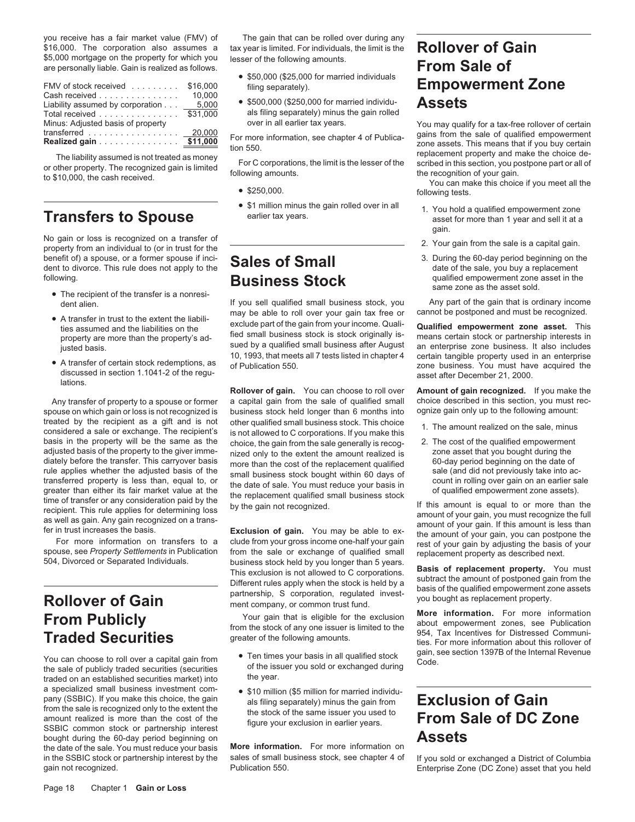\$16,000. The corporation also assumes a tax year is limited. For individuals, the limit is the **Rollover of Gain**<br>\$5,000 mortgage on the property for which you lesser of the following amounts. \$5,000 mortgage on the property for which you are personally liable. Gain is realized as follows. **From Sale of** • \$50,000 (\$25,000 for married individuals

| FMV of stock received \$16,000                          |          |
|---------------------------------------------------------|----------|
| Cash received                                           | 10.000   |
| Liability assumed by corporation 5,000                  |          |
| Total received                                          | \$31,000 |
| Minus: Adjusted basis of property                       |          |
| transferred $\ldots \ldots \ldots \ldots \ldots$ 20,000 |          |
| Realized gain \$11,000                                  |          |

No gain or loss is recognized on a transfer of property from an individual to (or in trust for the  $\overline{Q}$   $\overline{Q}$   $\overline{Q}$   $\overline{Q}$   $\overline{Q}$   $\overline{Q}$   $\overline{Q}$   $\overline{Q}$   $\overline{Q}$   $\overline{Q}$   $\overline{Q}$   $\overline{Q}$   $\overline{Q}$   $\overline{$ benefit of) a spouse, or a former spouse if inci-<br>
dent to divorce. This rule does not apply to the **Sales of Small** dent to divorce. This rule does not apply to the<br> **Business Ctools**<br> **Business Ctools**<br> **Business Ctools** 

- 
- 
- 

spouse on which gain or loss is not recognized is treated by the recipient as a gift and is not treated by the recipient as a gift and is not other qualified small business stock. This choice<br>considered a sale or exchange. The recipient's is not allowed to C corporations. If you make this<br>basis in the property will b adjusted basis of the property to the giver imme-<br>diately before the transfer. This carryover basis more than the cost of the replacement qualified 60-day period beginning on the date of diately before the transfer. This carryover basis more than the cost of the replacement qualified 60-day period beginning on the date of rule applies whether the adjusted basis of the comell business stock bought within 60 The applies whether the adjusted basis of the small business stock bought within 60 days of<br>
transferred property is less than, equal to, or<br>
greater than either its fair market value at the<br>
direction of transfer or any c

a specialized small business investment com-<br>
pany (SSBIC). If you make this choice, the gain als filing separately) minus the gain from<br>
from the sale is recognized only to the extent the the stock of the same issuer you From the state is recognized only to the state the stock of the same issuer you used to **From Sale of DC Zone** SSBIC common stock or partnership interest bought during the 60-day period beginning on<br>the date of the sale. You must reduce your basis **More information**. For more information on the date of the sale. You must reduce your basis **More information.** For more information on in the SSBIC stock or partnership interest by the sales of small business stock, see chapter 4 of If you sold or exchanged a District of Columbia<br>Enterprise Zone (DC Zone) asset that you held gain not recognized. Publication 550. Enterprise Zone (DC Zone) asset that you held

you receive has a fair market value (FMV) of The gain that can be rolled over during any

- 
- als filing separately) minus the gain rolled

- 
- 

• A transfer in trust to the extent the liabili-<br>ties assumed and the liabilities on the exclude part of the gain from your income. Quali-<br>**Qualified empowerment zone asset.** This exclude part of the gain from your income. Quali-<br>fied small business stock is stock originally isproperty are more than the property's ad-<br>sued by a qualified small business after August an enterprise zone business. It also includes sued by a qualified small business after August an enterprise zone business. It also includes<br>10, 1993, that meets all 7 tests listed in chapter 4 certain tangible property used in an enterprise

**Rollover of gain.** You can choose to roll over **Amount of gain recognized.** If you make the a capital qain from the sale of qualified small choice described in this section, you must rec-Any transfer of property to a spouse or former a capital gain from the sale of qualified small choice described in this section, you must recognized is business stock held longer than 6 months into ognize gain only up to t choice, the gain from the sale generally is recog-<br>
nized only to the extent the amount realized is<br>
20ne asset that you bought during the

spouse, see *Property Settlements* in Publication<br>
504, Divorced or Separated Individuals.<br>
504, Divorced or Separated Individuals.<br>
504, Divorced or Separated Individuals.<br>
504, Divorced or Separated Individuals.<br>
5010000

- You can choose to roll over a capital gain from state of the issuer your basis in all qualified stock gain, see section 1397B of the Internal Revenue<br>the sale of publicly traded securities (securities state of the issuer y
	-

# Fampowerment Zone<br>
Filing separately). **Empowerment Zone**<br>
S<sub>500,000</sub> (\$250,000 for married individu-<br> **Assets**

over in all earlier tax years. You may qualify for a tax-free rollover of certain transferred<br> **Realized gain**<br> **Realized gain**<br> **Realized gain**<br> **Realized gain**<br> **Realized gain**<br> **Realized gain**<br> **Realized gain**<br> **Realized gain**<br> **Realized gain**<br> **Realized gain**<br> **Realized gain**<br> **Realized gain**<br> **Rea** 

- \$1 million minus the gain rolled over in all a qualified empowerment zone earlier tax years.<br>**Transfers to Spouse** earlier tax years. gain.
	-
- **Following. following. a Business Stock** same zone as the asset in the same zone as the asset in the same zone as the asset sold.<br>
If you sell qualified small business stock, you Any part of the gain that is ordinary

dent alien. If you sell qualified small business stock, you Any part of the gain that is ordinary income<br>may be able to roll over your gain tax free or cannot be postponed and must be recognized.

10, 1993, that meets all 7 tests listed in chapter 4<br>• A transfer of certain stock redemptions, as<br>discussed in section 1.1041-2 of the regu-<br>lations.<br>lations.

- 
- 

**From Publicly**<br>
Fraction **Publication**<br>
Fraction **Publication**<br>
from the stock of any one issuer is limited to the stock of any one information. The stock of any one issuer is limited to the stock of any one information a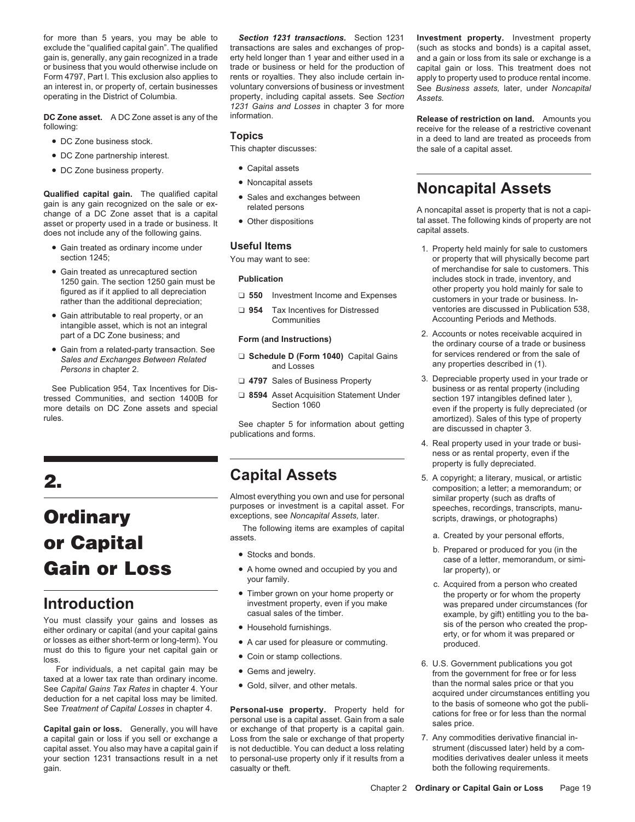for more than 5 years, you may be able to *Section 1231 transactions.* Section 1231 **Investment property.** Investment property exclude the "qualified capital gain". The qualified transactions are sales and exchanges of prop- (such as stocks and bonds) is a capital asset, gain is, generally, any gain recognized in a trade erty held longer than 1 ye or business that you would otherwise include on trade or business or held for the production of capital gain or loss. This treatment does not form and the production of the production of the production of the production of Form 4797, Part I. This exclusion also applies to rents or royalties. They also include certain in- apply to property used to produce rental income.<br>An interest in, or property of, certain businesses voluntary conversions

**DC Zone asset.** A DC Zone asset is any of the information. **Release of restriction on land.** Amounts you contained a set is any of the information. **Release of restriction on land.** Amounts you

- 
- DC Zone partnership interest.
- DC Zone business property. Capital assets

**Solutified capital gain.** The qualified capital<br>
gain is any gain recognized on the sale or ex-<br>
change of a DC Zone asset that is a capital<br>
asset or property used in a trade or business. It <br>
does not include any of the

- 
- 
- 
- 

See Publication 954, Tax Incentives for Dis-<br>tressed Communities, and section 1400B for **a 8594** Asset Acquisition Statement Under section 197 intangibles defined later ),<br>Section 1060<br>Section 1060<br>Section 1060 more details on DC Zone assets and special Section 1060 even if the property is fully depreciated (or

# purposes or investment is a capital asset. For speeches, recordings, transcripts, manu-<br>exceptions, see *Noncapital Assets*, later.<br>The following items are examples of capital<br>**Ordinary** scripts, drawings, or photographs) The following items are examples of capital a. Created by your personal efforts,<br>
a. Created by your personal efforts,<br> **Cain or Loss**<br> **Cain** or Loss and bonds.<br> **Cain** or Loss examples of capital<br>  $\bullet$  Stocks and bonds.

a capital gain or loss if you sell or exchange a Loss from the sale or exchange of that property 7. Any commodities derivative financial in-<br>capital asset. You also may have a capital gain if is not deductible. You can ded capital asset. You also may have a capital gain if is not deductible. You can deduct a loss relating strument (discussed later) held by a com-<br>your section 1231 transactions result in a net to personal-use property only if your section 1231 transactions result in a net to personal-use property only if it results from a gain. **casualty or theft.** casualty or theft. **both the following requirements.** 

property, including capital assets. See Section **Assets.** *1231 Gains and Losses* in chapter 3 for more

- 
- Noncapital assets
- 
- 

- 
- 

- 
- 
- 

rules. Sales of this type of property<br>
See chapter 5 for information about getting<br>
publications and forms.<br>
publications and forms.

Almost everything you own and use for personal similar property (such as drafts of purposes or investment is a capital asset. For speeches recordings transcripts

- 
- 
- Timber grown on your home property or investment property, even if you make
- 
- 
- 
- 
- 

erty held longer than 1 year and either used in a and a gain or loss from its sale or exchange is a trade or business or held for the production of capital gain or loss. This treatment does not an interest in, or property of, certain businesses voluntary conversions of business or investment See *Business assets,* later, under *Noncapital*

Forceive for the release of a restrictive covenant<br>Topics<br>in a deed to land are treated as proceeds from • DC Zone business stock. **TOPICS**<br>This chapter discusses: The sale of a capital asset.

- Gain treated as ordinary income under **Useful Items 1.** Property held mainly for sale to customers vou may want to see:<br>The may want to see: **1. Property that will physically become part** or property that will physical You may want to see:  $\frac{1}{2}$  or property that will physically become part of merchandise for sale to customers. This • Gain treated as unrecaptured section<br>
1250 gain. The section 1250 gain must be<br>
figured as if it applied to all depreciation<br>
rather than the additional depreciation;<br>
The section and Expenses<br>
The section of merchandise Tather than the additional depreciation;<br>
■ **954** Tax Incentives for Distressed ventories are discussed in Publication 538,<br>
intangible asset, which is not an integral<br>
or an integral<br>
and the and DC Zone business: and<br>
- and Form (and Instructions)<br>
 Gain from a related-party transaction. See Sales and Exchanges Between Related<br>
Form (and Instructions)<br>
Schedule D (Form 1040) Capital Gains for services rendered or from the sale of and Ex
	- ❏ **4797** Sales of Business Property 3. Depreciable property used in your trade or
		- 4. Real property used in your trade or business or as rental property, even if the property is fully depreciated.
- **Capital Assets** 5. A copyright; a literary, musical, or artistic **2. 2. composition**; a letter; a memorandum; or
	-
	-
- your family.<br>Timber grown on your home property or solution the property or for whom the property **Introduction** investment property, even if you make was prepared under circumstances (for
- Not must classify your gains and losses as<br>
either ordinary or capital (and your capital gain or<br>
or losses as either short-term or long-term). You<br>
or losses as either short-term or long-term). You<br>
loss.<br>
See Capital Gai
	-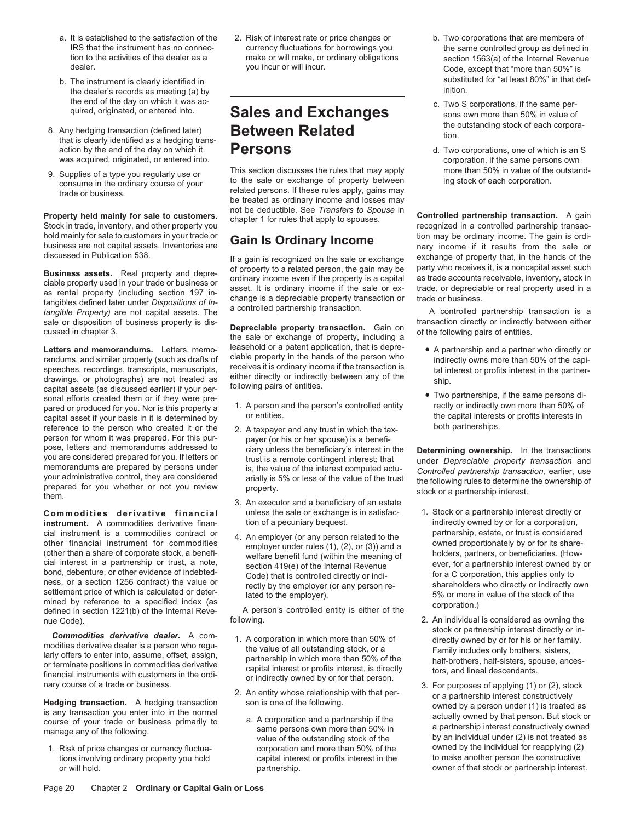- 
- the dealer's records as meeting (a) by
- 8. Any hedging transaction (defined later) **Between Related** that is clearly identified as a hedging trans-<br>action by the end of the day on which it **Persons** d. Two
- 

**Letters and memorandums.** Letters, memo-<br>
randums, and similar property (such as drafts of ciable property in the hands of the person who<br>
speeches, recordings, transcripts, manuscripts, receives it is ordinary income if capital asset if your basis in it is determined by or entities. the capital interests or profits interests in<br>
reference to the person who created it or the 2. A taxpayer and any trust in which the tax-<br>
both partnerships. reference to the person who created it or the  $\qquad$  2. A taxpayer and any trust in which the taxperson for whom it was prepared. For this pur-<br>payer (or his or her spouse) is a benefi-<br>pose, letters and memorandums addressed to clary unless the beneficiary's interest in pose, letters and memorandums addressed to ciary unless the beneficiary's interest in the **Determining ownership.** In the transactions you are considered prepared for you. If letters or trust is a remote contingent interest; that under *Depreciable property transaction* and memorandums are prepared by persons under is, the value of the interest computed a memorandums are prepared by persons under<br>your administrative control, they are considered<br>prepared for you whether or not you review<br>them.<br>the same property.

instrument. A commodities derivative finan-<br>
cial instrument is a commodities contract or a complexe (or on a person related to the partnership, estate, or trust is considered cial instrument is a commodities contract or<br>
other financial instrument for commodities<br>
(other than a share of corporate stock, a benefi-<br>
cial interest in a partnership or trust, a note,<br>
bond, debenture, or other evide bond, debeniure, or other evidence or indebted<br>ness, or a section 1256 contract) the value or<br>settlement price of which is calculated or deter-<br>mined by reference to a specified index (as<br>mined by reference to a specified mined by reference to a specified index (as<br>defined in section 1221(b) of the Internal Reve-<br>following.<br>following.<br>following.<br>2. An individual

**Commodities derivative dealer.** A com-<br>
modities derivative dealer is a person who regu-<br>
larly offers to enter into, assume, offset, assign,<br>
or terminate positions in commodities derivative<br>
or terminate positions in co

tions involving ordinary property you hold capital interest or profits interest in the

a. It is established to the satisfaction of the 2. Risk of interest rate or price changes or b. Two corporations that are members of IRS that the instrument has no connec- currency fluctuations for borrowings you the same controlled group as defined in<br>tion to the activities of the dealer as a make or will make, or ordinary obligations section 1563(a) o tion to the activities of the dealer as a make or will make, or ordinary obligations section 1563(a) of the Internal Revenue<br>dealer. Code except that "more than 50%" is

9. Supplies of a type you regularly use or This section discusses the rules that may apply more than 50% in value of the outstand-<br>consume in the ordinary course of your to the sale or exchange of property between related be treated as ordinary income and losses may not be deductible. See *Transfers to Spouse* in

**Business assets.** Real property and depre-<br>ciable property used in your trade or business or<br>as rental property used in your trade or business or<br>as rental property (including section 197 in-<br>tangibles defined later under

- 
- 
- 3. An executor and a beneficiary of an estate **Commodities derivative financial** unless the sale or exchange is in satisfac- 1. Stock or a partnership interest directly or instrument. A commodities derivative finan- tion of a pecuniary bequest. **1.** indirectly owned b
	-

- 
- -
- Code, except that "more than 50%" is b. The instrument is clearly identified in substituted for "at least 80%" in that def-<br>the decler's recents as meeting (a) by
	- the end of the day on which it was ac-<br>quired, originated, or entered into. **Sales and Exchanges** sons own more than 50% in value of<br>the outstanding stock of each corpora-
- action by the end of the day on which it **Persons Providence** denote the day on which is an S<br> **Act of the same persons own** densing the same persons own and a corporation, if the same persons own corporation, if the same persons own<br>more than 50% in value of the outstand-

**Property held mainly for sale to customers.** The BC deduction. Occurrenties to oppose in **Controlled partnership transaction.** A gain Stock in trade, inventory, and other property you hold mainly for sale to customers in your trade or<br>business are not capital assets. Inventories are **Gain Is Ordinary Income** business are not capital assets. Inventories are<br>discussed in Publication 538. If a gain is recognized on the sale or exchange exchange of property that, in the hands of the of property to a related person, the gain may be party who receives it, is a noncapital asset such

sale or disposition of business property is dis-<br> **Depreciable property transaction.** Gain on<br>
the sale or exchange of property, including a<br>
the sale or exchange of property, including a<br>
the sale or exchange of property,

- 
- 

- 
- nue Code).<br> **1989** Following.<br> **1989** Following.<br> **1999** Following.<br> **1999** Following.<br> **1999** Following.<br> **1999** Following the stock or partnership interest directly or in-
- value of the outstanding stock of the by an individual under (2) is not treated as corporation and more than 50% of the world by the individual for reapplying (2) 1. Risk of price changes or currency fluctua- corporation and more than 50% of the owned by the individual for reapplying (2) or will hold. partnership. owner of that stock or partnership interest.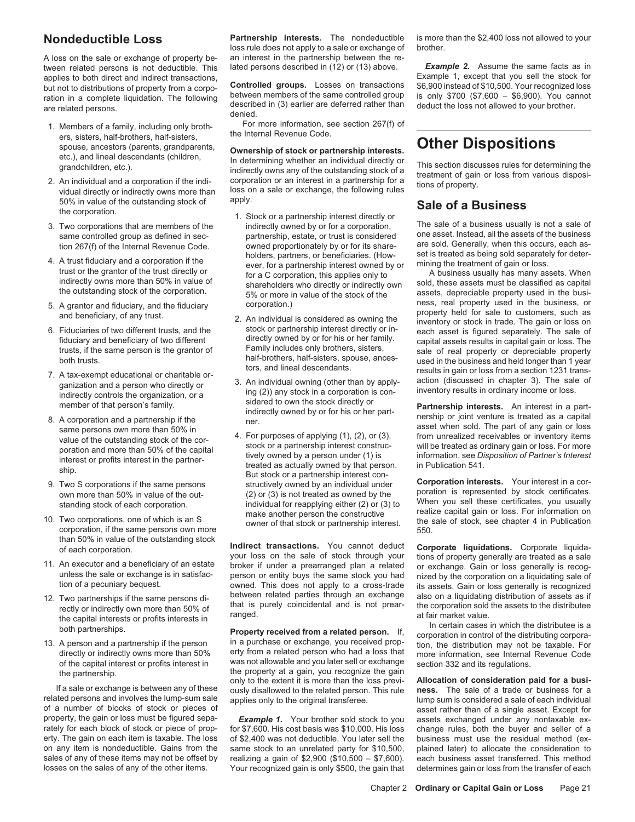A loss on the sale or exchange of property be- an interest in the partnership between the re-<br>tween related persons is not deductible. This lated persons described in (12) or (13) above. tween related persons is not deductible. This lated persons described in (12) or (13) above. **Example 2.** Assume the same facts as in applies to both direct and indirect transactions. **Example 1, except that you sell the s** applies to both direct and indirect transactions,<br>but not to distributions of property from a corpose **Controlled groups.** Losses on transactions

- 
- 50% in value of the outstanding stock of apply.<br>
the corporation. The sale of a Business usually is not a sale of<br>
The sale of a business usually is not a sale of<br>
The sale of a business usually is not a sale of<br>
The sale
- 3. Two corporations that are members of the indirectly owned by or for a corporation,
- 
- 
- 
- 
- 
- 
- than 50% in value of the outstanding stock
- 
- 12. Two partnerships if the same persons di-<br>rectly or indirectly own more than 50% of<br>that is purely coincidental and is not prear-<br>the corporation sold the assets to the distributee<br>the capital interests or profits inter
- 

If a sale or exchange is between any of these ously disallowed to the related person. This rule related persons and involves the lump-sum sale annies only to the original transferee of a number of blocks of stock or pieces of a content of a single asset rather than of a single asset. Except for<br>A property, the gain or loss must be figured sepa-<br> **Example 1.** Your brother sold stock to you assets excha

**Nondeductible Loss Partnership interests.** The nondeductible is more than the \$2,400 loss not allowed to your loss nulle does not apply to a sale or exchange of brother. loss rule does not apply to a sale or exchange of

but not to distributions of property from a corpo- **Controlled groups.** Losses on transactions \$6,900 instead of \$10,500. Your recognized loss ration in a complete liquidation. The following<br>described in (3) earlier are deferred rather than<br>deduct the loss not allowed to your brother.

1. Members of a family, including only broth- For more information, see section 267(f) of ers, sisters, half-brothers, half-sisters, the Internal Revenue Code.

Explorering the tect, sixters, nan-bounders, nan-sixters,<br>spouse, ancestors (parents, grandparents,<br>etc.), and lineal descendants (children,<br>grandchildren, etc.).<br>2. An individual and a corporation if the indi-<br>vidual dire

- 4. A trust fiduciary and a corporation if the holders, partners, or beneficiaries. (How-<br>trust of the grantor of the trust directly or the grantor of the trust directly or for a partnership interest owned by or mining the
	-
	-
- 6. Fiduciaries of two different trusts, and the<br>
fractiony ond by or for his or her family.<br>
Indicary of the same person is the grantor of the directly owned by or for his or her family.<br>
Indicary from the same person is t

of each corporation. **Indirect transactions.** You cannot deduct **Corporate liquidations.** Corporate liquida-<br>your loss on the sale of stock through your tions of property generally are treated as a sale your loss on the sale of stock through your tions of property generally are treated as a sale<br>11. An executor and a beneficiary of an estate<br>unless the sale or exchange is in satisfac-<br>tion of a pecuniary bequest.<br>11. An e

13. A person and a partnership if the person in a purchase or exchange, you received prop-<br>13. A person and a partnership if the person in a purchase or exchange, you received prop-<br>directly or indirectly owns more than 50 directly or indirectly owns more than 50% erty from a related person who had a loss that more information, see Internal Revenue Code<br>of the capital interest or profits interest in was not allowable and you later sell or ex of the capital interest or profits interest in<br>the poperty at a gain, you recognize the gain<br>the partnership.<br>If a sale or exchange is between any of these ough disallowed to the related person. This rule ness. The sale of applies only to the original transferee. lump sum is considered a sale of each individual

property, the gain or loss must be figured sepa-<br>
rately for each block of stock or piece of prop- for \$7,600. His cost basis was \$10,000. His loss change rules, both the buyer and seller of a for \$7,600. His cost basis was \$10,000. His loss erty. The gain on each item is taxable. The loss of \$2,400 was not deductible. You later sell the business must use the residual method (ex-<br>on any item is nondeductible. Gains from the same stock to an unrelated party for same stock to an unrelated party for \$10,500, plained later) to allocate the consideration to sales of any of these items may not be offset by realizing a gain of \$2,900 (\$10,500 - \$7,600). each business asset transferred. This method losses on the sales of any of the other items. Your recognized gain is only \$500, the gain that determines gain or loss from the transfer of each

same controlled group as defined in sec-<br>tion 267(f) of the Internal Revenue Code owned proportionately by or for its share- are sold. Generally, when this occurs, each astion 267(f) of the Internal Revenue Code. owned proportionately by or for its share- are sold. Generally, when this occurs, each as-<br>holders, partners, or beneficiaries, (How- set is treated as being sold separately for de

trust or the grantor of the trust directly or the providency or the shareholders who directly or indirectly own<br>indirectly owns more than 50% in value of shareholders who directly or indirectly own sold, these assets must 5% or more in value of the stock of the assets, depreciable property used in the busi-<br>corporation.) ess, real property used in the business, or 5. A grantor and fiduciary, and the fiduciary corporation.) https://www.mass. real property used in the business, or<br>2. An individual is considered as owning the property held for sale to customers, such as<br>inventory or st

make another person the constructive realize capital gain or loss. For information on<br>owner of that stock or partnership interest. 10. Two corporations, one of which is an S the sale of stock, see chapter 4 in Publication owner of that stock or partnership interest. the sale of stock, see chapter 4 in Publication corporation, if the same persons own m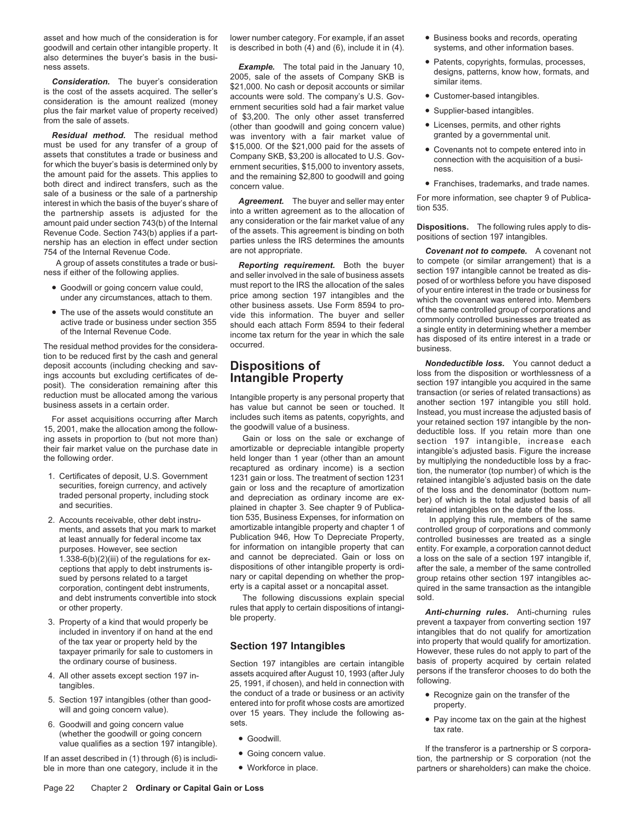asset and how much of the consideration is for lower number category. For example, if an asset • Business books and records, operating goodwill and certain other intangible property. It is described in both (4) and (6), include it in (4). systems, and other information bases.

must be used for any transfer of a group of \$15,000. Of the \$21,000 paid for the assets of assets that constitutes a trade or business and company SKB, \$3,200 is allocated to U.S. Governants not to compete entered into in sale of a business or the sale of a partnership<br>interest in which the basis of the buyer's share of<br>the partnership assets is adjusted for the  $\frac{1}{2}$  any consideration or the fair market value of any<br>amount naid under amount paid under section 743(b) of the Internal any consideration or the fair market value of any<br>Revenue Code. Section 743(b) applies if a part-<br>nership has an election in effect under section parties unless the IRS dete

- 
- 

- 
- and debt instruments convertible into stock The following discussions explain special sold.
- 
- 
- 
- University of the transferor is a partnership or S corporation of the transferor is a partnership or S corpora-<br>
value qualifies as a section 197 intangible).<br>
If an asset described in (1) through (6) is includi-<br>
If an as

also determines the buyer's basis in the busi-<br>
ness assets.<br> **Example.** The total paid in the January 10,<br> **Example.** The total paid in the January 10,<br>
2005, sale of the assets of Company SKB is<br>
step consideration. The **Residual method.** The residual method was inventory with a fair market value of granted by a governmental unit. must be used for any transfer of a group of \$15,000. Of the \$21,000 paid for the assets of a Councept set a g

2. Accounts receivable, other debt instru-<br>ments and assets that you mark to market amortizable intangible property and chapter 1 of controlled group of corporations and commonly ments, and assets that you mark to market amortizable intangible property and chapter 1 of at least annually for federal income tax Publication 946, How To Depreciate Property, at least annually for federal income tax Publication 946, How To Depreciate Property, controlled businesses are treated as a single<br>purposes. However, see section for information on intangible property that can entity. For for information on intangible property that can entity. For example, a corporation cannot deduct<br>and cannot be depreciated. Gain or loss on a loss on the sale of a section 197 intangible if 1.338-6(b)(2)(iii) of the regulations for ex-<br>  $\frac{1}{3}$  and cannot the regulations for ex-<br>  $\frac{1}{3}$  dispositions of other intangible property is ordi-<br>  $\frac{1}{3}$  after the sale a member of the same controlled ceptions that apply to debt instruments is-<br>sued by persons related to a target nary or capital depending on whether the prop-<br>sued by persons related to a target nary or capital depending on whether the prop-<br>group retain sued by persons related to a target nary or capital depending on whether the prop-<br>corporation contingent debt instruments erty is a capital asset or a noncapital asset. The same transaction as the intangible

or other property. Tules that apply to certain dispositions of intangi-<br>197 Property of a kind that would properly be be property.<br>197 prevent a taxpayer from converting section

9. All other assets except section 197 in-<br>tangibles. tangibles. the conduct of a trade or business or an activity<br>Recorduct 10, 1993 (after July following.<br>Recorduct of a trade or business or an activity 5. Section 197 intangibles (other than good-<br>
will and going concern value).<br>
6. Goodwill and going concern value be the sets.<br>
wer 15 years. They include the following as-<br>
e Pay income tax on the gain at the highest<br>
to

- 
- 
- 
- 
- 
- 
- 
- 
- 
- 

754 of the Internal Revenue Code. are not appropriate. *Covenant not to compete.* A covenant not A group of assets constitutes a trade or business<br>
A group of assets constitutes a trade or business.<br>
A group of assets constitutes a trade or business assets<br>
A Goodwill or going concern value could,<br>
Must report to the

tion to be reducted first by the cash and general and and and general and general and general to the disposition of the disposition of the consideration of excellent this among the value of the consideration (or series of

corporation, contingent debt instruments, erty is a capital asset or a noncapital asset. quired in the same transaction as the intangible

included in inventory if on hand at the end<br>of the tax year or property held by the **intensity of the intensity of the tax year** or property held by the **Continue of the service of the tax year** or property held by the of the tax year or property held by the **Section 197 Intangibles** into property that would qualify for amortization.<br>
taxpayer primarily for sale to customers in **Section 197 Intangibles** are certain intangible basis of pr Section 197 intangibles are certain intangible basis of property acquired by certain related<br>assets acquired after August 10, 1993 (after July persons if the transferor chooses to do both the

- 
- 

ble in more than one category, include it in the vorkforce in place. but partners or shareholders) can make the choice.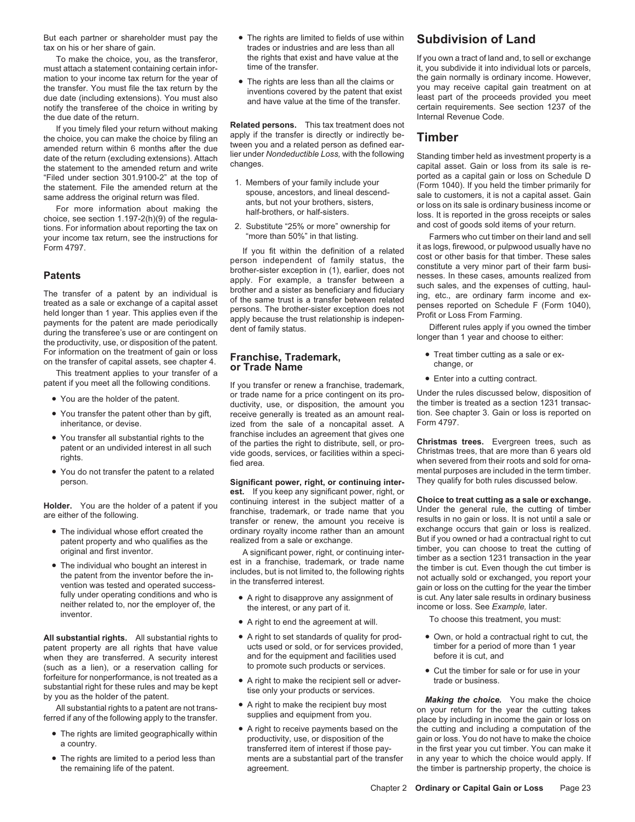But each partner or shareholder must pay the • The rights are limited to fields of use within **Subdivision of Land**<br>trades or industries and are less than all

must attach a statement containing certain infor-<br>mation to your income tax return for the year of a The rights are less than all the algime as the gain normally is ordinary income. However, mation to your income tax return for the year of<br>
the rights are less than all the claims or<br>
the gain normally is ordinary income. However,<br>
the transfer. You must file the tax return by the<br>
due date (including extension notify the transferee of the choice in writing by end have value at the time of the transferee of the choice in writing by entain requirements. See section 1237 of the due date of the return

date of the return (excluding extensions). Attach lier under **Nondeductible Loss, as investment property is as investment property in the following standing times in the following standing times in the following standing t** the statement to the amended return and write changes. Changes capital asset. Gain or loss from its sale is re-<br>
"Filed under section 301.9100-2" at the top of the state is re-

2. Substitute "25% or more" ownership for and cost of goods sold items of your return.<br>
2. Substitute "25% or more" ownership for and cost of goods sold items of your return.<br>
1. Your income tax return. see the instruction your income tax return, see the instructions for "more than 50%" in that listing. Farmers who cut timber on their land and sell<br>Form 4797.

For information on the treatment of gain or loss<br>on the transfer of capital assets, see chapter 4.<br>This treatment applies to your transfer of a<br>patent if you meet all the following conditions.<br>If you transfer or renew a f

- 
- 
- 
- 

- 
- neither related to, nor the employer of, the interest, or any part of it.<br>inventor. <br>A right to end the agreement at will. To choose this treatment, you must:

All substantial rights. All substantial rights to  $\bullet$  A right to set standards of quality for prod-  $\bullet$  Own, or hold a contractual right to cut, the patent property are all rights that have value ucts used or sold, or fo patent property are all rights that have value ucts used or sold, or for services provided, the timber for a period or<br>when they are transferred. A security interest and for the equipment and facilities used before it is c when they are transferred. A security interest and for the equipment and facilities us<br>(such as a lien) or a reservation calling for the promote such products or services. (such as a lien), or a reservation calling for<br>for the such products or services.<br>substantial right for these rules and may be kept<br>substantial right for these rules and may be kept<br>free only your products or services<br>for

- 
- 
- trades or industries and are less than all
- 

the due date of the return.<br>If you timely filed your return without making. Related persons. This tax treatment does not If you timely filed your return without making<br>the choice, you can make the choice by filing an<br>amended return within 6 months after the due<br>date of the return (excluding extensions) Attach<br>date of the return (excluding e

- 
- 

Form 4797.<br>
Form 4797.<br>
If you fit within the definition of a related<br>
it as logs, firewood, or pulpwood usually have no<br>
person independent of family status, the cost or other basis for that timber. These sales<br>
apply. Fo

• You are the holder of the patent. or trade name for a price contingent on its pro-<br>• You transfer the patent other than by gift, receive generally is treated as an amount real-<br>• You transfer the patent other than by gif receive generally is treated as an amount real-<br>ized from the sale of a noncapital asset  $\Delta$  Form 4797. inheritance, or devise. For the sale of a noncapital asset. A • You transfer all substantial rights to the franchise includes an agreement that gives one<br>patent or an undivided interest in all such of the parties the right to distribute, sell, or pro-<br>rights. that are more than 6 yea

**Significant power, right, or continuing inter-**  $\frac{1}{2}$  **Significant power, right, or continuing interest.** If you keep any significant power, right, or continuing interest in the subject matter of a **Holder.** You are the holder of a patent if you continuing interest in the subject matter of a **Choice to treat cutting as a sale or exchange.**<br>franchise, trademark, or trade name that you Under the general rule, the cutti • The individual whose effort created the ordinary royalty income rather than an amount exchange occurs that gain or loss is realized.<br>• natent property and who qualifies as the realized from a sale or exchange. But if you

- 
- 
- 
- 
- 
- 

To make the choice, you, as the transferor, the rights that exist and have value at the If you own a tract of land and, to sell or exchange it at act of land and, to sell or exchange it into individual lots or parcels,

Filed under section 301.9100-2" at the top of<br>the statement. File the amended return at the spouse, ancestors, and lineal descend-<br>same address the original return was filed.<br>For more information about making the choice, s

- 
- 

• You do not transfer the patent to a related<br>berson. Significant power, right, or continuing inter-<br>person. with rules discussed below.

patent property and who qualifies as the realized from a sale or exchange. But if you owned or had a contractual right to cut<br>A significant power, right, or continuing inter-<br>A significant power, right, or continuing inter original and first inventor. A significant power, right, or continuing inter-<br>
• The individual who bought an interest in<br>
the patent from the inventor before the in-<br>
in the transferred interest.<br>
tully under operating co

- 
- 

substantial right for these rules and may be kept the only your products or services.<br>by you as the holder of the patent.<br>All substantial rights to a patent are not trans-<br>ferred if any of the following apply to the transf • The rights are limited geographically within • A right to receive payments based on the the cutting and including a computation of the productivity, use, or disposition of the gain or loss. You do not have to make the ch • The rights are limited to a period less than ments are a substantial part of the transfer in any year to which the choice would apply. If the remaining life of the patent. **agreement**. And agreement agreement of the timber is partnership property, the choice is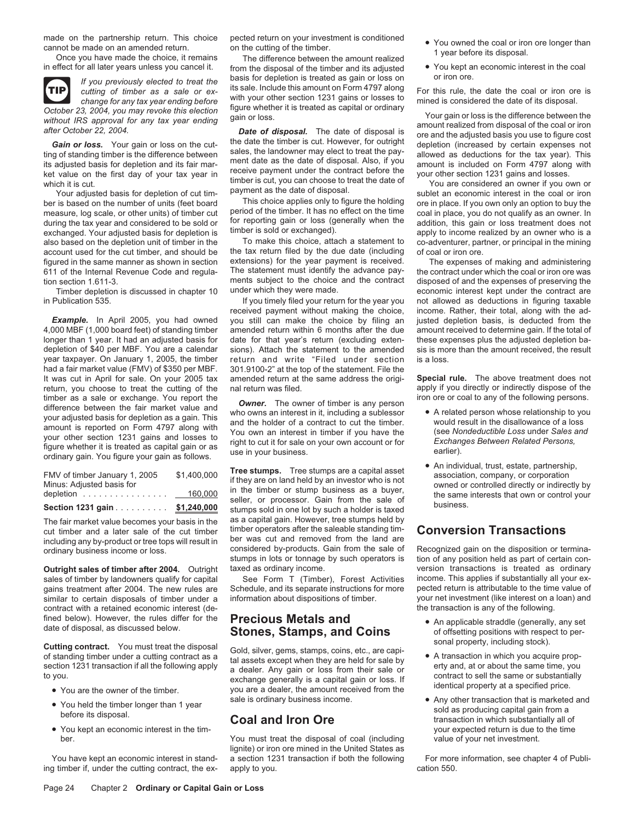

*change for any tax year ending before* with your other section 1231 gains or losses to October 23, 2004, you may revoke this election figure whether it is treated as capital or ordinary

bet an economic interest in the coal or iron<br>ber is based on the number of units (feet board This choice applies only to figure the holding ore in place. If you own only an option to buy the<br>measure log scale, or other uni measure, log scale, or other units) of timber cut period of the timber. It has no effect on the time coal in place, you do not qualify as an owner. In during the tax year and considered to be sold or for reporting gain or during the tax year and considered to be sold or for reporting gain or loss (generally when the addition, this gain or loss treatment does not exchanged. Your adjusted basis for depletion is timber is sold or exchanged). A exchanged. Your adjusted basis for depletion is timber is sold or exchanged). apply to income realized by an owner who is a<br>also based on the depletion unit of timber in the To make this choice, attach a statement to co-ad also based on the depletion unit of timber in the To make this choice, attach a statement to account used for the cut timber, and should be the tax return filed by the due date (including figured in the same manner as shown in section extensions) for the year payment is received.<br>611 of the Internal Revenue Code and regula-<br>The statement must identify the advance pay-

4,000 MBF (1,000 board feet) of standing timber amended return within 6 months after the due amount received to determine gain. If the total of longer than 1 year. It had an adjusted basis for date for that year's return ( depletion of \$40 per MBF. You are a calendar sions). Attach the statement to the amended sis is more than the amount received, the result year taxpayer. On January 1, 2005, the timber return and write "Filed under section had a fair market value (FMV) of \$350 per MBF. 301.9100-2" at the top of the statement. File the lt was cut in April for sale. On your 2005 tax amended return at the same address the origireturn, you choose to treat the cutting of the nal return was filed. apply if you directly or indirectly dispose of the timber as a sale or exchange. You report the  $\sim$ timber as a sale or exchange. You report the<br>difference between the fair market value and<br>your adjusted basis for depletion as a gain. This<br>amount is reported on Form 4797 along with<br>your other section 1231 gains and losse

| Section 1231 gain                       | \$1,240,000 |
|-----------------------------------------|-------------|
| depletion $\ldots \ldots \ldots \ldots$ | 160,000     |
| Minus: Adjusted basis for               |             |
| FMV of timber January 1, 2005           | \$1,400,000 |
|                                         |             |

including any by-product or tree tops will result in ber was cut and removed from the land are ordinary business income or loss considered by-products. Gain from the sale of

similar to certain disposals of timber under a information about dispositions of timber. your net investment (like interest on a contract with a retained economic interest (de-<br>contract with a retained economic interest (d contract with a retained economic interest (de-<br>fined below). However, the rules differ for the **Precious Metals and** 

- 
- 
- 

ing timber if, under the cutting contract, the ex- apply to you. Cation 550.

Once you have made the choice, it remains The difference between the amount realized<br>in effect for all later years unless you cancel it. From the disposal of the timber and its adjusted P You kept an economic interest in t If you previously elected to treat the basis for depletion is treated as gain or loss on or iron ore.<br>
cutting of timber as a sale or ex-<br>
change for any tax year ending before with your other section 1231 gains or losses

October 23, 2004, you may revoke this election<br>
without IRS approval for any tax year ending<br>
without IRS approval for any tax year ending<br>
after October 22, 2004.<br> **Date of disposal.** The date of disposal is<br>
after Octobe

account used for the cut timber, and should be the tax return filed by the due date (including of coal or iron ore.<br>figured in the same manner as shown in section extensions) for the year payment is received. The expenses 611 of the Internal Revenue Code and regula- The statement must identify the advance pay- the contract under which the coal or iron ore was tion section 1.611-3. ments subject to the choice and the contract disposed of and the expenses of preserving the<br>Timber depletion is discussed in chapter 10 under which they were made. economic interest kept under the con

received payment without making the choice, income. Rather, their total, along with the ad-<br>you still can make the choice by filing an justed depletion basis, is deducted from the **Example.** In April 2005, you had owned you still can make the choice by filing an 4,000 MBF (1,000 board feet) of standing timber amended return within 6 months after the due date for that year's return (excluding extenreturn and write "Filed under section is a loss. amended return at the same address the origi-<br>
nal return was filed.<br> **Special rule.** The above treatment does not<br>
apply if you directly or indirectly dispose of the

• An individual, trust, estate, partnership, **Tree stumps.** Tree stumps are a capital asset FMV of timber January 1, 2005 \$1,400,000 association, company, or corporation if they are on land held by an investor who is not Minus: Adjusted basis for owned or controlled directly or indirectly by in the timber or stump business as a buyer, depletion ................ 160,000 the same interests that own or control your seller, or processor. Gain from the sale of business. **Section 1231 gain** .......... **\$1,240,000** stumps sold in one lot by such a holder is taxed The fair market value becomes your basis in the  $\overline{a}$  as a capital gain. However, tree stumps held by  $\overline{c}$  and a later sale of the cut timber timber operators after the saleable standing timcut timber and a later sale of the cut timber timber operators after the saleable standing tim-<br>including any by-product or tree tons will result in ber was cut and removed from the land are ordinary business income or loss. considered by-products. Gain from the sale of Recognized gain on the disposition or termina-<br>stumps in lots or tonnage by such operators is tion of any position held as part of certain con

sales of timber by landowners qualify for capital See Form T (Timber), Forest Activities income. This applies if substantially all your ex-<br>gains treatment after 2004. The new rules are Schedule, and its separate instructi Schedule, and its separate instructions for more pected return is attributable to the time value of information about dispositions of timber. your net investment (like interest on a loan) and

**Cutting contract.** You must treat the disposal Gold, silver, gems, stamps, coins, etc., are capisonal property, including stock).<br>
of standing timber under a cutting contract as a<br>
section 1231 transaction if all the foll

ber. You must treat the disposal of coal (including value of your net investment. lignite) or iron ore mined in the United States as You have kept an economic interest in stand- a section 1231 transaction if both the following For more information, see chapter 4 of Publi-

- made on the partnership return. This choice pected return on your investment is conditioned version on the cup<br>cannot be made on an amended return. on the cutting of the timber.<br>Once you have made the choice, it remains Th
	-

Timber depletion is discussed in chapter 10 under which they were made. economic interest kept under the contract are<br>If you timely filed your return for the year you not allowed as deductions in figuring taxable not allowed as deductions in figuring taxable

- 
- 

stumps in lots or tonnage by such operators is tion of any position held as part of certain con-<br>taxed as ordinary income. version transactions is treated as ordinary **Outright sales of timber after 2004.** Outright taxed as ordinary income.<br>Sales of timber by landowners qualify for capital See Form T (Timber), Forest Activities income. This applies if substantially all your ex-

- fined below). However, the rules differ for the **Precious Metals and and** date of disposal, as discussed below.<br> **Stones, Stamps, and Coins** of offsetting positions with respect to per-<br> **Stones, Stamps, and Coins** of of
	-
	- You held the timber longer than 1 year sale is ordinary business income. <br>
	before its disposal.<br>
	Coal and Iron Ore transaction in which substantially all of the state of the substantial value of the time of the state of • You kept an economic interest in the tim- your expected return is due to the time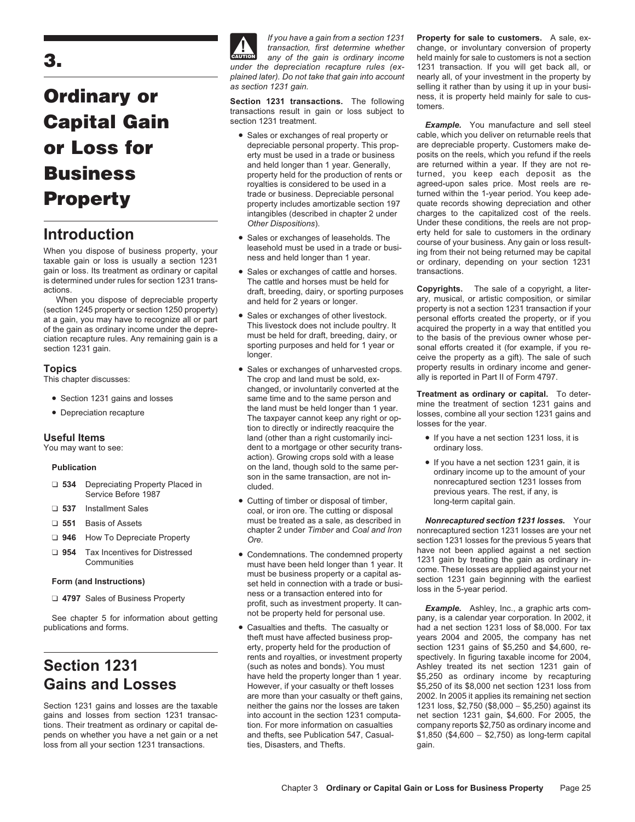# **Ordinary or**<br>Section 1231 gain.<br>Section 1231 transactions. The following these, it is property held mainly for sale to cus-<br>section 1231 treatment.<br>Section 1231 treatment. **Capital Gain**<br>• Sales or exchanges of real property or Example. You manufacture and sell steel<br>• Sales or exchanges of real property or cable, which you deliver on returnable reels that

is determined under rules for section 1231 trans-<br>actions.

- 
- 

- □ 534 Depreciating Property Placed in cluded.<br>Service Before 1987
- 
- 
- 
- 

pends on whether you have a net gain or a net and thefts, see Publication 547, Casual- \$1,850 (\$4,600 − \$2,750) as long-term capital loss from all your section 1231 transactions. The ties, Disasters, and Thefts. The sain.



- 
- 
- Sales or exchanges of cattle and horses. transactions.<br>The cattle and horses must be held for
- 
- The crop and land must be sold, ex-<br>changed, or involuntarily converted at the • Section 1231 gains and losses changed, or involuntarily converted at the<br>
• Section 1231 gains and the land must be held longer than 1 year.<br>
• Depreciation recapture Treatment of section 1231 gains and<br>
• Depreciation r **Useful Items land** (other than a right customarily inci- • If you have a net section 1231 loss, it is You may want to see: dent to a mortgage or other security trans- ordinary loss.<br>action). Growing crops sold with a lease Publication<br>
Publication<br>
on the land, though sold to the same per-<br>
on the same transaction, are not in-<br>
ordinary income up to the amount of your<br>
nonrecaptured section 1231 losses from
	- Cutting of timber or disposal of timber, ❏ **<sup>537</sup>** Installment Sales coal, or iron ore. The cutting or disposal
	- <table>\n<tbody>\n<tr>\n<td>954</td>\n<td>Tax Incentives for Distressed</td>\n<td>• Condemations. The condemned property<br/>communities</td>\n<td>1231 gain by treating the gain as ordinary in-<br/>sect in a set section</td>\n</tr>\n<tr>\n<td>7. 4797 Sales of Business Property</td>\n<td>1231 gain by treating the gain as ordinary in-<br/>self. 231 gain by treating the gain as ordinary<br/>set held in connection with a trade or busi-<br/>ness or a transaction entered into for<br/>profit, such as investment property. It can-<br/>not be property held for personal use.</td>\n<td>1231 gain by treating the gain as ordinary<br/>section 1231 gain beginning with the earliest<br/>loss in the 5-year period.</
		-

*If you have a gain from a section 1231* **Property for sale to customers.** A sale, ex*transaction, first determine whether* change, or involuntary conversion of property **CAUTION** *any of the gain is ordinary income* held mainly for sale to customers is not a section **3.** *under the depreciation recapture rules (ex-* 1231 transaction. If you will get back all, or *plained later). Do not take that gain into account* nearly all, of your investment in the property by

cable, which you deliver on returnable reels that<br>are depreciable property. Customers make de-**OF LOSS for** depreciable personal property. This prop-<br>erty must be used in a trade or business posits on the reels, which you refund if the reels<br>and held longer than 1 year. Generally, are returned within a year. If the and held longer than 1 year. Generally, are returned within a year. If they are not re-<br>property held for the production of rents or turned, you keep each deposit as the<br>royalties is considered to be used in a agreed-upon royalties is considered to be used in a agreed-upon sales price. Most reels are re-<br>trade or business. Depreciable personal turned within the 1-year period. You keep ade-**Property Propert Community Community Community** trade or business. Depreciable personal turned within the 1-year period. You keep ade-<br> **Property Property includes amortizable section 197** quate records showing deprec intangibles (described in chapter 2 under charges to the capitalized cost of the reels. *Other Dispositions*). Under these conditions, the reels are not prop-**Introduction** • Sales or exchanges of leaseholds. The erty held for sale to customers in the ordinary **interval in the ordinary Introduction Interval interval interval interval interval interval interval interval inte** When you dispose of business property, your leasehold must be used in a trade or busi-<br>taxable gain or loss is usually a section 1231 ness and held longer than 1 year. In their not being returned may be capital<br>gain or los

actions. The sale of a copyright, a liter-<br>draft, breeding, dairy, or sporting purposes **Copyrights.** The sale of a copyright, a liter-<br>and held for 2 years or longer<br>and held for 2 years or longer When you dispose of depreciable property and held for 2 years or longer. The musical, or artistic composition, or similar (section 1245 property or section 1250 property) and held for 2 years or longer. The musical propert (section 1245 property or section 1250 property)<br>at a gain, you may have to recognize all or part<br>of the gain as ordinary income under the depre-<br>ciation recapture rules. Any remaining gain is a<br>section 1231 gain.<br>section **Topics** • Sales or exchanges of unharvested crops. property results in ordinary income and gener-<br>This chapter discusses: This chapter discusses: The crop and land must be sold, ex-<br>ally is reported in Part II of Form 479

- 
- previous years. The rest, if any, is long-term capital gain.

❏ must be treated as a sale, as described in *Nonrecaptured section 1231 losses.* Your **551** Basis of Assets nonrecaptured section 1231 losses are your net ❏ **<sup>946</sup>** How To Depreciate Property *Ore.* section 1231 losses for the previous 5 years that

publications and forms. • Casualties and thefts. The casualty or had a net section 1231 loss of \$8,000. For tax theft must have affected business prop-<br>
erty, property held for the production of section 1231 gains of \$5,250 and \$4,600. resection 1231 gains of  $$5,250$  and  $$4,600$ , rerents and royalties, or investment property spectively. In figuring taxable income for 2004,<br>
Section 1231 gain of<br>
Ashley treated its net section 1231 gain of<br>
Ashley treated its net section 1231 gain of<br>
Ashley treated i Gains and Losses<br>
However, if your casualty or theft losses \$5,250 of its \$8,000 net section 1231 loss from<br>
are more than your casualty or theft gains, 2002. In 2005 it applies its remaining net section 2002. In 2005 it applies its remaining net section Section 1231 gains and losses are the taxable neither the gains nor the losses are taken 1231 loss, \$2,750 (\$8,000 − \$5,250) against its gains and losses from section 1231 transac- into account in the section 1231 computa- net section 1231 gain, \$4,600. For 2005, the tions. Their treatment as ordinary or capital de-<br>
ion. For more information on a met tion. For more information on casualties company reports \$2,750 as ordinary income and<br>
pends on whether vou have a net gain or a net an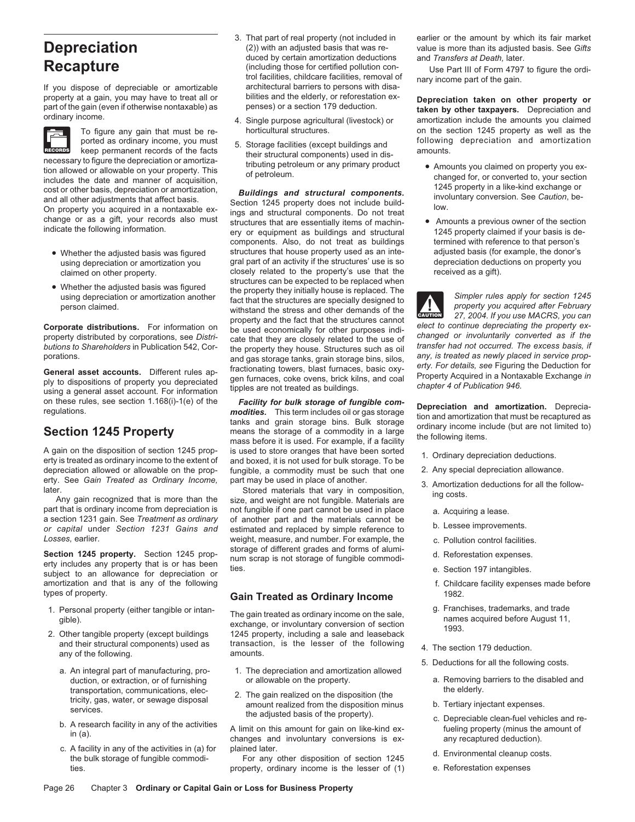If you dispose of depreciable or amortizable architectural barriers to persons with disa-<br>property at a gain, you may have to treat all or bilities and the elderly, or reforestation ex-

Fractional profect a sordinary income, you must<br>
incomessary to figure the eperement records of the facts of the facts of their structural components) used in dis-<br>
inconsisty to figure the depreciation or amortiza-<br>
inclu

- 
- 

A gain on the disposition of section 1245 prop-<br>erty is treated as ordinary income to the extent of and boxed, it is not used for bulk storage. To be<br>depreciation allowed or allowable on the prop- fungible, a commodity mus depreciation allowed or allowable on the prop-<br>
erty. See Gain Treated as Ordinary Income. 
part may be used in place of another.

part that is ordinary income from depreciation is not fungible if one part cannot be used in place a. Acquiring a lease.<br>a section 1231 gain. See Treatment as ordinary of another part and the materials cannot be a section 1231 gain. See *Treatment as ordinary* of another part and the materials cannot be b. Lessee improvements. *or capital* under *Section 1231 Gains and* estimated and replaced by simple reference to

Section 1245 property. Section 1245 property that is or has been<br>subject to an allowance for depreciation or ties.<br>subject to an allowance for depreciation or ties.<br>e. Section 197 intangibles. amortization and that is any of the following f. Childcare facility expenses made before

- 
- -
	-
	- c. A facility in any of the activities in (a) for plained later.<br>
	the bulk storage of fungible commodi- For any other disposition of section 1245 d. Environmental cleanup costs.
- **Recapture**<br> **Recapture** (including those for certified pollution con-<br>
trol facilities, childcare facilities, removal of any income part of the gain.
	-
	-

components. Also, do not treat as buildings termined with reference to that person's • Whether the adjusted basis was figured structures that house property used as an inte-<br>using depreciation or amortization you gral part of an activity if the structures' use is so depreciation deductions on property you using depreciation or amortization you gral part of an activity if the structures' use is so depreciation deduc<br>
closely related to the property's use that the received as a gift). closely related to the property's use that the closely related to the property's use that the received as a given as a given as a given by the structures can be expected to be replaced when • Whether the adjusted basis was figured<br>using depreciation or amortization another the property they initially house is replaced. The<br>person claimed. With the structures are specially designed to<br>person claimed. The struc **Comporate distributions.** For information on<br>property and the fact that the structures cannot<br>property distributed by corporations, see Distri-<br>property distributed by corporations, see Distri-<br>butions to Shareholders in

on these rules, see section 1.168(i)-1(e) of the **Facility for bulk storage of fungible com-**<br>
regulations. This term includes oil or gas storage **Depreciation and amortization**. Deprecia-<br>
frequlations. This term includes

*Losses,* earlier.<br> **Social and Example, the c. Pollution control facilities.**<br> **Social 4345 property.** Socials 1345 prop. Storage of different grades and forms of alumi-

### types of property. **Gain Treated as Ordinary Income** 1982.

1. Personal property (either tangible or intan-<br>gible).<br>
2. Other tangible property (except buildings<br>
2. Other tangible property (except buildings<br>
2. Other tangible property (except buildings<br>
2. Other tangible property and their structural components) used as transaction, is the lesser of the following 4. The section 179 deduction.<br>and the following.

- a. An integral part of manufacturing, pro- 1. The depreciation and amortization allowed
- transportation, communications, electricity, gas, water, or sewage disposal amount realized on the disposition (the tricity, gas, water, or sewage disposal amount realized from the disposition minus the adjusted basis of t

ties. property, ordinary income is the lesser of (1) e. Reforestation expenses

3. That part of real property (not included in earlier or the amount by which its fair market **Depreciation** (2)) with an adjusted basis that was re-<br>duced by certain amortization deductions and Transfers at Death, later.

property at a gain, you may have to treat all or bilities and the elderly, or reforestation ex-<br>part of the gain (even if otherwise nontaxable) as penses) or a section 179 deduction.<br>ordinary income. Depreciation and the s To figure any gain that must be re-<br>
ported as ordinary income, you must represent to the section of the section 1245 property as well as the repreciation and amortization

- 
- 

**!**

- 
- 
- erty. See *Gain Treated as Ordinary Income*, part may be used in place of another.<br>later. Stored materials that vary in composition, and the discreption of the follow-<br>Any gain recognized that is more than the size, and we
	-
	-
	-
	-
	-
	-
	-
	-
	- 5. Deductions for all the following costs.
	- duction, or extraction, or of furnishing or allowable on the property. a. Removing barriers to the disabled and<br>transportation, communications, elec-
		-
		-
		-
		-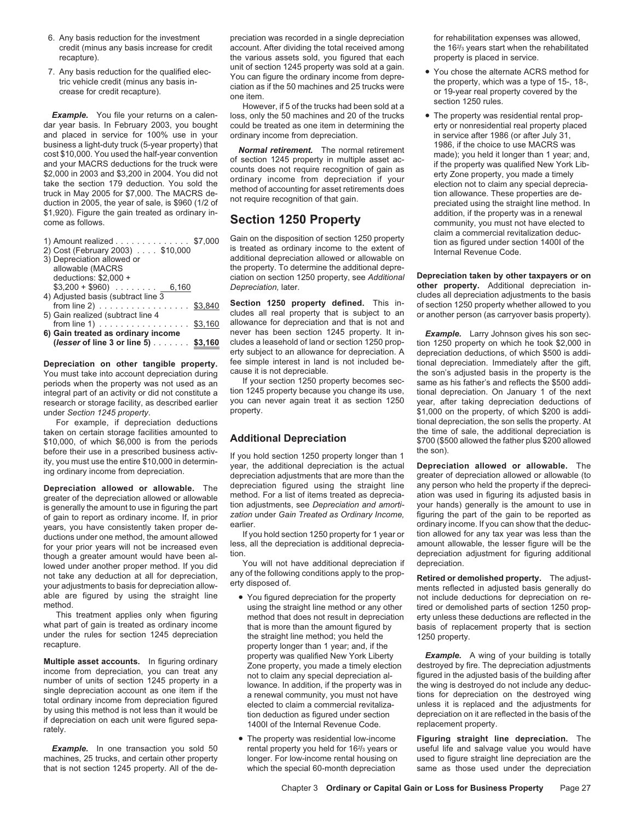- 
- 

**Example.** You file your returns on a calen- loss, only the 50 machines and 20 of the trucks **•** The property was residential rental prop-<br>dar year basis. In February 2003, you bought could be treated as one item in determ and placed in service for 100% use in your ordinary income from depreciation. in service after 1986 (or after July 31, business a light-duty truck (5-year property) that  $\frac{1986}{1986}$ , if the choice to use MACRS was business a light-duty truck (5-year property) that<br>cost \$10,000. You used the half-year convention<br>and your MACRS deductions for the truck were<br>\$2,000 in 2003 and \$3,200 in 2004. You did not<br>truck in May 2005 for \$7,000. T \$1,920). Figure the gain treated as ordinary in-<br> **Section 1250 Property** addition, if the property was in a renewal<br>
community you must not have elected to

| 1) Amount realized $\ldots \ldots \ldots \ldots$ \$7,000  |  |
|-----------------------------------------------------------|--|
| 2) Cost (February 2003) \$10,000                          |  |
| 3) Depreciation allowed or                                |  |
| allowable (MACRS                                          |  |
| deductions: $$2,000 +$                                    |  |
| $$3,200 + $960$ 6,160                                     |  |
| 4) Adjusted basis (subtract line 3                        |  |
| from line 2) $\ldots \ldots \ldots \ldots \ldots$ \$3,840 |  |
| 5) Gain realized (subtract line 4                         |  |
| from line 1) $\ldots \ldots \ldots \ldots \ldots$ \$3,160 |  |
| 6) Gain treated as ordinary income                        |  |
| (lesser of line 3 or line 5) \$3,160                      |  |

You must take into account depreciation during cause it is not depreciable.<br>
periods when the property was not used as an If your section 1250 property becomes sec-<br>
same as his father's and reflects the \$500 addiperiods when the property was not used as an If your section 1250 property becomes sec-<br>integral part of an activity or did not constitute a tion 1245 property because you change its use,

taken on certain storage facilities amounted to<br>\$10,000, of which \$6,000 is from the periods **Additional Depreciation** \$700 (\$500 allowed the father plus \$200 allowed \$10,000, of which \$6,000 is from the periods **Additional Depreciation** \$700 (\$500 allowed the father plus \$200 allowed

greater of the depreciation allowed or allowable<br>
is generally the amount to use in figuring the part<br>
of gain to report as ordinary income. If, in prior and amorti-<br>
of gain to report as ordinary income in figuring the pa

under the rules for section 1245 depreciation the straight line method; you held the recapture.

**Multiple asset accounts.** In figuring ordinary<br>income from depreciation, you can treat any<br>number of units of section 1245 property in a<br>single depreciation account as one item if the<br>total ordinary income from depreciati

**Example.** In one transaction you sold 50

6. Any basis reduction for the investment preciation was recorded in a single depreciation for rehabilitation expenses was allowed, credit (minus any basis increase for credit account. After dividing the total received among recapture). the various assets sold, you figured that each property is placed in service.

could be treated as one item in determining the

additional depreciation allowed or allowable on the property. To determine the additional depre-

**Section 1250 property defined.** This in- of section 1250 property whether allowed to you<br>cludes all real property that is subject to an or another person (as carryover basis property). allowance for depreciation and that is not and<br>never has been section 1245 property. It innever has been section 1245 property. It in-**Example.** Larry Johnson gives his son sec-<br>cludes a leasehold of land or section 1250 prop- tion 1250 property on which he took \$2.000 in **(***lesser* **of line 3 or line 5)** ....... **\$3,160** cludes a leasehold of land or section 1250 prop- tion 1250 property on which he took \$2,000 in erty subject to an allowance for depreciation. A depreciation deductions, of which \$500 is addi-<br>fee simple interest in land is not included be- tional depreciation. Immediately after the gift.

integral part of an activity or did not constitute a tion 1245 property because you change its use, tional depreciation. On January 1 of the next research or storage facility as described earlier you can never again treat research or storage facility, as described earlier you can never again treat it as section 1250 year, after taking depreciation deductions of<br>which \$200 is addi-

before their use in a prescribed business activ-<br>ity, you must use the entire \$10,000 in determin-<br>ing ordinary income from depreciation. depreciation adjustments that are more than the greater of depreciation allowed or a **Depreciation allowed or allowable.** The depreciation figured using the straight line any person who held the property if the depreci-<br>greater of the depreciation allowed or allowable method. For a list of items treated as

- 
- 

the 16<sup>2</sup>/<sub>3</sub> years start when the rehabilitated

- 7. Any basis reduction for the qualified election 1245 property was sold at a gain.<br>
The vehicle credit (minus any basis in-<br>
crease for credit recapture).<br>
Crease for credit recapture.<br>
Crease for credit recapture.<br>
Creas
	- community, you must not have elected to Gain on the disposition of section 1250 property<br>
	stated as ordinary income to the extent of<br>
	Internal Revenue Code.<br>
	Internal Revenue Code.

ciation on section 1250 property, see *Additional* **Depreciation taken by other taxpayers or on Depreciation, later. other property.** Additional depreciation in- $\frac{1}{4}$  cludes all depreciation adjustments to the basis (section 1250 property defined. This in-<br>A fine of section 1250 property do you or another person (as carryover basis property).

**Depreciation on other tangible property.** The simple interest in land is not included be-<br>You must take into account depreciation during cause it is not depreciable. The son's adjusted basis in the property is the under *Section 1245 property*. property property.<br>For example, if depreciation deductions property. At tional depreciation, the son sells the property. At tional depreciation, the son sells the property. At

method.<br>
This treatment applies only when figuring<br>
what part of gain is treated as ordinary income<br>
what part of gain is treated as ordinary income<br>
that is more than the amount figured by<br>
under the rules for section 124

• The property was residential low-income **Figuring straight line depreciation.** The useful life and salvage value you would have machines, 25 trucks, and certain other property longer. For low-income rental housing on used to figure straight line depreciation are the that is not section 1245 property. All of the de- which the special 60-month depreciation same as those used under the depreciation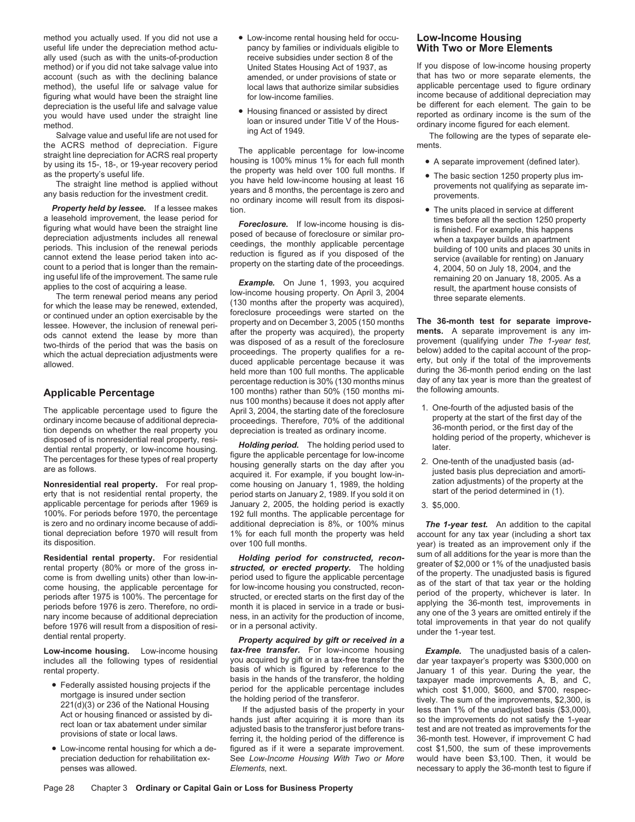method you actually used. If you did not use a **•** Low-income rental housing held for occu-<br>useful life under the depreciation method actu-<br>pancy by families or individuals eligible to **With Two or More Elements** ally used (such as with the units-of-production receive subsidies under section 8 of the method) or if you did not take salvage value into United States Housing Act of 1937, as method) or if you did not take salvage value into United States Housing Act of 1937, as If you dispose of low-income housing property account (such as with the declining balance amended or under provisions of state or that account (such as with the declining balance amended, or under provisions of state or that has two or more separate elements, the method) the useful life or salvage value for local laws that authorize similar subsidies appl method), the useful life or salvage value for a local laws that authorize similar subsidies applicable percentage used to figure ordinary<br>figuring what would have been the straight line for low-income families for investig figuring what would have been the straight line for low-income families. income because of additional depreciation may depreciation is the useful life and salvage value depreciation is the useful life and salvage value<br>you would have used under the straight line of the Housing financed or assisted by direct<br>method.<br>Salvage value and useful life are not used for<br>Salvage value and useful li

*Property held by lessee.* If a lessee makes tion. • The units placed in service at different a leasehold improvement, the lease period for<br>figuring what would have been the straight line<br>depreciation adjustments includes all renewal posed of because of foreclosure or similar pro-<br>periods. This inclusion of the ren

The applicable percentage used to figure the April 3, 2004, the starting date of the foreclosure of the adjusted basis of the ordinary income because of additional depreciation and property at the aditional of the andition

100%. For periods before 1970, the percentage is zero and no ordinary income because of addi-

**Residential ental property.** For residential **Holding period for constructed, recon-**<br>
Fremtal property (80% or more of the gross in-<br>
fremtal property. The holding greater of \$2,000 or 1% of the unadjusted basis<br>
come is

- 
- 
- pancy by families or individuals eligible to receive subsidies under section 8 of the
- 

the ACRS method of depreciation. Figure<br>
straight line depreciation for ACRS real property<br>
by using its 15-, 18-, or 19-year recovery period<br>
as the property's useful life.<br>
The straight line method is applied without<br>
yo

ing useful life of the improvement. The same rule<br>
applies to the cost of acquiring a lease.<br>
The term renewal period means any period low-income housing property. On April 3, 2004<br>
Tor which the lease may be renewed, exte held more than 100 full months. The applicable during the 36-month period ending on the last<br>percentage reduction is 30% (130 months minus day of any tax year is more than the greatest of percentage reduction is 30% (130 months minus day of any tax year is r<br>100 months) rather than 50% (150 months mi. the following amounts. Applicable Percentage 100 months) rather than 50% (150 months mi-<br>nus 100 months) because it does not apply after<br>The applicable percentage used to figure the April 3, 2004, the starting date of the foreclosure 1. One-four

applicable percentage for periods after 1969 is January 2, 2005, the holding period is exactly 3. \$5,000.<br>100%. For periods before 1970, the percentage 192 full months. The applicable percentage for is zero and no ordinary income because of addi- additional depreciation is 8%, or 100% minus *The 1-year test.* An addition to the capital tional depreciation before 1970 will result from 1% for each full month the property was held account for any tax year (including a short tax its disposition.

Low-income housing. Low-income housing *tax-free transfer*. For low-income housing *Example*. The unadjusted basis of a calen-<br>includes all the following types of residential you acquired by gift or in a tax-free transfer you acquired by gift or in a tax-free transfer the dar year taxpayer's property was \$300,000 on<br>basis of which is figured by reference to the January 1 of this year. During the year, the rental property.<br>basis of which is figured by reference to the January 1 of this year. During the year, the holding<br>basis in the hands of the transferor, the holding taxnaver made improvements A, B, and C.

• Low-income rental housing for which a de-<br>preciation deduction for rehabilitation ex-<br>See Low-Income Housing With Two or More would have been \$3,100. Then, it would be See Low-Income Housing With Two or More

- 
- 
- 

- 
- 
- 

year) is treated as an improvement only if the<br>sum of all additions for the year is more than the

• Federally assisted housing projects if the basis in the hands of the transferor, the holding taxpayer made improvements A, B, and C, period for the applicable percentage includes which cost \$1,000, \$600, and \$700, respec penses was allowed. **Elements**, next. *Elements*, next. **necessary to apply the 36-month test to figure if**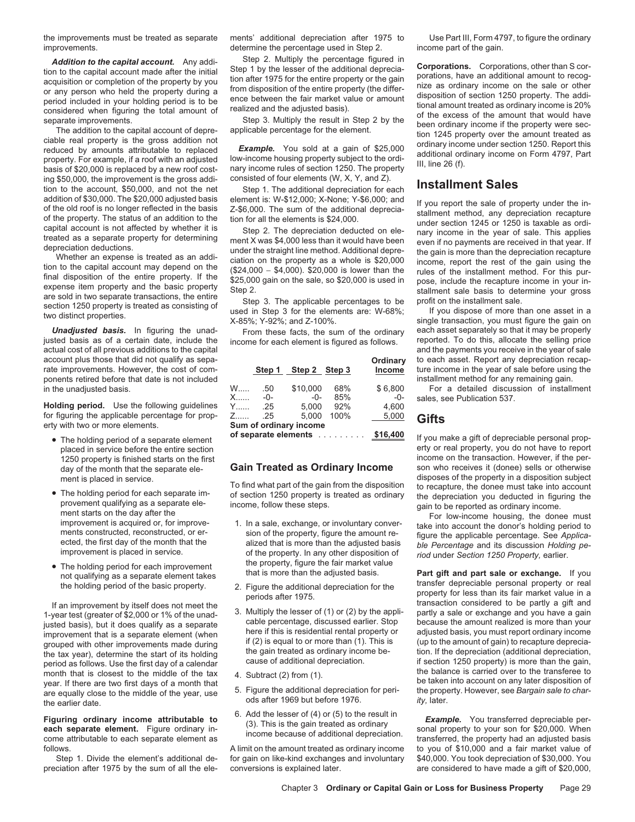improvements. The state of the percentage used in Step 2. income part of the gain.

ing \$50,000, the improvement is the gross addi- consisted of four elements (W, X, Y, and Z). Ing sou, Judi, the improvement is the gross addi-<br>tion to the account, \$50,000, and not the net Step 1. The additional depreciation for each **Installment Sales** 

actual cost of all previous additions to the capital account plus those that did not qualify as sepa-<br> **Step 1 Step 2 Step 3 Income** ture income in the year of sale before using the<br> **Step 2 Step 3 Income** ture income in the year of sale before using the ponents retired before that date is not included<br>in the unadjusted basis. W..... 50 \$10,000 68% \$6,800 For a detailed discussion of installr

**Holding period.** Use the following guidelines for figuring the applicable percentage for prop-<br> **Sum of ordinary income**<br> **Sum of ordinary income**<br> **Sum of ordinary income** 

- 
- To find what part of the gain from the disposition<br>
To find what part of the gain from the disposition<br>
provement qualifying as a separate ele-<br>
ment starts on the day after the<br>
income, follow these steps.<br>
ment starts on
- 

month that is closest to the middle of the tax 4. Subtract (2) from (1).<br>
year. If there are two first days of a month that<br>
are equally close to the middle of the year, use 5. Figure the additional depreciation for peri-<br>

the improvements must be treated as separate ments' additional depreciation after 1975 to Use Part III, Form 4797, to figure the ordinary

| \$10,000<br>\$6,800<br>68%<br>W<br>.50<br>X.<br>85%<br>$-0-$<br>$-0-$<br>$-0-$<br>5.000<br>4.600<br>92%<br>Y……<br>.25<br>5.000<br>100%<br>5,000<br>Z……<br>-25<br>Sum of ordinary income<br>\$16,400<br>of separate elements |  |  | Step 1 Step 2 Step 3 |  | Ordinary<br>Income |  |
|-----------------------------------------------------------------------------------------------------------------------------------------------------------------------------------------------------------------------------|--|--|----------------------|--|--------------------|--|
|                                                                                                                                                                                                                             |  |  |                      |  |                    |  |
|                                                                                                                                                                                                                             |  |  |                      |  |                    |  |
|                                                                                                                                                                                                                             |  |  |                      |  |                    |  |
|                                                                                                                                                                                                                             |  |  |                      |  |                    |  |
|                                                                                                                                                                                                                             |  |  |                      |  |                    |  |
|                                                                                                                                                                                                                             |  |  |                      |  |                    |  |

### **Gain Treated as Ordinary Income**

- 
- 
- 
- 
- 
- 

Step 1. Divide the element's additional de- for gain on like-kind exchanges and involuntary \$40,000. You took depreciation of \$30,000. You

**Addition to the capital account.** Any addi-<br>
Step 2. Multiply the percentage figured in<br>
step 1 by the lesser of the additional deprecial-<br>
account made after the initial Step 1 by the lesser of the additional deprecial-

addition of \$30,000. The \$20,000 adjusted basis element is: W-\$12,000; X-None; Y-\$6,000; and<br>of the otor is no longer reflected in the basis z-\$6,000. The sum of the and crof is no longer reflected in the action for all th

**Unadjusted basis.** In figuring the unad-<br>justed basis as of a certain date, include the income for each element is figured as follows reported. To do this, allocate the selling price income for each element is figured as follows. reported. To do this, allocate the selling price<br>and the payments you receive in the year of sale ture income in the year of sale before using the

For a detailed discussion of installment sales, see Publication 537.

**of separate elements** ......... **\$16,400** • The holding period of a separate element If you make a gift of depreciable personal property or real property, you do not have to report 1250 property is finished starts on the first **Gain Treated as Ordinary Income** income on the transaction. However, if the per-<br>day of the month that the separate ele-**Gain Treated as Ordinary Income** son who receives it ment is placed in service.<br>To find what part of the gain from the disposition<br>ment is placed in service.

• The holding period for each improvement<br>
the property, figure the fair market value<br>
that is more than the adjusted basis.<br>
the holding period of the basic property.<br>
It an improvement by itself does not meet the<br>
1-year

**Figuring ordinary income attributable to**  $(3)$ . This is the gain treated as ordinary<br>
each separate element. Figure ordinary in-<br>
come attributable to each separate element as income because of additional depreciation. follows. A limit on the amount treated as ordinary income to you of \$10,000 and a fair market value of preciation after 1975 by the sum of all the ele- conversions is explained later. The are considered to have made a gift of \$20,000,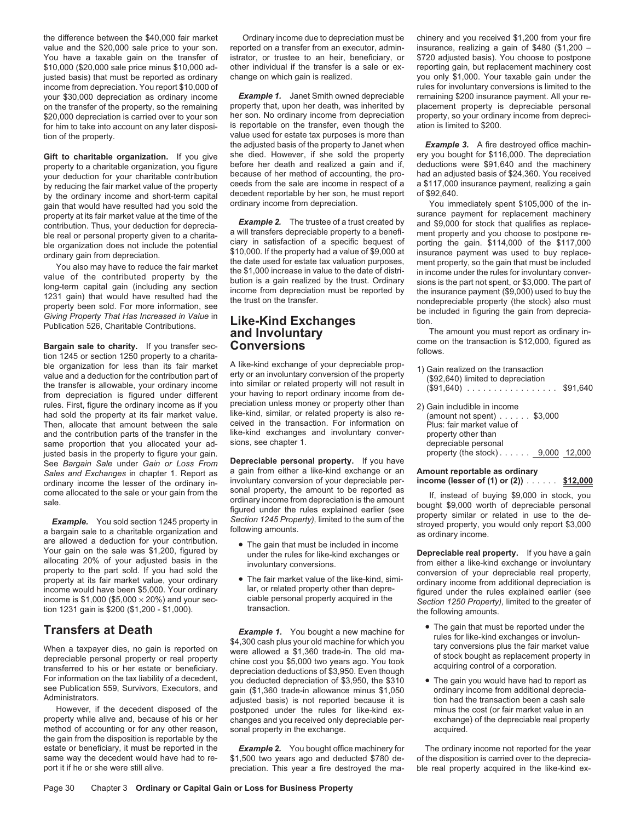the difference between the \$40,000 fair market Ordinary income due to depreciation must be chinery and you received \$1,200 from your fire value and the \$20,000 sale price to your son. reported on a transfer from an executor, admin- insurance, realizing a gain of \$480 (\$1,200 -You have a taxable gain on the transfer of istrator, or trustee to an heir, beneficiary, or \$720 adjusted basis). You choose to postpone<br>\$10,000 (\$20,000 sale price minus \$10,000 ad- other individual if the transfer is a s justed basis) that must be reported as ordinary change on which gain is realized. you only \$1,000. Your taxable gain under the income from depreciation. You report \$10,000 of rules for involuntary conversions is limited to the<br>your \$30,000 depreciation as ordinary income **Example 1.** Janet Smith owned depreciable remaining \$200 insurance payment. your \$30,000 depreciation as ordinary income on the transfer of the property, so the remaining property that, upon her death, was inherited by placement property is depreciable personal spacement property is depreciable personal space of the remaining property and th \$20,000 depreciation is carried over to your son her son. No ordinary income from depreciation property, so your ordinary income from depreci-<br>for him to take into account on any later disposi- is reportable on the transfe tion of the property.  $\sim$  value used for estate tax purposes is more than

by the ordinary income and short-term capital decedent reportable by ner son, ne must report of \$92,640.<br>gain that would have resulted had you sold the ordinary income from depreciation. You immediately spent \$105,000 of t

**Example 19 Sergain sale to charity.** If you transfer sec-<br> **CONVERSIONS** follows.<br>
Be organization for less than its fair market A like-kind exchange of your depreciable prop-<br>  $\frac{1}{2}$  a conservative and the transaction ble organization for less than its fair market A like-kind exchange of your depreciable prop-<br>value and a deduction for the contribution part of erty or an involuntary conversion of the property<br>the transfer is allowable, rules. First, figure the ordinary income as if you preciation unless money or property other than had sold the property at its fair market value. like-kind, similar, or related property is also rehad sold the property at its fair market value. like-kind, similar, or related property is also re-<br>Then, allocate that amount between the sale. Ceived in the transaction. For information on Then, allocate that amount between the sale ceived in the transaction. For information on and the contribution parts of the transfer in the like-kind exchanges and involuntary converand the contribution parts of the transfer in the like-kind exchanges and involved in all occurring  $\alpha$ - signs, see chapter 1. same proportion that you allocated your adjusted basis in the property to figure your gain.<br>See Bargain Sale under Gain or Loss From Sales and Exchanges in chapter 1. Report as a gain from either a like-kind exchange or an **Amount reportable as ordinary**<br>ordinary income the lesser of the ordinary in- involuntary conversion of your depreciable per- **inco** 

ordinary income the lesser of the ordinary in-<br>
come allocated to the sale or your gain from the<br>
ordinary in-wolundary conversion of your depreciable per-<br>
sale.<br> **Example.** You sold section 1245 property in a mount to b

However, if the decedent disposed of the postponed under the rules for like-kind ex- minus the cost (or fair market value in an property while alive and, because of his or her changes and you received only depreciable permethod of accounting or for any other reason, the gain from the disposition is reportable by the estate or beneficiary, it must be reported in the

other individual if the transfer is a sale or ex-

is reportable on the transfer, even though the the adjusted basis of the property to Janet when **Example 3.** A fire destroyed office machin-<br>she died. However, if she sold the property ery you bought for \$116,000. The depreciation Gift to charitable organization. If you give<br>property to a charitable organization, you figure<br>your deductions were \$91,640 and the machinery<br>your deduction for your charitable contribution<br>by reduction for your charitable

**Depreciable personal property.** If you have a gain from either a like-kind exchange or an

- 
- 

**Transfers at Death**<br>
When a taxpayer dies, no gain is reported on<br>
When a taxpayer dies, no gain is reported on<br>
depreciable personal property or real property<br>
depreciation dealing control of a corporation.<br>
For informat Administrators.<br>Administrators. adjusted basis) is not reported because it is tion had the transaction been a cash sale<br>However, if the decedent disposed of the postponed under the rules for like-kind ex- minus the cost (o changes and you received only depreciable per-<br>
sonal property in the exchange.<br>  $\frac{1}{2}$  acquired.

same way the decedent would have had to re-<br>still alive the strategy of the decoration. This vear a fire destroyed the ma-<br>preciation. This vear a fire destroyed the ma-<br>he real property acquired in the like-kind expreciation. This year a fire destroyed the ma- ble real property acquired in the like-kind ex-

property at its fair market value at the time of the **Example 2.** The trustee of a trust created by and \$9,000 for stock that qualifies as replacement machinety of the real or personal property sive denotion for depreciabl

| 1) Gain realized on the transaction<br>(\$92,640) limited to depreciation<br>$(\$91,640)$                                       | \$91,640 |
|---------------------------------------------------------------------------------------------------------------------------------|----------|
| 2) Gain includible in income<br>(amount not spent) $\ldots \ldots$ \$3,000<br>Plus: fair market value of<br>property other than |          |
| depreciable personal<br>property (the stock) 9,000 12,000                                                                       |          |

- 
- 

**Example 2.** You bought office machinery for The ordinary income not reported for the year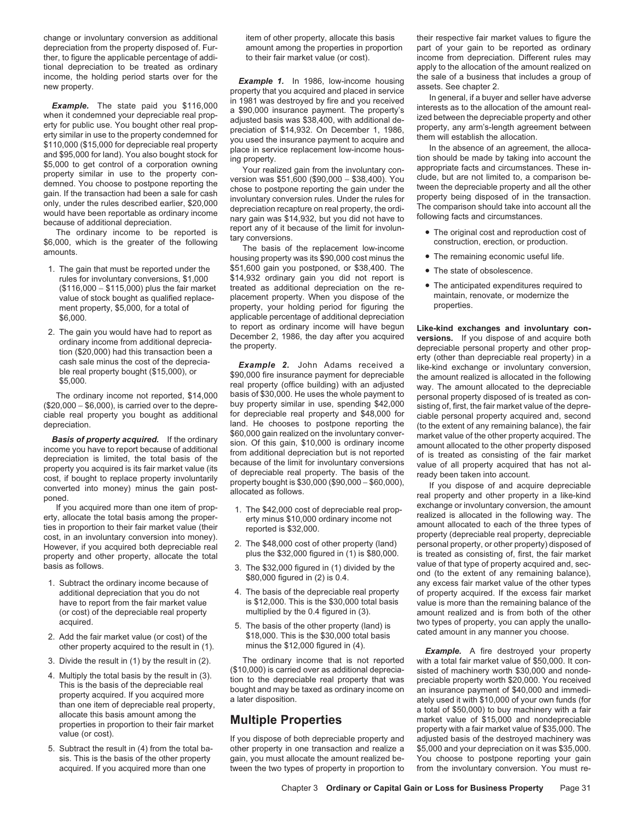change or involuntary conversion as additional item of other property, allocate this basis their respective fair market values to figure the

income, the holding period starts over for the **Example 1.** In 1986, low-income housing the sale of a business that includes a group of<br>
new property.<br> **Example.** The state paid you \$116,000 in 1981 was destroyed by fire

- 
- 

cost, in an involuntary conversion into money).<br>
However, if you acquired both depreciable real 2. The \$48,000 cost of other property (land) personal property, or other property) disposed of property and other property, al

- 
- 
- 
- 
- 

1. The gain that must be reported under the \$51,600 gain you postponed, or \$38,400. The • The state of obsolescence.<br>rules for involuntary conversions, \$1,000 \$14,932 ordinary gain you did not report is \$14,932 ordinary gain you did not report is (\$116,000 − \$115,000) plus the fair market treated as additional depreciation on the re- • The anticipated expenditures required to value of stock bought as qualified replace- placement property. When you dispose of the m value of stock bought as qualified replace-<br>mont property. Stock for a total of value or property, your holding period for figuring the value properties. ment property, \$5,000, for a total of property, your holding period for figuring the \$6,000.<br>  $\begin{array}{ccc}\n\text{$6,000} \\
\text{$7,000} \\
\text{$8,000} \\
\text{$9,000} \\
\text{$10,000} \\
\text{$10,000} \\
\text{$10,000} \\
\text{$10,000} \\
\text{$10,000} \\
\text{$10,000} \\
\text{$10,000} \\
\text{$10,000} \\
\text{$10,000} \\
\text{$10,000} \\
\text{$10,000} \\
\text{$10,000} \\
\text{$10,000} \\
\text{$$ 

real property (office building) with an adjusted<br>The ordinary income not reported, \$14,000 basis of \$30,000. He uses the whole payment to<br>10,000 – \$6,000), is carried over to the depre- buy property similar in use, spendin (\$20,000 − \$6,000), is carried over to the depre- buy property similar in use, spending \$42,000 sisting of, first, the fair market value of the depre-<br>Ciable real property you bought as additional for depreciable real pro ciable real property you bought as additional for depreciable real property and \$48,000 for ciable personal property acquired and, second depreciation.<br>depreciation. land. He chooses to postpone reporting the extent of any depreciation.<br> **Basis of property acquired.** If the ordinary<br> **Examplementent actual transferse than** the involuntary convert acquired. The fact of the sected of the extent of any remaining balance), the fair<br>
is signing s

- 
- 
- 
- 
- acquired. 5. The basis of the other property (land) is two types of property, you can apply the unallo-<br>2. Add the fair market value (or cost) of the \$18,000. This is the \$30,000 total basis of the fair market value (or co

3. Divide the result in (1) by the result in (2). The ordinary income that is not reported  $$10,000$  is carried over as additional deprecia-

acquired. If you acquired more than one tween the two types of property in proportion to from the involuntary conversion. You must re-

depreciation from the property disposed of. Fur- amount among the properties in proportion part of your gain to be reported as ordinary ther, to figure the applicable percentage of addi- to their fair market value (or cost). income from depreciation. Different rules may tional depreciation to be treated as ordinary apply to the allocation of the amount realized on

- 
- 
- 
- 

2. The gain you would have had to report as to report as ordinary income will have begun<br>ordinary income from additional deprecia-<br>tion (\$20,000) had this transaction been a<br>cash sale minus the cost of the deprecia-<br>ble r

property and other property, allocate the total plus the \$32,000 figured in (1) is \$80,000. is treated as consisting of, first, the fair market<br>basis as follows. 3. The \$32,000 figured in (1) divided by the value of that t additional depreciation that you do not  $\begin{array}{r} 4. \text{ The basis of the depreciable real property} \\ \text{for property acquired. If the excess fair market is $12,000. This is the $30,000 total basis \end{array}$  value is more than the remaining balance of the have to report from the fair market value is \$12,000. This is the \$30,000 total basis value is more than the remaining balance of the (or cost) of the depreciable real property multiplied by the 0.4 figured in (3). amount realized and is from both of the other

other property acquired to the result in (1). http://winus the \$12,000 figured in (4). *Example.* A fire destroyed your property<br>Divide the result in (1) by the result in (2). The ordinary income that is not reported with 4. Multiply the total basis by the result in (3).  $(10,000)$  is carried over as additional deprecia-<br>This is the basis of the depreciable real<br>property acquired. If you acquired more<br>property acquired in the depreciable r 5. Subtract the result in (4) from the total ba- other property in one transaction and realize a \$5,000 and your depreciation on it was \$35,000. sis. This is the basis of the other property gain, you must allocate the amount realized be- You choose to postpone reporting your gain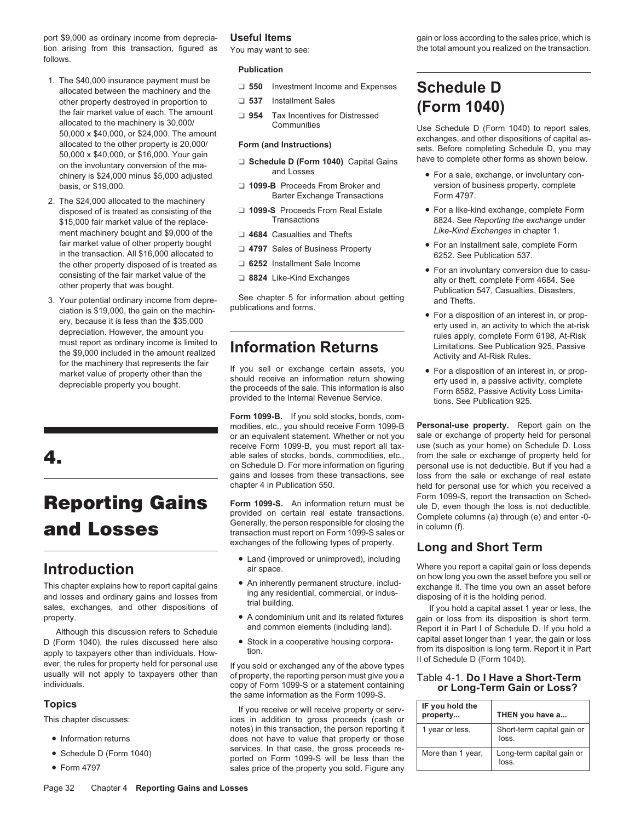port \$9,000 as ordinary income from deprecia-**Useful Items** example the sales price, which is price and the sales price, which is tion arising from this transaction, figured as You may want to see: the total amount you realized on the transaction. follows.

- 1. The \$40,000 insurance payment must be allocated between the machinery and the <del></del><br>allocated between the machinery and the other property destroyed in proportion to **Q** 537 Installment Sales **ACC** other property destroyed in proportion to <br>
the fair market value of each. The amount <br>
allocated to the machinery is 30,000/<br>
Communities allocated to the machinery is 30,000/<br>
50,000 x \$40,000, or \$24,000. The amount<br>
allocated to the other property is 20,000/<br>
50,000 x \$40,000, or \$16,000. Your gain<br>
on the involuntary conversion of the ma-<br>
chinery is \$2
- Parter Exchange Transactions<br>disposed of is treated as consisting of the Δ<br>**1099-S** Proceeds From Real Estate ment machinery bought and \$9,000 of the **Like-Kind Exchanges** in chapter 1. **Like-Kind Exchange in chapter 1.** <del></del> fair market value of other property bought  $□$  **4797** Sales of Business Property (and installment sale, complete Form in the transaction. All \$16,000 allocated to 6252. See Publication 537. See Publication 537. See Public
- ciation is \$19,000, the gain on the machine publications and forms.<br>
ery, because it is less than the \$35,000<br>
depreciation. However, the amount you effect as ordinary income is limited to<br>
the \$9,000 included in the amoun the \$9,000 included in the amount realized<br>
for the machinery that represents the fair<br>
for the machinery that represents the fair<br>
for sell or exchange certain assets, you <br>
For a disposition of an interest in, or prop-

II of Schedule D (Form 1040).<br>II of Schedule D (Form 1040).<br>II of Schedule D (Form 1040).<br>II of Schedule D (Form 1040).<br>II of Schedule D (Form 1040).<br>II of Schedule D (Form 1040).

- 
- 
- 

### **Publication**

- 
- 
- 

- 
- 
- 
- 
- 
- 
- 

Fraction of an interest in, or property of the than the should receive an information return showing<br>depreciable property you bought.<br>depreciable property you bought.<br>provided to the Internal Revenue Service.<br>provided to t

**Form 1099-B.** If you sold stocks, bonds, commodities, etc., you should receive Form 1099-B **Personal-use property.** Report gain on the or an equivalent statement. Whether or not you receive Form 1099-B, you must report all tax- use (such as your home) on Schedule D. Loss able sales of stocks, bonds, commodities, etc., from the sale or exchange of property held for on Schedule D. For more information on figuring personal use is not deductible. But if you had a on Schedule D. For more information on figuring gains and losses from these transactions, see loss from the sale or exchange of real estate<br>chapter 4 in Publication 550.

**Reporting Gains** Form 1099-S. An information return must be Form 1099-S, report the transaction on Sched-<br> **and Losses** Examples the person responsible for closing the secondumns (a) through (e) and enter-0-<br>
exchanges of

- exchanges of the following types of property. **Long and Short Term** Land (improved or unimproved), including
- 
- 
- 

usually will not apply to taxpayers other than of property, the reporting person must give you a Table 4-1. **Do I Have a Short-Term**<br>
copy of Form 1099-S or a statement containing **or Long-Term Gain or Loss?** copy of Form 1099-S or a statement containing the same information as the Form 1099-S.

**Topics**<br> **If** you receive or will receive property or serv-<br>
This chapter discusses: ices in addition to gross proceeds (cash or notes) in this transaction, the person reporting it • Information returns does not have to value that property or those • Schedule D (Form 1040) services. In that case, the gross proceeds reported on Form 1099-S will be less than the<br>• Form 4797 sales price of the property you sold. Figure any

- basis, or \$19,000. ❏ **1099-B** Proceeds From Broker and version of business property, complete
- disposed of is treated as consisting of the **◯ 1099-S** Proceeds From Real Estate For a like-kind exchange, complete Form **Case Reproduced** Fransactions **CASE CON** 5 and the exchange under \$15,000 fair market value of the replace-<br>
Transactions
The replaceThe replace of the Converting and The fire the Like-Kind Exchanges in chapter 1.
	-
- the other property disposed of is treated as  $□ 6252$  Installment Sale Income<br>
consisting of the fair market value of the  $□ 8824$  Like-Kind Exchanges<br>
other property that was bought.<br>
3. Your potential ordinary income fr
	-
	-

held for personal use for which you received a

**Introduction**<br>
This chapter explains how to report capital gains<br>
and losses and ordinary gains and losses from<br>
sales, exchanges, and other dispositions of trial building.<br>
Sales, exchanges, and other dispositions of the

property.<br>• A condominium unit and its related fixtures gain or loss from its disposition is short term.<br>• and common elements (including land). Report it in Part Lof Schedule D. If you hold a Although this discussion refers to Schedule<br>D (Form 1040), the rules discussed here also <br>apply to taxpayers other than individuals. How-<br>apply to taxpayers other than individuals. How-<br>apply to taxpayers other than indivi

| IF you hold the<br>property | THEN you have a                     |
|-----------------------------|-------------------------------------|
| 1 year or less.             | Short-term capital gain or<br>loss. |
| More than 1 year,           | Long-term capital gain or<br>loss   |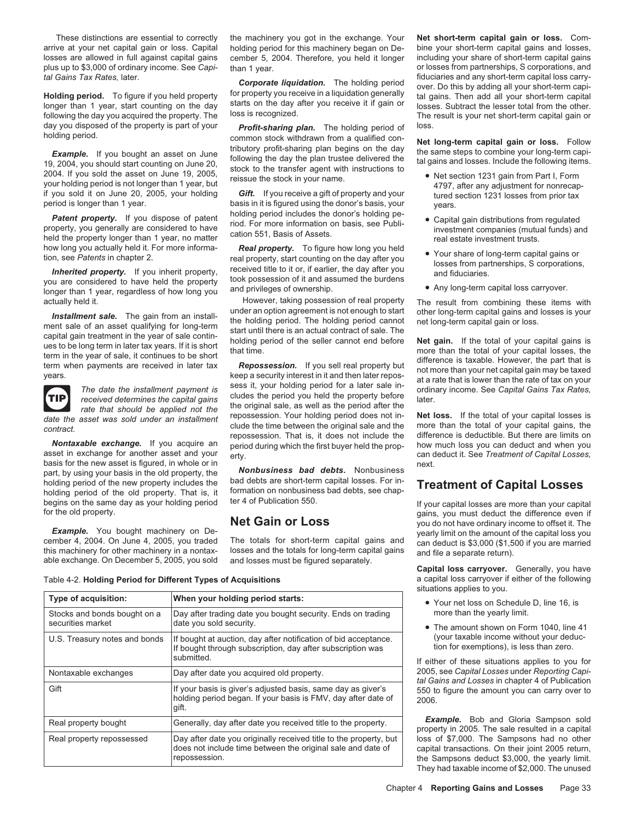arrive at your net capital gain or loss. Capital holding period for this machinery began on De- bine your short-term capital gains and losses,

**Holding period.** To figure if you held property of property you receive in a liquidation generally tal gains. Then add all your short-term capital longer than 1 year, start counting on the day starts on the day after you following the day you acquired the property. The loss is recognized. The result is your net short-term capital gain or day you disposed of the property is part of your<br>holding period of loss.<br>common stock withdrawn from a qualified con-

your holding period is not longer than 1 year, but<br>your holding period is not longer than 1 year, but<br>if you sold it on June 20, 2005, your holding Gift. If you receive a gift of property and your the dection 1231 losses

**Patent property.** If you dispose of patent holding period includes the donor's holding pe-<br>property, you generally are considered to have the construction 551, Basis of Assets.<br>held the property longer than 1 year, no mat

**Installment sale.** The gain from an install<br>
ment sale of an asset qualifying for long-term<br>
capital gain treatment in the year of sale continues to be long term<br>
that until there is an actual contract of sale. The<br>
term



basis for the new asset is figured, in whole or in<br>next. by using your basis in the old property, the **Nonbusiness bad debts.** Nonbusiness

*tal Gains Tax Rates, identity* and any **Corporate liquidation.** The holding period over. Do this by adding all your short-term capital variances cannot represent the model over. Do this by adding all your short-term capit

common stock withdrawn from a qualified con-<br>tributory profit-sharing plan begins on the day the come stops to combine your long term conju Example. If you bought an asset on June tributory profit-sharing plan begins on the day<br>19, 2004, you should start counting on June 20,<br>2004. If you should start counting on June 20,<br>2004. If you should start counting on J

if you sold it on June 20, 2005, your holding **Gift.** If you receive a gift of property and your tured section 1231 losses from prior tax period is longer than 1 year. basis in it is figured using the donor's basis, your years.<br>holding period includes the donor's holding pe-

Now long you actually held it. For more informa-<br>
tion, see *Patents* in chapter 2.<br> **Inherited property.** If you inherit property, the received title to it or, if earlier, the day after you<br>
you are considered to have hel

actually held it. However, taking possession of real property The result from combining these items with

received determines the capital gains<br>rate that should be applied not the **rate in a rate of the** *rate* that should be applied not the repossession. Your holding period does not in- **Net loss.** If the total of your capital losses is *date the asset was sold under an installment* clude the time between the original sale and the contract.<br>
contract.<br> **CONTECT OF THE MORE CONTECT** of the more than the repossession. That is, it does not include the **Nontaxable exchange.** If you acquire an period during which the first buyer held the prop-<br>asset in exchange for another asset and your  $_{\text{erfv}}$ 

part, by using your basis in the old property, the **Nonbusiness bad debts.** Nonbusiness<br>holding period of the new property includes the bad debts are short-term capital losses. For inholding period of the new property includes the bad debts are short-term capital losses. For in-<br>holding period of the old property. That is, it formation on nonbusiness bad debts, see chap-<br>begins on the same day as your

Table 4-2. Holding Period for Different Types of Acquisitions

| Type of acquisition:                              | When your holding period starts:                                                                                                                  |  |
|---------------------------------------------------|---------------------------------------------------------------------------------------------------------------------------------------------------|--|
| Stocks and bonds bought on a<br>securities market | Day after trading date you bought security. Ends on trading<br>date you sold security.                                                            |  |
| U.S. Treasury notes and bonds                     | If bought at auction, day after notification of bid acceptance.<br>If bought through subscription, day after subscription was<br>submitted.       |  |
| Nontaxable exchanges                              | Day after date you acquired old property.                                                                                                         |  |
| Gift                                              | If your basis is giver's adjusted basis, same day as giver's<br>holding period began. If your basis is FMV, day after date of<br>gift.            |  |
| Real property bought                              | Generally, day after date you received title to the property.                                                                                     |  |
| Real property repossessed                         | Day after date you originally received title to the property, but<br>does not include time between the original sale and date of<br>repossession. |  |

These distinctions are essential to correctly the machinery you got in the exchange. Your **Net short-term capital gain or loss.** Comlosses are allowed in full against capital gains cember 5, 2004. Therefore, you held it longer including your share of short-term capital gains plus up to \$3,000 of ordinary income. See *Capi*- than 1 year. **or local computer of the controllate** or losses from partnerships, S corporations, and that Gains Tax Rates. later.

- 
- 
- 
- 

difference is deductible. But there are limits on<br>how much loss you can deduct and when you asset in exchange for an order as a can deduct it. See *Treatment of Capital Losses*, next.

begins on the same day as your holding period ter 4 of Publication 550.<br>If your capital losses are more than your capital of the old property. for the old property.<br> **Example.** You bought machinery on De-<br>
cember 4, 2004. On June 4, 2005, you traded<br>
this machinery for other machinery in a nontax-<br>
able exchange. On December 5, 2005, you sold and losses must be f

**Capital loss carryover.** Generally, you have situations applies to you.

- **Your net loss on Schedule D, line 16, is** more than the yearly limit.
- The amount shown on Form 1040, line 41 (your taxable income without your deduction for exemptions), is less than zero.

If either of these situations applies to you for 2005, see *Capital Losses* under *Reporting Capital Gains and Losses* in chapter 4 of Publication 550 to figure the amount you can carry over to 2006.

**Example.** Bob and Gloria Sampson sold property in 2005. The sale resulted in a capital loss of \$7,000. The Sampsons had no other capital transactions. On their joint 2005 return, the Sampsons deduct \$3,000, the yearly limit. They had taxable income of \$2,000. The unused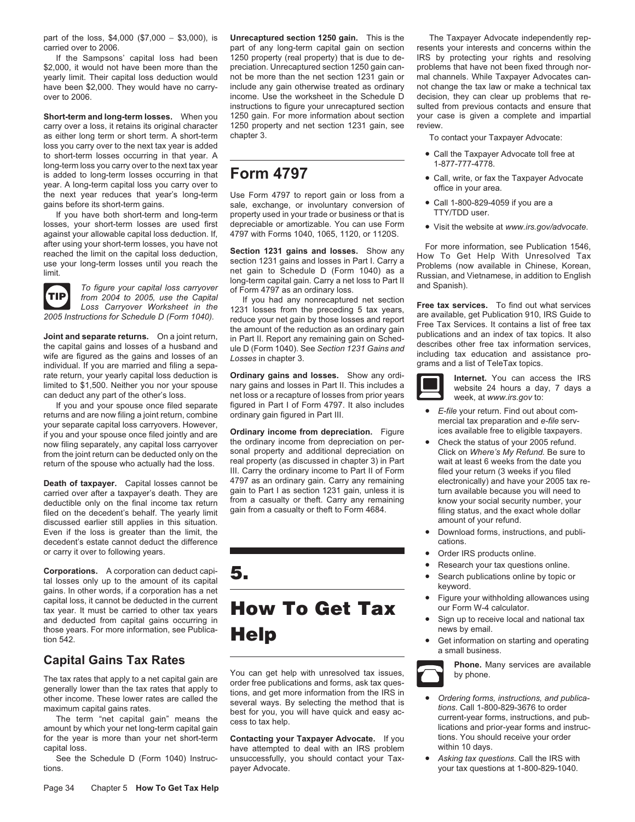part of the loss, \$4,000 (\$7,000 − \$3,000), is **Unrecaptured section 1250 gain.** This is the The Taxpayer Advocate independently repcarried over to 2006. part of any long-term capital gain on section resents your interests and concerns within the

\$2,000, it would not have been more than the preciation. Unrecaptured section 1250 gain can- problems that have not been fixed through nor-<br>vearly limit. Their capital loss deduction would not be more than the net section

carry over a loss, it retains its original character 1250 property and net section 1231 gain, see review. as either long term or short term. A short-term chapter 3. The state of the state of the To contact your Taxpayer Advocate: loss you carry over to the next tax year is added to short-term losses occurring in that year. A<br>Iong-term loss you carry over to the next tax year and the short-term in the short-term loss you carry over to the next tax year and the state of the state of the state of the long-term loss you carry over to the next tax year<br>is added to long-term losses occurring in that  $\overline{Form 4797}$ is added to long-term losses occurring in that **Form 4797**<br>year. A long-term capital loss you carry over to<br>the next year reduces that year's long-term Use Form 4797 to report gain or loss from a<br>the next year reduces that

losses, your short-term losses are used first depreciable or amortizable. You can use Form visit the website at www.irs.gov/advocate.<br>against your allowable capital loss deduction. If, 4797 with Forms 1040, 1065, 1120, or



the capital gains and losses of a husband and<br>wife are figured as the gains and losses of an including tax education and assistance pro-<br>individual. If you are married and filing a sepa-<br>rate return, your yearly capital lo rate return, your yearly capital loss deduction is **Ordinary gains and losses.** Show any ordi- **Internet.** You can access the IRS

If you and your spouse once filed separate figured in Part I of Form 4797. It also includes<br>returns and are now filing a joint return, combine ordinary gain figured in Part III. The serve of the serv-<br>your separate capital

filed on the decedent's behalf. The yearly limit gain from a casualty or theft to Form 4684. filing status, and the ex<br>discussed earlier still applies in this situation discussed earlier still applies in this situation.<br>Even if the loss is greater than the limit, the settled and provide the settle of the bownload forms, instructions, and publi-Even if the loss is greater than the limit, the decedent's estate cannot deduct the difference cations and cations of cations of cations. or carry it over to following years. • The Content of the Content of the Content of Test online.

Corporations. A corporation can deduct capi-<br>
tal losses only up to the amount of its capital<br>
gains. In other words, if a corporation has a net<br>
capital loss, it cannot be deducted in the current<br>
tax year. It must be car Explications, it cannot be deducted in the current<br>tax year. It must be carried to other tax years **How To Get Tax** our Form W-4 calculator.<br>and deducted from capital gains occurring in

for the year is more than your net short-term **Contacting your Taxpayer Advocate.** If you tions. You should receive your order capital loss.

tions. **payer Advocate.** payer Advocate. We can also at 1-800-829-1040.

not be more than the net section 1231 gain or

the next year reduces that year's long-term Use Form 4797 to report gain or loss from a<br>gains before its short-term gains.<br>If you have both short-term and long-term property used in your trade or business or that is<br>TTY/TD If you have both short-term and long-term property used in your trade or business or that is

For more information, see Publication 1546,<br>
reached the limit on the capital loss deduction,<br>
use your long-term losses until you reach the<br>
limit.<br>
To figure your capital loss carryover<br>
To figure your capital loss carry

Loss Carryover Worksheet in the 1231 losses from the preceding 5 tax years,<br>
2005 Instructions for Schedule D (Form 1040).<br>
The animal separate returns. On a joint return,<br>
the amount of the reduction as an ordinary gain<br>

limited to \$1,500. Neither you nor your spouse nary gains and losses in Part II. Inis includes a<br>can deduct any part of the other's loss. net loss or a recapture of losses from prior years<br>If you and your spouse once file

if you and your spouse once filed jointly and are<br>now filing separately, any capital loss carryover the ordinary income from depreciation on per-<br>from the ioint refurn can be deducted only on the sonal property and additio from the joint return can be deducted only on the sonal property and additional depreciation on Click on *Where's My Refund.* Be sure to controlly be determined at the loss of the sonal property (as discussed in chapter 3) return of the spouse who actually had the loss. real property (as discussed in chapter 3) in Part wait at least 6 weeks from the date you<br>III. Carry the ordinary income to Part II of Form filed your return (3 weeks if you III. Carry the ordinary income to Part II of Form **Death of taxpayer.** Capital losses cannot be 4797 as an ordinary gain. Carry any remaining electronically) and have your 2005 tax re-<br>Carried over after a taxpayer's death. They are gain to Part I as section 1231 gain, un carried over after a taxpayer's death. They are gain to Part I as section 1231 gain, unless it is furn available because you will need to<br>deductible only on the final income tax return from a casualty or theft. Carry any r deductible only on the final income tax return from a casualty or theft. Carry any remaining know your social security number, your<br>filed on the decedent's behalf. The yearly limit gain from a casualty or theft to Form 468

# those years. For more information, see Publica-**Ine and Publica**ne was by email.<br>**tion 542.** The starting and operating and operating and operating and operating and operating

The tax rates that apply to a net capital gain are<br>generally lower than the tax rates that apply to<br>other income. These lower rates are called the<br>maximum capital gains rates.<br>The term "net capital gain" means the coss to

have attempted to deal with an IRS problem See the Schedule D (Form 1040) Instruc- unsuccessfully, you should contact your Tax- • *Asking tax questions.* Call the IRS with

If the Sampsons' capital loss had been 1250 property (real property) that is due to de- IRS by protecting your rights and resolving<br>000, it would not have been more than the preciation. Unrecaptured section 1250 gain can have been \$2,000. They would have no carry- include any gain otherwise treated as ordinary not change the tax law or make a technical tax over to 2006. decision, they can clear up problems that reinstructions to figure your unrecaptured section sulted from previous contacts and ensure that **Short-term and long-term losses.** When you 1250 gain. For more information about section your case is given a complete and impartial

- 
- 
- 
- 



- 
- 
- 
- 
- 
- 
- 
- 
- a small business.



Capital Gains Tax Rates<br>The tax rates that apply to a not capital gain are You can get help with unresolved tax issues,

- 
-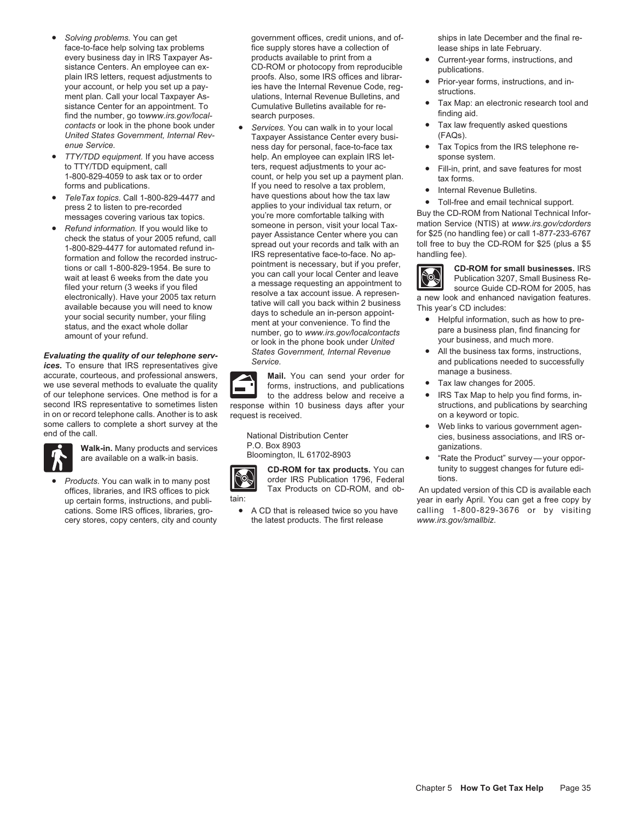- *Solving problems.* You can get government offices, credit unions, and of- ships in late December and the final reevery business day in IRS Taxpayer Asproducts available to print from a<br>sistance Centers. An employee can exception of the CD-ROM or photocopy from reproducible<br>plain IRS letters, request adjustments to<br>your account, or he find the number, go towww.irs.gov/local-<br>
contacts or look in the phone book under • *Services*. You can walk in to your local • Tax law frequently asked questions<br>
United States Government. Internal Rev-<br>
Taxnaver Assista
- 
- 
- 

Evaluating the quality of our telephone serv-<br>
ices. To ensure that IRS representatives give<br>
accurate, courteous, and professional answers,<br>
Mail. You can send your order for<br>
Mail. You can send your order for accurate, courteous, and professional answers,<br>we use several methods to evaluate the quality<br>of our telephone services. One method is for a service to the address below and receive a RIS Tax Map to help you find forms, in of our telephone services. One method is for a to the address below and receive a • IRS Tax Map to help you find forms, in-<br>second IRS representative to sometimes listen response within 10 business days after your structio in on or record telephone calls. Another is to ask request is received. The contract on a keyword or topic.



**Walk-in.** Many products and services **P.O. Box 8903** are available on a walk-in basis. Bloomington, IL 61702-8903 **are available on a walk-in basis.** • Bloomington, IL 61702-8903 **· · ·** "Rate the Product" survey—your opp

**Products.** You can walk in to many post **COM** order IRS Publication 1796, Federal tions.<br>
Tax Products on CD-ROM, and ob- An update cery stores, copy centers, city and county blue latest products. The first release

face-to-face help solving tax problems fice supply stores have a collection of lease ships in late February.<br>
every business day in IRS Taxpayer As-<br>
products available to print from a example of current-vear forms instruc

*United States Government, Internal Rev-* Taxpayer Assistance Center every busi-<br>
enue Service. The Service tax **FITY/TDD equipment.** If you have access help. An employee can explain IRS let- sponse system.<br>
to TTY/TDD equipment, call ters, request adjustments to your ac- **.** Fill-in. print. and to TTY/TDD equipment, call ters, request adjustments to your ac- **•** Fill-in, print, and save features for most in the 1000-829-4059 to ask tax or to order 1-800-829-4059 to ask tax or to order count, or help you set up a payment plan. tax forms.<br>
forms and publications. The set of the set of the set of the set of the set of the set of the set of the set o forms and publications.<br>
• Tele Tax topics. Call 1-800-829-4477 and have questions about how the tax law • Tele Tax topics. Call 1-800-829-4477 and have questions about how the tax law • Toll-free and email technical suppo press 2 to listen to pre-recorded applies to your individual tax return, or<br>messages covering various tax topics. you're more comfortable talking with Buy the CD-ROM from National Technical Infor-<br>Befund information. If yo • Refund information. If you would like to<br>
ences the status of your 2005 refund, call<br>
the contex the status of your 2005 refund, call<br>
the status of your 2005 refund, call<br>
the status of your 2005 refund, call<br>
to a spee

response within 10 business days after your



- 
- 
- 
- 
- ness day for personal, face-to-face tax **•** Tax Topics from the IRS telephone re-
	-
	-
	-

- 
- 
- 
- 
- some callers to complete a short survey at the National Distribution Center • • Web links to various government agen-<br>end of the call. National Center • National Distribution Center • • C. Box 8903<br>
P.O. Bo
	- **CD-ROM for tax products.** You can tunity to suggest changes for future edi-

offices, libraries, and IRS offices to pick Tax Products on CD-ROM, and ob-<br>up certain forms, instructions, and publi-<br>by ear in early April. You can get a free copy by year in early April. You can get a free copy by cations. Some IRS offices, libraries, gro-<br>
e A CD that is released twice so you have calling 1-800-829-3676 or by visiting<br>
cery stores, copy centers, city and county the latest products. The first release www.irs.gov/sma